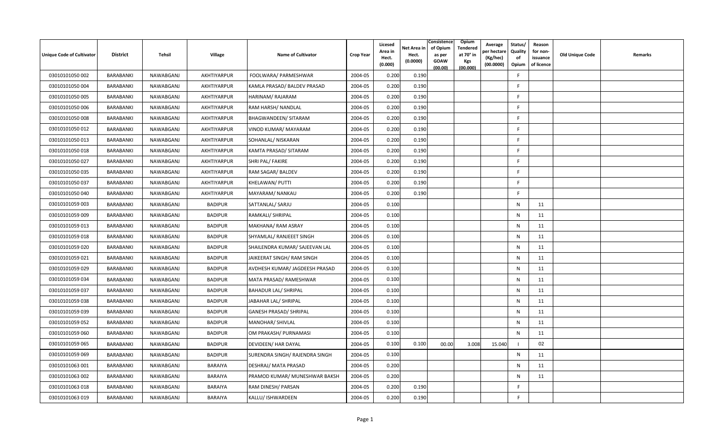| <b>Unique Code of Cultivator</b> | <b>District</b> | Tehsil    | Village        | Name of Cultivator             | <b>Crop Year</b> | Licesed<br>Area in<br>Hect.<br>(0.000) | Net Area in<br>Hect.<br>(0.0000) | Consistence<br>of Opium<br>as per<br><b>GOAW</b><br>(00.00) | Opium<br>Tendered<br>at 70° in<br><b>Kgs</b><br>(00.000) | Average<br>er hectare)<br>(Kg/hec)<br>(00.0000) | Status/<br>Quality<br>of<br>Opium | Reason<br>for non-<br>issuance<br>of licence | <b>Old Unique Code</b> | Remarks |
|----------------------------------|-----------------|-----------|----------------|--------------------------------|------------------|----------------------------------------|----------------------------------|-------------------------------------------------------------|----------------------------------------------------------|-------------------------------------------------|-----------------------------------|----------------------------------------------|------------------------|---------|
| 03010101050 002                  | BARABANKI       | NAWABGANJ | AKHTIYARPUR    | FOOLWARA/ PARMESHWAR           | 2004-05          | 0.200                                  | 0.190                            |                                                             |                                                          |                                                 | F                                 |                                              |                        |         |
| 03010101050 004                  | BARABANKI       | NAWABGANJ | AKHTIYARPUR    | KAMLA PRASAD/ BALDEV PRASAD    | 2004-05          | 0.200                                  | 0.190                            |                                                             |                                                          |                                                 | F.                                |                                              |                        |         |
| 03010101050 005                  | BARABANKI       | NAWABGANJ | AKHTIYARPUR    | HARINAM/RAJARAM                | 2004-05          | 0.200                                  | 0.190                            |                                                             |                                                          |                                                 | F.                                |                                              |                        |         |
| 03010101050 006                  | BARABANKI       | NAWABGANJ | AKHTIYARPUR    | RAM HARSH/ NANDLAL             | 2004-05          | 0.200                                  | 0.190                            |                                                             |                                                          |                                                 | -F                                |                                              |                        |         |
| 03010101050 008                  | BARABANKI       | NAWABGANJ | AKHTIYARPUR    | BHAGWANDEEN/ SITARAM           | 2004-05          | 0.200                                  | 0.190                            |                                                             |                                                          |                                                 | F.                                |                                              |                        |         |
| 03010101050 012                  | BARABANKI       | NAWABGANJ | AKHTIYARPUR    | VINOD KUMAR/ MAYARAM           | 2004-05          | 0.200                                  | 0.190                            |                                                             |                                                          |                                                 | F.                                |                                              |                        |         |
| 03010101050 013                  | BARABANKI       | NAWABGANJ | AKHTIYARPUR    | SOHANLAL/ NISKARAN             | 2004-05          | 0.200                                  | 0.190                            |                                                             |                                                          |                                                 | E                                 |                                              |                        |         |
| 03010101050018                   | BARABANKI       | NAWABGANJ | AKHTIYARPUR    | KAMTA PRASAD/ SITARAM          | 2004-05          | 0.200                                  | 0.190                            |                                                             |                                                          |                                                 | E                                 |                                              |                        |         |
| 03010101050 027                  | BARABANKI       | NAWABGANJ | AKHTIYARPUR    | SHRI PAL/ FAKIRE               | 2004-05          | 0.200                                  | 0.190                            |                                                             |                                                          |                                                 | F.                                |                                              |                        |         |
| 03010101050 035                  | BARABANKI       | NAWABGANJ | AKHTIYARPUR    | RAM SAGAR/ BALDEV              | 2004-05          | 0.200                                  | 0.190                            |                                                             |                                                          |                                                 | F                                 |                                              |                        |         |
| 03010101050 037                  | BARABANKI       | NAWABGANJ | AKHTIYARPUR    | KHELAWAN/ PUTTI                | 2004-05          | 0.200                                  | 0.190                            |                                                             |                                                          |                                                 | F.                                |                                              |                        |         |
| 03010101050 040                  | BARABANKI       | NAWABGANJ | AKHTIYARPUR    | MAYARAM/ NANKAU                | 2004-05          | 0.200                                  | 0.190                            |                                                             |                                                          |                                                 | F                                 |                                              |                        |         |
| 03010101059 003                  | BARABANKI       | NAWABGANJ | <b>BADIPUR</b> | SATTANLAL/ SARJU               | 2004-05          | 0.100                                  |                                  |                                                             |                                                          |                                                 | N                                 | 11                                           |                        |         |
| 03010101059 009                  | BARABANKI       | NAWABGANJ | <b>BADIPUR</b> | RAMKALI/ SHRIPAL               | 2004-05          | 0.100                                  |                                  |                                                             |                                                          |                                                 | $\mathsf{N}$                      | 11                                           |                        |         |
| 03010101059 013                  | BARABANKI       | NAWABGANJ | <b>BADIPUR</b> | MAKHANA/ RAM ASRAY             | 2004-05          | 0.100                                  |                                  |                                                             |                                                          |                                                 | $\mathsf{N}$                      | 11                                           |                        |         |
| 03010101059 018                  | BARABANKI       | NAWABGANJ | <b>BADIPUR</b> | SHYAMLAL/ RANJEEET SINGH       | 2004-05          | 0.100                                  |                                  |                                                             |                                                          |                                                 | $\mathsf{N}$                      | 11                                           |                        |         |
| 03010101059 020                  | BARABANKI       | NAWABGANJ | <b>BADIPUR</b> | SHAILENDRA KUMAR/ SAJEEVAN LAL | 2004-05          | 0.100                                  |                                  |                                                             |                                                          |                                                 | $\mathsf{N}$                      | 11                                           |                        |         |
| 03010101059 021                  | BARABANKI       | NAWABGANJ | <b>BADIPUR</b> | JAIKEERAT SINGH/ RAM SINGH     | 2004-05          | 0.100                                  |                                  |                                                             |                                                          |                                                 | N                                 | 11                                           |                        |         |
| 03010101059 029                  | BARABANKI       | NAWABGANJ | <b>BADIPUR</b> | AVDHESH KUMAR/ JAGDEESH PRASAD | 2004-05          | 0.100                                  |                                  |                                                             |                                                          |                                                 | $\mathsf{N}$                      | 11                                           |                        |         |
| 03010101059 034                  | BARABANKI       | NAWABGANJ | <b>BADIPUR</b> | MATA PRASAD/ RAMESHWAR         | 2004-05          | 0.100                                  |                                  |                                                             |                                                          |                                                 | N                                 | 11                                           |                        |         |
| 03010101059 037                  | BARABANKI       | NAWABGANJ | <b>BADIPUR</b> | <b>BAHADUR LAL/ SHRIPAL</b>    | 2004-05          | 0.100                                  |                                  |                                                             |                                                          |                                                 | $\mathsf{N}$                      | 11                                           |                        |         |
| 03010101059 038                  | BARABANKI       | NAWABGANJ | <b>BADIPUR</b> | JABAHAR LAL/ SHRIPAL           | 2004-05          | 0.100                                  |                                  |                                                             |                                                          |                                                 | $\mathsf{N}$                      | 11                                           |                        |         |
| 03010101059 039                  | BARABANKI       | NAWABGANJ | <b>BADIPUR</b> | <b>GANESH PRASAD/ SHRIPAL</b>  | 2004-05          | 0.100                                  |                                  |                                                             |                                                          |                                                 | N                                 | 11                                           |                        |         |
| 03010101059 052                  | BARABANKI       | NAWABGANJ | <b>BADIPUR</b> | MANOHAR/ SHIVLAL               | 2004-05          | 0.100                                  |                                  |                                                             |                                                          |                                                 | $\mathsf{N}$                      | 11                                           |                        |         |
| 03010101059 060                  | BARABANKI       | NAWABGANJ | <b>BADIPUR</b> | OM PRAKASH/ PURNAMASI          | 2004-05          | 0.100                                  |                                  |                                                             |                                                          |                                                 | $\mathsf{N}$                      | 11                                           |                        |         |
| 03010101059 065                  | BARABANKI       | NAWABGANJ | <b>BADIPUR</b> | DEVIDEEN/ HAR DAYAL            | 2004-05          | 0.100                                  | 0.100                            | 00.00                                                       | 3.008                                                    | 15.040                                          | - 1                               | 02                                           |                        |         |
| 03010101059 069                  | BARABANKI       | NAWABGANJ | <b>BADIPUR</b> | SURENDRA SINGH/ RAJENDRA SINGH | 2004-05          | 0.100                                  |                                  |                                                             |                                                          |                                                 | N                                 | 11                                           |                        |         |
| 03010101063 001                  | BARABANKI       | NAWABGANJ | BARAIYA        | DESHRAJ/ MATA PRASAD           | 2004-05          | 0.200                                  |                                  |                                                             |                                                          |                                                 | N                                 | 11                                           |                        |         |
| 03010101063 002                  | BARABANKI       | NAWABGANJ | BARAIYA        | PRAMOD KUMAR/ MUNESHWAR BAKSH  | 2004-05          | 0.200                                  |                                  |                                                             |                                                          |                                                 | N                                 | 11                                           |                        |         |
| 03010101063 018                  | BARABANKI       | NAWABGANJ | <b>BARAIYA</b> | RAM DINESH/ PARSAN             | 2004-05          | 0.200                                  | 0.190                            |                                                             |                                                          |                                                 | E                                 |                                              |                        |         |
| 03010101063 019                  | BARABANKI       | NAWABGANJ | BARAIYA        | KALLU/ ISHWARDEEN              | 2004-05          | 0.200                                  | 0.190                            |                                                             |                                                          |                                                 | F                                 |                                              |                        |         |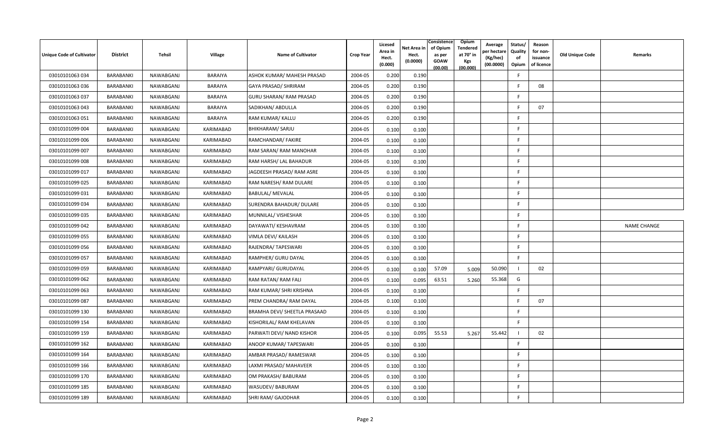| <b>Unique Code of Cultivator</b> | <b>District</b> | Tehsil    | Village          | Name of Cultivator           | <b>Crop Year</b> | Licesed<br>Area in<br>Hect.<br>(0.000) | Net Area in<br>Hect.<br>(0.0000) | Consistence<br>of Opium<br>as per<br><b>GOAW</b><br>(00.00) | Opium<br>Tendered<br>at 70° in<br><b>Kgs</b><br>(00.000) | Average<br>er hectare)<br>(Kg/hec)<br>(00.0000) | Status/<br>Quality<br>of<br>Opium | Reason<br>for non-<br>issuance<br>of licence | <b>Old Unique Code</b> | Remarks            |
|----------------------------------|-----------------|-----------|------------------|------------------------------|------------------|----------------------------------------|----------------------------------|-------------------------------------------------------------|----------------------------------------------------------|-------------------------------------------------|-----------------------------------|----------------------------------------------|------------------------|--------------------|
| 03010101063 034                  | BARABANKI       | NAWABGANJ | BARAIYA          | ASHOK KUMAR/ MAHESH PRASAD   | 2004-05          | 0.200                                  | 0.190                            |                                                             |                                                          |                                                 | -F                                |                                              |                        |                    |
| 03010101063 036                  | BARABANKI       | NAWABGANJ | BARAIYA          | GAYA PRASAD/ SHRIRAM         | 2004-05          | 0.200                                  | 0.190                            |                                                             |                                                          |                                                 | -F                                | 08                                           |                        |                    |
| 03010101063 037                  | BARABANKI       | NAWABGANJ | <b>BARAIYA</b>   | GURU SHARAN/ RAM PRASAD      | 2004-05          | 0.200                                  | 0.190                            |                                                             |                                                          |                                                 | F.                                |                                              |                        |                    |
| 03010101063 043                  | BARABANKI       | NAWABGANJ | <b>BARAIYA</b>   | SADIKHAN/ ABDULLA            | 2004-05          | 0.200                                  | 0.190                            |                                                             |                                                          |                                                 | F                                 | 07                                           |                        |                    |
| 03010101063 051                  | BARABANKI       | NAWABGANJ | BARAIYA          | RAM KUMAR/ KALLU             | 2004-05          | 0.200                                  | 0.190                            |                                                             |                                                          |                                                 | F.                                |                                              |                        |                    |
| 03010101099 004                  | BARABANKI       | NAWABGANJ | <b>KARIMABAD</b> | <b>BHIKHARAM/ SARJU</b>      | 2004-05          | 0.100                                  | 0.100                            |                                                             |                                                          |                                                 | F.                                |                                              |                        |                    |
| 03010101099 006                  | BARABANKI       | NAWABGANJ | KARIMABAD        | RAMCHANDAR/ FAKIRE           | 2004-05          | 0.100                                  | 0.100                            |                                                             |                                                          |                                                 | F.                                |                                              |                        |                    |
| 03010101099 007                  | BARABANKI       | NAWABGANJ | KARIMABAD        | RAM SARAN/ RAM MANOHAR       | 2004-05          | 0.100                                  | 0.100                            |                                                             |                                                          |                                                 | F.                                |                                              |                        |                    |
| 03010101099 008                  | BARABANKI       | NAWABGANJ | KARIMABAD        | RAM HARSH/ LAL BAHADUR       | 2004-05          | 0.100                                  | 0.100                            |                                                             |                                                          |                                                 | F.                                |                                              |                        |                    |
| 03010101099 017                  | BARABANKI       | NAWABGANJ | KARIMABAD        | JAGDEESH PRASAD/ RAM ASRE    | 2004-05          | 0.100                                  | 0.100                            |                                                             |                                                          |                                                 | F.                                |                                              |                        |                    |
| 03010101099 025                  | BARABANKI       | NAWABGANJ | KARIMABAD        | RAM NARESH/ RAM DULARE       | 2004-05          | 0.100                                  | 0.100                            |                                                             |                                                          |                                                 | F.                                |                                              |                        |                    |
| 03010101099 031                  | BARABANKI       | NAWABGANJ | KARIMABAD        | BABULAL/ MEVALAL             | 2004-05          | 0.100                                  | 0.100                            |                                                             |                                                          |                                                 | F.                                |                                              |                        |                    |
| 03010101099 034                  | BARABANKI       | NAWABGANJ | KARIMABAD        | SURENDRA BAHADUR/ DULARE     | 2004-05          | 0.100                                  | 0.100                            |                                                             |                                                          |                                                 | F.                                |                                              |                        |                    |
| 03010101099 035                  | BARABANKI       | NAWABGANJ | KARIMABAD        | MUNNILAL/ VISHESHAR          | 2004-05          | 0.100                                  | 0.100                            |                                                             |                                                          |                                                 | F.                                |                                              |                        |                    |
| 03010101099 042                  | BARABANKI       | NAWABGANJ | KARIMABAD        | DAYAWATI/ KESHAVRAM          | 2004-05          | 0.100                                  | 0.100                            |                                                             |                                                          |                                                 | F.                                |                                              |                        | <b>NAME CHANGE</b> |
| 03010101099 055                  | BARABANKI       | NAWABGANJ | KARIMABAD        | VIMLA DEVI/ KAILASH          | 2004-05          | 0.100                                  | 0.100                            |                                                             |                                                          |                                                 | F.                                |                                              |                        |                    |
| 03010101099 056                  | BARABANKI       | NAWABGANJ | KARIMABAD        | RAJENDRA/ TAPESWARI          | 2004-05          | 0.100                                  | 0.100                            |                                                             |                                                          |                                                 | F.                                |                                              |                        |                    |
| 03010101099 057                  | BARABANKI       | NAWABGANJ | KARIMABAD        | RAMPHER/ GURU DAYAL          | 2004-05          | 0.100                                  | 0.100                            |                                                             |                                                          |                                                 | F.                                |                                              |                        |                    |
| 03010101099 059                  | BARABANKI       | NAWABGANJ | KARIMABAD        | RAMPYARI/ GURUDAYAL          | 2004-05          | 0.100                                  | 0.100                            | 57.09                                                       | 5.009                                                    | 50.090                                          |                                   | 02                                           |                        |                    |
| 03010101099 062                  | BARABANKI       | NAWABGANJ | KARIMABAD        | RAM RATAN/ RAM FALI          | 2004-05          | 0.100                                  | 0.095                            | 63.51                                                       | 5.260                                                    | 55.368                                          | G                                 |                                              |                        |                    |
| 03010101099 063                  | BARABANKI       | NAWABGANJ | KARIMABAD        | RAM KUMAR/ SHRI KRISHNA      | 2004-05          | 0.100                                  | 0.100                            |                                                             |                                                          |                                                 | F.                                |                                              |                        |                    |
| 03010101099 087                  | BARABANKI       | NAWABGANJ | <b>KARIMABAD</b> | PREM CHANDRA/ RAM DAYAL      | 2004-05          | 0.100                                  | 0.100                            |                                                             |                                                          |                                                 | F.                                | 07                                           |                        |                    |
| 03010101099 130                  | BARABANKI       | NAWABGANJ | KARIMABAD        | BRAMHA DEVI/ SHEETLA PRASAAD | 2004-05          | 0.100                                  | 0.100                            |                                                             |                                                          |                                                 | F.                                |                                              |                        |                    |
| 03010101099 154                  | BARABANKI       | NAWABGANJ | KARIMABAD        | KISHORILAL/ RAM KHELAVAN     | 2004-05          | 0.100                                  | 0.100                            |                                                             |                                                          |                                                 | F                                 |                                              |                        |                    |
| 03010101099 159                  | BARABANKI       | NAWABGANJ | KARIMABAD        | PARWATI DEVI/ NAND KISHOR    | 2004-05          | 0.100                                  | 0.095                            | 55.53                                                       | 5.267                                                    | 55.442                                          |                                   | 02                                           |                        |                    |
| 03010101099 162                  | BARABANKI       | NAWABGANJ | KARIMABAD        | ANOOP KUMAR/ TAPESWARI       | 2004-05          | 0.100                                  | 0.100                            |                                                             |                                                          |                                                 | F.                                |                                              |                        |                    |
| 03010101099 164                  | BARABANKI       | NAWABGANJ | KARIMABAD        | AMBAR PRASAD/ RAMESWAR       | 2004-05          | 0.100                                  | 0.100                            |                                                             |                                                          |                                                 | F.                                |                                              |                        |                    |
| 03010101099 166                  | BARABANKI       | NAWABGANJ | KARIMABAD        | LAXMI PRASAD/ MAHAVEER       | 2004-05          | 0.100                                  | 0.100                            |                                                             |                                                          |                                                 | F.                                |                                              |                        |                    |
| 03010101099 170                  | BARABANKI       | NAWABGANJ | KARIMABAD        | OM PRAKASH/ BABURAM          | 2004-05          | 0.100                                  | 0.100                            |                                                             |                                                          |                                                 | F                                 |                                              |                        |                    |
| 03010101099 185                  | BARABANKI       | NAWABGANJ | KARIMABAD        | WASUDEV/ BABURAM             | 2004-05          | 0.100                                  | 0.100                            |                                                             |                                                          |                                                 | F.                                |                                              |                        |                    |
| 03010101099 189                  | BARABANKI       | NAWABGANJ | KARIMABAD        | SHRI RAM/ GAJODHAR           | 2004-05          | 0.100                                  | 0.100                            |                                                             |                                                          |                                                 | F                                 |                                              |                        |                    |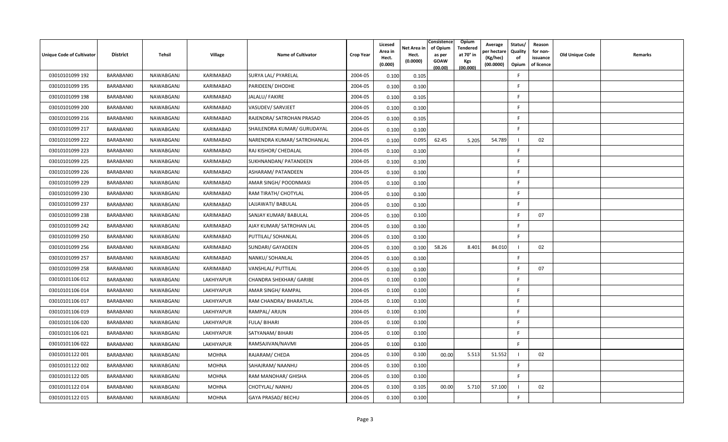| Unique Code of Cultivator | <b>District</b>  | Tehsil    | Village      | <b>Name of Cultivator</b>   | <b>Crop Year</b> | Licesed<br>Area in<br>Hect.<br>(0.000) | Net Area in<br>Hect.<br>(0.0000) | Consistence<br>of Opium<br>as per<br><b>GOAW</b><br>(00.00) | Opium<br>Tendered<br>at 70° in<br>Kgs<br>(00.000) | Average<br>oer hectare<br>(Kg/hec)<br>(00.0000) | Status/<br>Quality<br>of<br>Opium | Reason<br>for non-<br>issuance<br>of licence | Old Unique Code | Remarks |
|---------------------------|------------------|-----------|--------------|-----------------------------|------------------|----------------------------------------|----------------------------------|-------------------------------------------------------------|---------------------------------------------------|-------------------------------------------------|-----------------------------------|----------------------------------------------|-----------------|---------|
| 03010101099 192           | <b>BARABANKI</b> | NAWABGANJ | KARIMABAD    | <b>SURYA LAL/ PYARELAL</b>  | 2004-05          | 0.100                                  | 0.105                            |                                                             |                                                   |                                                 | F.                                |                                              |                 |         |
| 03010101099 195           | BARABANKI        | NAWABGANJ | KARIMABAD    | PARIDEEN/ DHODHE            | 2004-05          | 0.100                                  | 0.100                            |                                                             |                                                   |                                                 | F                                 |                                              |                 |         |
| 03010101099 198           | BARABANKI        | NAWABGANJ | KARIMABAD    | JALALU/ FAKIRE              | 2004-05          | 0.100                                  | 0.105                            |                                                             |                                                   |                                                 | F.                                |                                              |                 |         |
| 03010101099 200           | BARABANKI        | NAWABGANJ | KARIMABAD    | VASUDEV/ SARVJEET           | 2004-05          | 0.100                                  | 0.100                            |                                                             |                                                   |                                                 | F.                                |                                              |                 |         |
| 03010101099 216           | BARABANKI        | NAWABGANJ | KARIMABAD    | RAJENDRA/ SATROHAN PRASAD   | 2004-05          | 0.100                                  | 0.105                            |                                                             |                                                   |                                                 | F.                                |                                              |                 |         |
| 03010101099 217           | BARABANKI        | NAWABGANJ | KARIMABAD    | SHAILENDRA KUMAR/ GURUDAYAL | 2004-05          | 0.100                                  | 0.100                            |                                                             |                                                   |                                                 | F.                                |                                              |                 |         |
| 03010101099 222           | BARABANKI        | NAWABGANJ | KARIMABAD    | NARENDRA KUMAR/ SATROHANLAL | 2004-05          | 0.100                                  | 0.095                            | 62.45                                                       | 5.205                                             | 54.789                                          |                                   | 02                                           |                 |         |
| 03010101099 223           | <b>BARABANKI</b> | NAWABGANJ | KARIMABAD    | RAJ KISHOR/ CHEDALAL        | 2004-05          | 0.100                                  | 0.100                            |                                                             |                                                   |                                                 | F.                                |                                              |                 |         |
| 03010101099 225           | BARABANKI        | NAWABGANJ | KARIMABAD    | SUKHNANDAN/ PATANDEEN       | 2004-05          | 0.100                                  | 0.100                            |                                                             |                                                   |                                                 | F                                 |                                              |                 |         |
| 03010101099 226           | BARABANKI        | NAWABGANJ | KARIMABAD    | ASHARAM/ PATANDEEN          | 2004-05          | 0.100                                  | 0.100                            |                                                             |                                                   |                                                 | F.                                |                                              |                 |         |
| 03010101099 229           | BARABANKI        | NAWABGANJ | KARIMABAD    | AMAR SINGH/ POODNMASI       | 2004-05          | 0.100                                  | 0.100                            |                                                             |                                                   |                                                 | F.                                |                                              |                 |         |
| 03010101099 230           | BARABANKI        | NAWABGANJ | KARIMABAD    | RAM TIRATH/ CHOTYLAL        | 2004-05          | 0.100                                  | 0.100                            |                                                             |                                                   |                                                 | F.                                |                                              |                 |         |
| 03010101099 237           | BARABANKI        | NAWABGANJ | KARIMABAD    | LAJJAWATI/ BABULAL          | 2004-05          | 0.100                                  | 0.100                            |                                                             |                                                   |                                                 | F.                                |                                              |                 |         |
| 03010101099 238           | BARABANKI        | NAWABGANJ | KARIMABAD    | SANJAY KUMAR/ BABULAL       | 2004-05          | 0.100                                  | 0.100                            |                                                             |                                                   |                                                 | -F                                | 07                                           |                 |         |
| 03010101099 242           | BARABANKI        | NAWABGANJ | KARIMABAD    | AJAY KUMAR/ SATROHAN LAL    | 2004-05          | 0.100                                  | 0.100                            |                                                             |                                                   |                                                 | F.                                |                                              |                 |         |
| 03010101099 250           | BARABANKI        | NAWABGANJ | KARIMABAD    | PUTTILAL/ SOHANLAL          | 2004-05          | 0.100                                  | 0.100                            |                                                             |                                                   |                                                 | F.                                |                                              |                 |         |
| 03010101099 256           | BARABANKI        | NAWABGANJ | KARIMABAD    | SUNDARI/ GAYADEEN           | 2004-05          | 0.100                                  | 0.100                            | 58.26                                                       | 8.401                                             | 84.010                                          |                                   | 02                                           |                 |         |
| 03010101099 257           | BARABANKI        | NAWABGANJ | KARIMABAD    | NANKU/ SOHANLAL             | 2004-05          | 0.100                                  | 0.100                            |                                                             |                                                   |                                                 | F.                                |                                              |                 |         |
| 03010101099 258           | BARABANKI        | NAWABGANJ | KARIMABAD    | VANSHLAL/ PUTTILAL          | 2004-05          | 0.100                                  | 0.100                            |                                                             |                                                   |                                                 | F                                 | 07                                           |                 |         |
| 03010101106 012           | BARABANKI        | NAWABGANJ | LAKHIYAPUR   | CHANDRA SHEKHAR/ GARIBE     | 2004-05          | 0.100                                  | 0.100                            |                                                             |                                                   |                                                 | F.                                |                                              |                 |         |
| 03010101106014            | BARABANKI        | NAWABGANJ | LAKHIYAPUR   | <b>AMAR SINGH/ RAMPAL</b>   | 2004-05          | 0.100                                  | 0.100                            |                                                             |                                                   |                                                 | F                                 |                                              |                 |         |
| 03010101106 017           | BARABANKI        | NAWABGANJ | LAKHIYAPUR   | RAM CHANDRA/ BHARATLAL      | 2004-05          | 0.100                                  | 0.100                            |                                                             |                                                   |                                                 | E                                 |                                              |                 |         |
| 03010101106019            | BARABANKI        | NAWABGANJ | LAKHIYAPUR   | RAMPAL/ ARJUN               | 2004-05          | 0.100                                  | 0.100                            |                                                             |                                                   |                                                 | F.                                |                                              |                 |         |
| 03010101106 020           | BARABANKI        | NAWABGANJ | LAKHIYAPUR   | <b>FULA/BIHARI</b>          | 2004-05          | 0.100                                  | 0.100                            |                                                             |                                                   |                                                 | F                                 |                                              |                 |         |
| 03010101106 021           | BARABANKI        | NAWABGANJ | LAKHIYAPUR   | SATYANAM/ BIHARI            | 2004-05          | 0.100                                  | 0.100                            |                                                             |                                                   |                                                 | F.                                |                                              |                 |         |
| 03010101106022            | BARABANKI        | NAWABGANJ | LAKHIYAPUR   | RAMSAJIVAN/NAVMI            | 2004-05          | 0.100                                  | 0.100                            |                                                             |                                                   |                                                 | F                                 |                                              |                 |         |
| 03010101122 001           | BARABANKI        | NAWABGANJ | <b>MOHNA</b> | RAJARAM/ CHEDA              | 2004-05          | 0.100                                  | 0.100                            | 00.00                                                       | 5.513                                             | 51.552                                          |                                   | 02                                           |                 |         |
| 03010101122 002           | BARABANKI        | NAWABGANJ | <b>MOHNA</b> | SAHAJRAM/ NAANHU            | 2004-05          | 0.100                                  | 0.100                            |                                                             |                                                   |                                                 | F.                                |                                              |                 |         |
| 03010101122 005           | BARABANKI        | NAWABGANJ | <b>MOHNA</b> | RAM MANOHAR/ GHISHA         | 2004-05          | 0.100                                  | 0.100                            |                                                             |                                                   |                                                 | F.                                |                                              |                 |         |
| 03010101122 014           | <b>BARABANKI</b> | NAWABGANJ | <b>MOHNA</b> | CHOTYLAL/ NANHU             | 2004-05          | 0.100                                  | 0.105                            | 00.00                                                       | 5.710                                             | 57.100                                          |                                   | 02                                           |                 |         |
| 03010101122 015           | BARABANKI        | NAWABGANJ | <b>MOHNA</b> | GAYA PRASAD/ BECHU          | 2004-05          | 0.100                                  | 0.100                            |                                                             |                                                   |                                                 | F                                 |                                              |                 |         |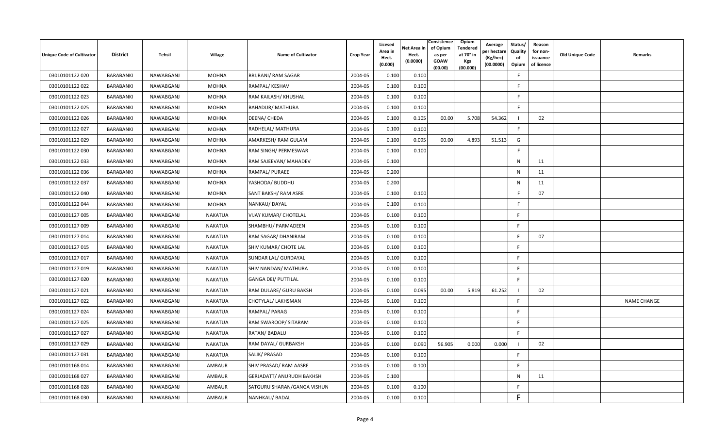| Unique Code of Cultivator | <b>District</b> | Tehsil    | Village        | <b>Name of Cultivator</b>        | <b>Crop Year</b> | Licesed<br>Area in<br>Hect.<br>(0.000) | Net Area in<br>Hect.<br>(0.0000) | Consistence<br>of Opium<br>as per<br><b>GOAW</b><br>(00.00) | Opium<br><b>Tendered</b><br>at 70° in<br>Kgs<br>(00.000) | Average<br>oer hectare<br>(Kg/hec)<br>(00.0000) | Status/<br>Quality<br>of<br>Opium | Reason<br>for non-<br>issuance<br>of licence | Old Unique Code | Remarks            |
|---------------------------|-----------------|-----------|----------------|----------------------------------|------------------|----------------------------------------|----------------------------------|-------------------------------------------------------------|----------------------------------------------------------|-------------------------------------------------|-----------------------------------|----------------------------------------------|-----------------|--------------------|
| 03010101122 020           | BARABANKI       | NAWABGANJ | <b>MOHNA</b>   | <b>BRIJRANI/ RAM SAGAR</b>       | 2004-05          | 0.100                                  | 0.100                            |                                                             |                                                          |                                                 | E                                 |                                              |                 |                    |
| 03010101122 022           | BARABANKI       | NAWABGANJ | MOHNA          | RAMPAL/ KESHAV                   | 2004-05          | 0.100                                  | 0.100                            |                                                             |                                                          |                                                 | F.                                |                                              |                 |                    |
| 03010101122 023           | BARABANKI       | NAWABGANJ | <b>MOHNA</b>   | RAM KAILASH/ KHUSHAL             | 2004-05          | 0.100                                  | 0.100                            |                                                             |                                                          |                                                 | F.                                |                                              |                 |                    |
| 03010101122 025           | BARABANKI       | NAWABGANJ | <b>MOHNA</b>   | <b>BAHADUR/ MATHURA</b>          | 2004-05          | 0.100                                  | 0.100                            |                                                             |                                                          |                                                 | F.                                |                                              |                 |                    |
| 03010101122 026           | BARABANKI       | NAWABGANJ | <b>MOHNA</b>   | DEENA/ CHEDA                     | 2004-05          | 0.100                                  | 0.105                            | 00.00                                                       | 5.708                                                    | 54.362                                          |                                   | 02                                           |                 |                    |
| 03010101122 027           | BARABANKI       | NAWABGANJ | <b>MOHNA</b>   | RADHELAL/ MATHURA                | 2004-05          | 0.100                                  | 0.100                            |                                                             |                                                          |                                                 | F.                                |                                              |                 |                    |
| 03010101122 029           | BARABANKI       | NAWABGANJ | <b>MOHNA</b>   | AMARKESH/ RAM GULAM              | 2004-05          | 0.100                                  | 0.095                            | 00.00                                                       | 4.893                                                    | 51.513                                          | G                                 |                                              |                 |                    |
| 03010101122 030           | BARABANKI       | NAWABGANJ | <b>MOHNA</b>   | RAM SINGH/ PERMESWAR             | 2004-05          | 0.100                                  | 0.100                            |                                                             |                                                          |                                                 | F.                                |                                              |                 |                    |
| 03010101122 033           | BARABANKI       | NAWABGANJ | <b>MOHNA</b>   | RAM SAJEEVAN/ MAHADEV            | 2004-05          | 0.100                                  |                                  |                                                             |                                                          |                                                 | N                                 | 11                                           |                 |                    |
| 03010101122 036           | BARABANKI       | NAWABGANJ | <b>MOHNA</b>   | RAMPAL/ PURAEE                   | 2004-05          | 0.200                                  |                                  |                                                             |                                                          |                                                 | N                                 | 11                                           |                 |                    |
| 03010101122 037           | BARABANKI       | NAWABGANJ | MOHNA          | YASHODA/ BUDDHU                  | 2004-05          | 0.200                                  |                                  |                                                             |                                                          |                                                 | N                                 | 11                                           |                 |                    |
| 03010101122040            | BARABANKI       | NAWABGANJ | <b>MOHNA</b>   | SANT BAKSH/ RAM ASRE             | 2004-05          | 0.100                                  | 0.100                            |                                                             |                                                          |                                                 | -F.                               | 07                                           |                 |                    |
| 03010101122 044           | BARABANKI       | NAWABGANJ | <b>MOHNA</b>   | NANKAU/DAYAL                     | 2004-05          | 0.100                                  | 0.100                            |                                                             |                                                          |                                                 | F.                                |                                              |                 |                    |
| 03010101127 005           | BARABANKI       | NAWABGANJ | <b>NAKATUA</b> | VIJAY KUMAR/ CHOTELAL            | 2004-05          | 0.100                                  | 0.100                            |                                                             |                                                          |                                                 | F                                 |                                              |                 |                    |
| 03010101127 009           | BARABANKI       | NAWABGANJ | <b>NAKATUA</b> | SHAMBHU/ PARMADEEN               | 2004-05          | 0.100                                  | 0.100                            |                                                             |                                                          |                                                 | F.                                |                                              |                 |                    |
| 03010101127 014           | BARABANKI       | NAWABGANJ | <b>NAKATUA</b> | RAM SAGAR/ DHANIRAM              | 2004-05          | 0.100                                  | 0.100                            |                                                             |                                                          |                                                 | F                                 | 07                                           |                 |                    |
| 03010101127 015           | BARABANKI       | NAWABGANJ | <b>NAKATUA</b> | SHIV KUMAR/ CHOTE LAL            | 2004-05          | 0.100                                  | 0.100                            |                                                             |                                                          |                                                 | E                                 |                                              |                 |                    |
| 03010101127 017           | BARABANKI       | NAWABGANJ | <b>NAKATUA</b> | SUNDAR LAL/ GURDAYAL             | 2004-05          | 0.100                                  | 0.100                            |                                                             |                                                          |                                                 | F.                                |                                              |                 |                    |
| 03010101127019            | BARABANKI       | NAWABGANJ | <b>NAKATUA</b> | SHIV NANDAN/ MATHURA             | 2004-05          | 0.100                                  | 0.100                            |                                                             |                                                          |                                                 | F                                 |                                              |                 |                    |
| 03010101127 020           | BARABANKI       | NAWABGANJ | <b>NAKATUA</b> | <b>GANGA DEI/ PUTTILAL</b>       | 2004-05          | 0.100                                  | 0.100                            |                                                             |                                                          |                                                 | F                                 |                                              |                 |                    |
| 03010101127 021           | BARABANKI       | NAWABGANJ | <b>NAKATUA</b> | RAM DULARE/ GURU BAKSH           | 2004-05          | 0.100                                  | 0.095                            | 00.00                                                       | 5.819                                                    | 61.252                                          | - 1                               | 02                                           |                 |                    |
| 03010101127 022           | BARABANKI       | NAWABGANJ | <b>NAKATUA</b> | CHOTYLAL/ LAKHSMAN               | 2004-05          | 0.100                                  | 0.100                            |                                                             |                                                          |                                                 | F.                                |                                              |                 | <b>NAME CHANGE</b> |
| 03010101127024            | BARABANKI       | NAWABGANJ | <b>NAKATUA</b> | RAMPAL/PARAG                     | 2004-05          | 0.100                                  | 0.100                            |                                                             |                                                          |                                                 | F                                 |                                              |                 |                    |
| 03010101127 025           | BARABANKI       | NAWABGANJ | <b>NAKATUA</b> | RAM SWAROOP/ SITARAM             | 2004-05          | 0.100                                  | 0.100                            |                                                             |                                                          |                                                 | F                                 |                                              |                 |                    |
| 03010101127 027           | BARABANKI       | NAWABGANJ | <b>NAKATUA</b> | RATAN/ BADALU                    | 2004-05          | 0.100                                  | 0.100                            |                                                             |                                                          |                                                 | F.                                |                                              |                 |                    |
| 03010101127 029           | BARABANKI       | NAWABGANJ | NAKATUA        | RAM DAYAL/ GURBAKSH              | 2004-05          | 0.100                                  | 0.090                            | 56.905                                                      | 0.000                                                    | 0.000                                           | - 1                               | 02                                           |                 |                    |
| 03010101127031            | BARABANKI       | NAWABGANJ | NAKATUA        | SALIK/ PRASAD                    | 2004-05          | 0.100                                  | 0.100                            |                                                             |                                                          |                                                 | F.                                |                                              |                 |                    |
| 03010101168014            | BARABANKI       | NAWABGANJ | AMBAUR         | SHIV PRASAD/ RAM AASRE           | 2004-05          | 0.100                                  | 0.100                            |                                                             |                                                          |                                                 | -F                                |                                              |                 |                    |
| 03010101168 027           | BARABANKI       | NAWABGANJ | AMBAUR         | <b>GERJADATT/ ANURUDH BAKHSH</b> | 2004-05          | 0.100                                  |                                  |                                                             |                                                          |                                                 | N                                 | 11                                           |                 |                    |
| 03010101168028            | BARABANKI       | NAWABGANJ | AMBAUR         | SATGURU SHARAN/GANGA VISHUN      | 2004-05          | 0.100                                  | 0.100                            |                                                             |                                                          |                                                 | -F                                |                                              |                 |                    |
| 03010101168 030           | BARABANKI       | NAWABGANJ | AMBAUR         | NANHKAU/ BADAL                   | 2004-05          | 0.100                                  | 0.100                            |                                                             |                                                          |                                                 | F                                 |                                              |                 |                    |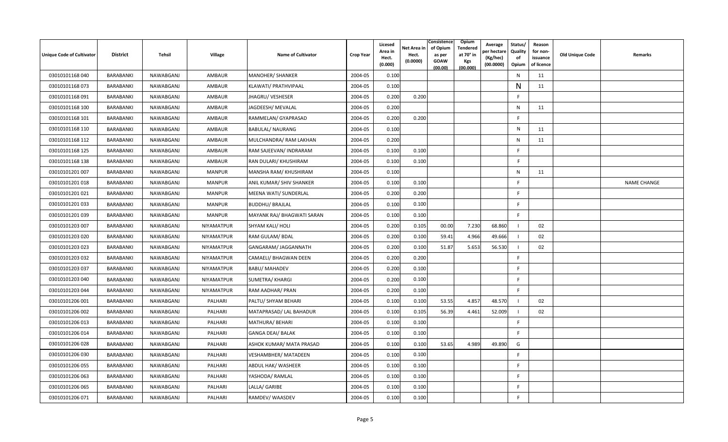| <b>Unique Code of Cultivator</b> | <b>District</b> | Tehsil    | Village       | <b>Name of Cultivator</b>   | <b>Crop Year</b> | Licesed<br>Area in<br>Hect.<br>(0.000) | Net Area in<br>Hect.<br>(0.0000) | Consistence<br>of Opium<br>as per<br><b>GOAW</b><br>(00.00) | <b>Opium</b><br>Tendered<br>at 70° in<br><b>Kgs</b><br>(00.000) | Average<br>per hectarı<br>(Kg/hec)<br>(00.0000) | Status/<br>Quality<br>of<br>Opium | Reason<br>for non-<br>issuance<br>of licence | <b>Old Unique Code</b> | Remarks            |
|----------------------------------|-----------------|-----------|---------------|-----------------------------|------------------|----------------------------------------|----------------------------------|-------------------------------------------------------------|-----------------------------------------------------------------|-------------------------------------------------|-----------------------------------|----------------------------------------------|------------------------|--------------------|
| 03010101168 040                  | BARABANKI       | NAWABGANJ | <b>AMBAUR</b> | MANOHER/ SHANKER            | 2004-05          | 0.100                                  |                                  |                                                             |                                                                 |                                                 | $\mathsf{N}$                      | 11                                           |                        |                    |
| 03010101168 073                  | BARABANKI       | NAWABGANJ | AMBAUR        | KLAWATI/ PRATHVIPAAL        | 2004-05          | 0.100                                  |                                  |                                                             |                                                                 |                                                 | N                                 | 11                                           |                        |                    |
| 03010101168091                   | BARABANKI       | NAWABGANJ | AMBAUR        | JHAGRU/ VESHESER            | 2004-05          | 0.200                                  | 0.200                            |                                                             |                                                                 |                                                 | -F                                |                                              |                        |                    |
| 03010101168 100                  | BARABANKI       | NAWABGANJ | AMBAUR        | JAGDEESH/ MEVALAL           | 2004-05          | 0.200                                  |                                  |                                                             |                                                                 |                                                 | N                                 | 11                                           |                        |                    |
| 03010101168 101                  | BARABANKI       | NAWABGANJ | AMBAUR        | RAMMELAN/ GYAPRASAD         | 2004-05          | 0.200                                  | 0.200                            |                                                             |                                                                 |                                                 | F.                                |                                              |                        |                    |
| 03010101168 110                  | BARABANKI       | NAWABGANJ | <b>AMBAUR</b> | <b>BABULAL/ NAURANG</b>     | 2004-05          | 0.100                                  |                                  |                                                             |                                                                 |                                                 | N                                 | 11                                           |                        |                    |
| 03010101168 112                  | BARABANKI       | NAWABGANJ | AMBAUR        | MULCHANDRA/ RAM LAKHAN      | 2004-05          | 0.200                                  |                                  |                                                             |                                                                 |                                                 | $\mathsf{N}$                      | 11                                           |                        |                    |
| 03010101168 125                  | BARABANKI       | NAWABGANJ | AMBAUR        | RAM SAJEEVAN/ INDRARAM      | 2004-05          | 0.100                                  | 0.100                            |                                                             |                                                                 |                                                 | E                                 |                                              |                        |                    |
| 03010101168 138                  | BARABANKI       | NAWABGANJ | AMBAUR        | RAN DULARI/ KHUSHIRAM       | 2004-05          | 0.100                                  | 0.100                            |                                                             |                                                                 |                                                 | F.                                |                                              |                        |                    |
| 03010101201 007                  | BARABANKI       | NAWABGANJ | <b>MANPUR</b> | MANSHA RAM/ KHUSHIRAM       | 2004-05          | 0.100                                  |                                  |                                                             |                                                                 |                                                 | $\mathsf{N}$                      | 11                                           |                        |                    |
| 03010101201018                   | BARABANKI       | NAWABGANJ | <b>MANPUR</b> | ANIL KUMAR/ SHIV SHANKER    | 2004-05          | 0.100                                  | 0.100                            |                                                             |                                                                 |                                                 | -F                                |                                              |                        | <b>NAME CHANGE</b> |
| 03010101201 021                  | BARABANKI       | NAWABGANJ | <b>MANPUR</b> | MEENA WATI/ SUNDERLAL       | 2004-05          | 0.200                                  | 0.200                            |                                                             |                                                                 |                                                 | F                                 |                                              |                        |                    |
| 03010101201 033                  | BARABANKI       | NAWABGANJ | <b>MANPUR</b> | <b>BUDDHU/ BRAJLAL</b>      | 2004-05          | 0.100                                  | 0.100                            |                                                             |                                                                 |                                                 | -F                                |                                              |                        |                    |
| 03010101201 039                  | BARABANKI       | NAWABGANJ | <b>MANPUR</b> | MAYANK RAJ/ BHAGWATI SARAN  | 2004-05          | 0.100                                  | 0.100                            |                                                             |                                                                 |                                                 | F.                                |                                              |                        |                    |
| 03010101203 007                  | BARABANKI       | NAWABGANJ | NIYAMATPUR    | SHYAM KALI/ HOLI            | 2004-05          | 0.200                                  | 0.105                            | 00.00                                                       | 7.230                                                           | 68.860                                          |                                   | 02                                           |                        |                    |
| 03010101203 020                  | BARABANKI       | NAWABGANJ | NIYAMATPUR    | RAM GULAM/ BDAL             | 2004-05          | 0.200                                  | 0.100                            | 59.41                                                       | 4.966                                                           | 49.666                                          | -1                                | 02                                           |                        |                    |
| 03010101203 023                  | BARABANKI       | NAWABGANJ | NIYAMATPUR    | GANGARAM/ JAGGANNATH        | 2004-05          | 0.200                                  | 0.100                            | 51.87                                                       | 5.653                                                           | 56.530                                          |                                   | 02                                           |                        |                    |
| 03010101203 032                  | BARABANKI       | NAWABGANJ | NIYAMATPUR    | CAMAELI/ BHAGWAN DEEN       | 2004-05          | 0.200                                  | 0.200                            |                                                             |                                                                 |                                                 | -F                                |                                              |                        |                    |
| 03010101203 037                  | BARABANKI       | NAWABGANJ | NIYAMATPUR    | <b>BABU/ MAHADEV</b>        | 2004-05          | 0.200                                  | 0.100                            |                                                             |                                                                 |                                                 | F                                 |                                              |                        |                    |
| 03010101203 040                  | BARABANKI       | NAWABGANJ | NIYAMATPUR    | SUMETRA/ KHARGI             | 2004-05          | 0.200                                  | 0.100                            |                                                             |                                                                 |                                                 | -F                                |                                              |                        |                    |
| 03010101203 044                  | BARABANKI       | NAWABGANJ | NIYAMATPUR    | RAM AADHAR/ PRAN            | 2004-05          | 0.200                                  | 0.100                            |                                                             |                                                                 |                                                 | F.                                |                                              |                        |                    |
| 03010101206 001                  | BARABANKI       | NAWABGANJ | PALHARI       | PALTU/ SHYAM BEHARI         | 2004-05          | 0.100                                  | 0.100                            | 53.55                                                       | 4.857                                                           | 48.570                                          |                                   | 02                                           |                        |                    |
| 03010101206 002                  | BARABANKI       | NAWABGANJ | PALHARI       | MATAPRASAD/ LAL BAHADUR     | 2004-05          | 0.100                                  | 0.105                            | 56.39                                                       | 4.461                                                           | 52.009                                          |                                   | 02                                           |                        |                    |
| 03010101206 013                  | BARABANKI       | NAWABGANJ | PALHARI       | MATHURA/ BEHARI             | 2004-05          | 0.100                                  | 0.100                            |                                                             |                                                                 |                                                 | F                                 |                                              |                        |                    |
| 03010101206 014                  | BARABANKI       | NAWABGANJ | PALHARI       | <b>GANGA DEAI/ BALAK</b>    | 2004-05          | 0.100                                  | 0.100                            |                                                             |                                                                 |                                                 | F.                                |                                              |                        |                    |
| 03010101206 028                  | BARABANKI       | NAWABGANJ | PALHARI       | ASHOK KUMAR/ MATA PRASAD    | 2004-05          | 0.100                                  | 0.100                            | 53.65                                                       | 4.989                                                           | 49.890                                          | G                                 |                                              |                        |                    |
| 03010101206 030                  | BARABANKI       | NAWABGANJ | PALHARI       | <b>VESHAMBHER/ MATADEEN</b> | 2004-05          | 0.100                                  | 0.100                            |                                                             |                                                                 |                                                 | F                                 |                                              |                        |                    |
| 03010101206 055                  | BARABANKI       | NAWABGANJ | PALHARI       | ABDUL HAK/ WASHEER          | 2004-05          | 0.100                                  | 0.100                            |                                                             |                                                                 |                                                 | -F                                |                                              |                        |                    |
| 03010101206 063                  | BARABANKI       | NAWABGANJ | PALHARI       | YASHODA/ RAMLAL             | 2004-05          | 0.100                                  | 0.100                            |                                                             |                                                                 |                                                 | -F                                |                                              |                        |                    |
| 03010101206 065                  | BARABANKI       | NAWABGANJ | PALHARI       | LALLA/ GARIBE               | 2004-05          | 0.100                                  | 0.100                            |                                                             |                                                                 |                                                 | -F                                |                                              |                        |                    |
| 03010101206 071                  | BARABANKI       | NAWABGANJ | PALHARI       | RAMDEV/WAASDEV              | 2004-05          | 0.100                                  | 0.100                            |                                                             |                                                                 |                                                 | F                                 |                                              |                        |                    |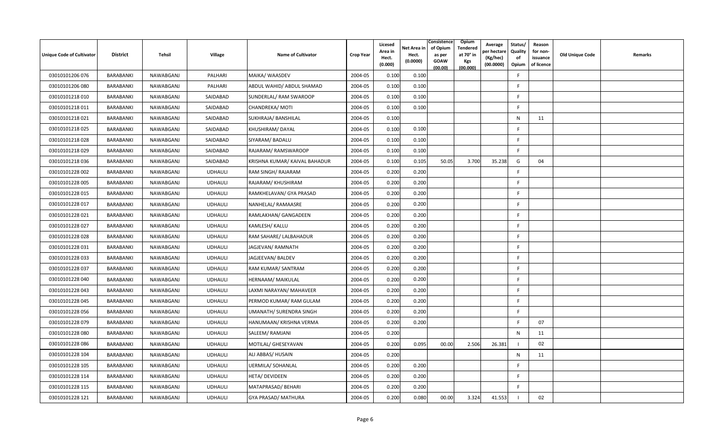| Unique Code of Cultivator | <b>District</b> | Tehsil    | Village        | <b>Name of Cultivator</b>     | <b>Crop Year</b> | Licesed<br>Area in<br>Hect.<br>(0.000) | Net Area in<br>Hect.<br>(0.0000) | Consistence<br>Opium<br>of Opium<br>Tendered<br>at 70° in<br>as per<br>GOAW<br>Kgs<br>(00.000)<br>(00.00) | Average<br>oer hectare<br>(Kg/hec)<br>(00.0000) | Status/<br>Quality<br>of<br>Opium | Reason<br>for non-<br>issuance<br>of licence | Old Unique Code | Remarks |
|---------------------------|-----------------|-----------|----------------|-------------------------------|------------------|----------------------------------------|----------------------------------|-----------------------------------------------------------------------------------------------------------|-------------------------------------------------|-----------------------------------|----------------------------------------------|-----------------|---------|
| 03010101206 076           | BARABANKI       | NAWABGANJ | PALHARI        | MAIKA/ WAASDEV                | 2004-05          | 0.100                                  | 0.100                            |                                                                                                           |                                                 | E                                 |                                              |                 |         |
| 03010101206 080           | BARABANKI       | NAWABGANJ | PALHARI        | ABDUL WAHID/ ABDUL SHAMAD     | 2004-05          | 0.100                                  | 0.100                            |                                                                                                           |                                                 | F                                 |                                              |                 |         |
| 03010101218010            | BARABANKI       | NAWABGANJ | SAIDABAD       | SUNDERLAL/ RAM SWAROOP        | 2004-05          | 0.100                                  | 0.100                            |                                                                                                           |                                                 | F.                                |                                              |                 |         |
| 03010101218011            | BARABANKI       | NAWABGANJ | SAIDABAD       | CHANDREKA/ MOTI               | 2004-05          | 0.100                                  | 0.100                            |                                                                                                           |                                                 | F                                 |                                              |                 |         |
| 03010101218021            | BARABANKI       | NAWABGANJ | SAIDABAD       | SUKHRAJA/ BANSHILAL           | 2004-05          | 0.100                                  |                                  |                                                                                                           |                                                 | N                                 | 11                                           |                 |         |
| 03010101218025            | BARABANKI       | NAWABGANJ | SAIDABAD       | KHUSHIRAM/DAYAL               | 2004-05          | 0.100                                  | 0.100                            |                                                                                                           |                                                 | F.                                |                                              |                 |         |
| 03010101218028            | BARABANKI       | NAWABGANJ | SAIDABAD       | SIYARAM/ BADALU               | 2004-05          | 0.100                                  | 0.100                            |                                                                                                           |                                                 | -F                                |                                              |                 |         |
| 03010101218029            | BARABANKI       | NAWABGANJ | SAIDABAD       | RAJARAM/RAMSWAROOP            | 2004-05          | 0.100                                  | 0.100                            |                                                                                                           |                                                 | F.                                |                                              |                 |         |
| 03010101218036            | BARABANKI       | NAWABGANJ | SAIDABAD       | KRISHNA KUMAR/ KAIVAL BAHADUR | 2004-05          | 0.100                                  | 0.105                            | 50.05<br>3.700                                                                                            | 35.238                                          | G                                 | 04                                           |                 |         |
| 03010101228 002           | BARABANKI       | NAWABGANJ | <b>UDHAULI</b> | RAM SINGH/RAJARAM             | 2004-05          | 0.200                                  | 0.200                            |                                                                                                           |                                                 | F.                                |                                              |                 |         |
| 03010101228 005           | BARABANKI       | NAWABGANJ | <b>UDHAULI</b> | RAJARAM/ KHUSHIRAM            | 2004-05          | 0.200                                  | 0.200                            |                                                                                                           |                                                 | F.                                |                                              |                 |         |
| 03010101228 015           | BARABANKI       | NAWABGANJ | <b>UDHAULI</b> | RAMKHELAVAN/ GYA PRASAD       | 2004-05          | 0.200                                  | 0.200                            |                                                                                                           |                                                 | F                                 |                                              |                 |         |
| 03010101228 017           | BARABANKI       | NAWABGANJ | <b>UDHAULI</b> | NANHELAL/RAMAASRE             | 2004-05          | 0.200                                  | 0.200                            |                                                                                                           |                                                 | F                                 |                                              |                 |         |
| 03010101228 021           | BARABANKI       | NAWABGANJ | <b>UDHAULI</b> | RAMLAKHAN/ GANGADEEN          | 2004-05          | 0.200                                  | 0.200                            |                                                                                                           |                                                 | F.                                |                                              |                 |         |
| 03010101228027            | BARABANKI       | NAWABGANJ | <b>UDHAULI</b> | KAMLESH/ KALLU                | 2004-05          | 0.200                                  | 0.200                            |                                                                                                           |                                                 | F                                 |                                              |                 |         |
| 03010101228 028           | BARABANKI       | NAWABGANJ | <b>UDHAULI</b> | RAM SAHARE/ LALBAHADUR        | 2004-05          | 0.200                                  | 0.200                            |                                                                                                           |                                                 | F.                                |                                              |                 |         |
| 03010101228 031           | BARABANKI       | NAWABGANJ | <b>UDHAULI</b> | JAGJEVAN/RAMNATH              | 2004-05          | 0.200                                  | 0.200                            |                                                                                                           |                                                 | F.                                |                                              |                 |         |
| 03010101228 033           | BARABANKI       | NAWABGANJ | <b>UDHAULI</b> | JAGJEEVAN/ BALDEV             | 2004-05          | 0.200                                  | 0.200                            |                                                                                                           |                                                 | F                                 |                                              |                 |         |
| 03010101228 037           | BARABANKI       | NAWABGANJ | <b>UDHAULI</b> | RAM KUMAR/ SANTRAM            | 2004-05          | 0.200                                  | 0.200                            |                                                                                                           |                                                 | F                                 |                                              |                 |         |
| 03010101228 040           | BARABANKI       | NAWABGANJ | <b>UDHAULI</b> | HERNAAM/ MAIKULAL             | 2004-05          | 0.200                                  | 0.200                            |                                                                                                           |                                                 | F.                                |                                              |                 |         |
| 03010101228 043           | BARABANKI       | NAWABGANJ | <b>UDHAULI</b> | LAXMI NARAYAN/ MAHAVEER       | 2004-05          | 0.200                                  | 0.200                            |                                                                                                           |                                                 | F.                                |                                              |                 |         |
| 03010101228 045           | BARABANKI       | NAWABGANJ | <b>UDHAULI</b> | PERMOD KUMAR/RAM GULAM        | 2004-05          | 0.200                                  | 0.200                            |                                                                                                           |                                                 | F.                                |                                              |                 |         |
| 03010101228 056           | BARABANKI       | NAWABGANJ | <b>UDHAULI</b> | UMANATH/ SURENDRA SINGH       | 2004-05          | 0.200                                  | 0.200                            |                                                                                                           |                                                 | F                                 |                                              |                 |         |
| 03010101228 079           | BARABANKI       | NAWABGANJ | <b>UDHAULI</b> | HANUMAAN/ KRISHNA VERMA       | 2004-05          | 0.200                                  | 0.200                            |                                                                                                           |                                                 | -F                                | 07                                           |                 |         |
| 03010101228 080           | BARABANKI       | NAWABGANJ | <b>UDHAULI</b> | SALEEM/ RAMJANI               | 2004-05          | 0.200                                  |                                  |                                                                                                           |                                                 | ${\sf N}$                         | 11                                           |                 |         |
| 03010101228 086           | BARABANKI       | NAWABGANJ | <b>UDHAULI</b> | MOTILAL/ GHESEYAVAN           | 2004-05          | 0.200                                  | 0.095                            | 2.506<br>00.00                                                                                            | 26.381                                          |                                   | 02                                           |                 |         |
| 03010101228 104           | BARABANKI       | NAWABGANJ | <b>UDHAULI</b> | ALI ABBAS/ HUSAIN             | 2004-05          | 0.200                                  |                                  |                                                                                                           |                                                 | N                                 | 11                                           |                 |         |
| 03010101228 105           | BARABANKI       | NAWABGANJ | <b>UDHAULI</b> | <b>UERMILA/ SOHANLAL</b>      | 2004-05          | 0.200                                  | 0.200                            |                                                                                                           |                                                 | E                                 |                                              |                 |         |
| 03010101228 114           | BARABANKI       | NAWABGANJ | <b>UDHAULI</b> | HETA/ DEVIDEEN                | 2004-05          | 0.200                                  | 0.200                            |                                                                                                           |                                                 | -F.                               |                                              |                 |         |
| 03010101228 115           | BARABANKI       | NAWABGANJ | <b>UDHAULI</b> | MATAPRASAD/ BEHARI            | 2004-05          | 0.200                                  | 0.200                            |                                                                                                           |                                                 | F.                                |                                              |                 |         |
| 03010101228 121           | BARABANKI       | NAWABGANJ | <b>UDHAULI</b> | <b>GYA PRASAD/ MATHURA</b>    | 2004-05          | 0.200                                  | 0.080                            | 00.00                                                                                                     | 3.324<br>41.553                                 |                                   | 02                                           |                 |         |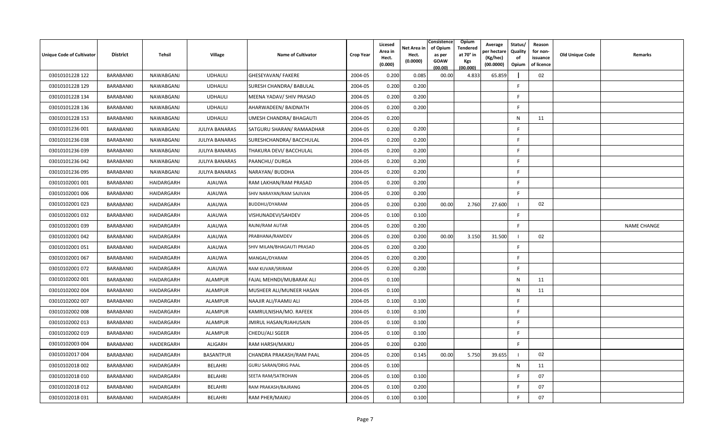| Unique Code of Cultivator | <b>District</b> | Tehsil     | Village               | <b>Name of Cultivator</b>   | <b>Crop Year</b> | Licesed<br>Area in<br>Hect.<br>(0.000) | Net Area in<br>Hect.<br>(0.0000) | Consistence<br>of Opium<br>as per<br><b>GOAW</b><br>(00.00) | Opium<br><b>Tendered</b><br>at 70° in<br>Kgs<br>(00.000) | Average<br>oer hectare<br>(Kg/hec)<br>(00.0000) | Status/<br>Quality<br>of<br>Opium | Reason<br>for non-<br>issuance<br>of licence | Old Unique Code | Remarks            |
|---------------------------|-----------------|------------|-----------------------|-----------------------------|------------------|----------------------------------------|----------------------------------|-------------------------------------------------------------|----------------------------------------------------------|-------------------------------------------------|-----------------------------------|----------------------------------------------|-----------------|--------------------|
| 03010101228 122           | BARABANKI       | NAWABGANJ  | <b>UDHAULI</b>        | GHESEYAVAN/ FAKERE          | 2004-05          | 0.200                                  | 0.085                            | 00.00                                                       | 4.833                                                    | 65.859                                          |                                   | 02                                           |                 |                    |
| 03010101228 129           | BARABANKI       | NAWABGANJ  | <b>UDHAULI</b>        | SURESH CHANDRA/ BABULAL     | 2004-05          | 0.200                                  | 0.200                            |                                                             |                                                          |                                                 | F                                 |                                              |                 |                    |
| 03010101228 134           | BARABANKI       | NAWABGANJ  | <b>UDHAULI</b>        | MEENA YADAV/ SHIV PRASAD    | 2004-05          | 0.200                                  | 0.200                            |                                                             |                                                          |                                                 | F.                                |                                              |                 |                    |
| 03010101228 136           | BARABANKI       | NAWABGANJ  | <b>UDHAULI</b>        | AHARWADEEN/ BAIDNATH        | 2004-05          | 0.200                                  | 0.200                            |                                                             |                                                          |                                                 | F                                 |                                              |                 |                    |
| 03010101228 153           | BARABANKI       | NAWABGANJ  | <b>UDHAULI</b>        | UMESH CHANDRA/ BHAGAUTI     | 2004-05          | 0.200                                  |                                  |                                                             |                                                          |                                                 | N                                 | 11                                           |                 |                    |
| 03010101236 001           | BARABANKI       | NAWABGANJ  | <b>JULIYA BANARAS</b> | SATGURU SHARAN/ RAMAADHAR   | 2004-05          | 0.200                                  | 0.200                            |                                                             |                                                          |                                                 | F                                 |                                              |                 |                    |
| 03010101236038            | BARABANKI       | NAWABGANJ  | <b>JULIYA BANARAS</b> | SURESHCHANDRA/ BACCHULAL    | 2004-05          | 0.200                                  | 0.200                            |                                                             |                                                          |                                                 | -F                                |                                              |                 |                    |
| 03010101236 039           | BARABANKI       | NAWABGANJ  | <b>JULIYA BANARAS</b> | THAKURA DEVI/ BACCHULAL     | 2004-05          | 0.200                                  | 0.200                            |                                                             |                                                          |                                                 | F.                                |                                              |                 |                    |
| 03010101236 042           | BARABANKI       | NAWABGANJ  | <b>JULIYA BANARAS</b> | PAANCHU/ DURGA              | 2004-05          | 0.200                                  | 0.200                            |                                                             |                                                          |                                                 | F                                 |                                              |                 |                    |
| 03010101236 095           | BARABANKI       | NAWABGANJ  | <b>JULIYA BANARAS</b> | NARAYAN/ BUDDHA             | 2004-05          | 0.200                                  | 0.200                            |                                                             |                                                          |                                                 | E                                 |                                              |                 |                    |
| 03010102001 001           | BARABANKI       | HAIDARGARH | AJAUWA                | RAM LAKHAN/RAM PRASAD       | 2004-05          | 0.200                                  | 0.200                            |                                                             |                                                          |                                                 | F.                                |                                              |                 |                    |
| 03010102001 006           | BARABANKI       | HAIDARGARH | AJAUWA                | SHIV NARAYAN/RAM SAJIVAN    | 2004-05          | 0.200                                  | 0.200                            |                                                             |                                                          |                                                 | F.                                |                                              |                 |                    |
| 03010102001 023           | BARABANKI       | HAIDARGARH | <b>AJAUWA</b>         | BUDDHU/DYARAM               | 2004-05          | 0.200                                  | 0.200                            | 00.00                                                       | 2.760                                                    | 27.600                                          | - 1                               | 02                                           |                 |                    |
| 03010102001 032           | BARABANKI       | HAIDARGARH | <b>AJAUWA</b>         | VISHUNADEVI/SAHDEV          | 2004-05          | 0.100                                  | 0.100                            |                                                             |                                                          |                                                 | F                                 |                                              |                 |                    |
| 03010102001 039           | BARABANKI       | HAIDARGARH | AJAUWA                | RAJNI/RAM AUTAR             | 2004-05          | 0.200                                  | 0.200                            |                                                             |                                                          |                                                 | F.                                |                                              |                 | <b>NAME CHANGE</b> |
| 03010102001 042           | BARABANKI       | HAIDARGARH | <b>AJAUWA</b>         | PRABHANA/RAMDEV             | 2004-05          | 0.200                                  | 0.200                            | 00.00                                                       | 3.150                                                    | 31.500                                          |                                   | 02                                           |                 |                    |
| 03010102001 051           | BARABANKI       | HAIDARGARH | AJAUWA                | SHIV MILAN/BHAGAUTI PRASAD  | 2004-05          | 0.200                                  | 0.200                            |                                                             |                                                          |                                                 | F.                                |                                              |                 |                    |
| 03010102001 067           | BARABANKI       | HAIDARGARH | <b>AJAUWA</b>         | MANGAL/DYARAM               | 2004-05          | 0.200                                  | 0.200                            |                                                             |                                                          |                                                 | F.                                |                                              |                 |                    |
| 03010102001 072           | BARABANKI       | HAIDARGARH | <b>AJAUWA</b>         | RAM KUVAR/SRIRAM            | 2004-05          | 0.200                                  | 0.200                            |                                                             |                                                          |                                                 | F                                 |                                              |                 |                    |
| 03010102002 001           | BARABANKI       | HAIDARGARH | <b>ALAMPUR</b>        | FAJAL MEHNDI/MUBARAK ALI    | 2004-05          | 0.100                                  |                                  |                                                             |                                                          |                                                 | $\mathsf{N}$                      | 11                                           |                 |                    |
| 03010102002 004           | BARABANKI       | HAIDARGARH | <b>ALAMPUR</b>        | MUSHEER ALI/MUNEER HASAN    | 2004-05          | 0.100                                  |                                  |                                                             |                                                          |                                                 | $\mathsf{N}$                      | 11                                           |                 |                    |
| 03010102002 007           | BARABANKI       | HAIDARGARH | ALAMPUR               | NAAJIR ALI/FAAMIJ ALI       | 2004-05          | 0.100                                  | 0.100                            |                                                             |                                                          |                                                 | -F                                |                                              |                 |                    |
| 03010102002 008           | BARABANKI       | HAIDARGARH | <b>ALAMPUR</b>        | KAMRULNISHA/MO. RAFEEK      | 2004-05          | 0.100                                  | 0.100                            |                                                             |                                                          |                                                 | F.                                |                                              |                 |                    |
| 03010102002 013           | BARABANKI       | HAIDARGARH | <b>ALAMPUR</b>        | JMIRUL HASAN/RJAHUSAIN      | 2004-05          | 0.100                                  | 0.100                            |                                                             |                                                          |                                                 | F                                 |                                              |                 |                    |
| 03010102002 019           | BARABANKI       | HAIDARGARH | <b>ALAMPUR</b>        | CHEDU/ALI SGEER             | 2004-05          | 0.100                                  | 0.100                            |                                                             |                                                          |                                                 | E                                 |                                              |                 |                    |
| 03010102003 004           | BARABANKI       | HAIDERGARH | ALIGARH               | RAM HARSH/MAIKU             | 2004-05          | 0.200                                  | 0.200                            |                                                             |                                                          |                                                 | F                                 |                                              |                 |                    |
| 03010102017004            | BARABANKI       | HAIDARGARH | <b>BASANTPUR</b>      | CHANDRA PRAKASH/RAM PAAL    | 2004-05          | 0.200                                  | 0.145                            | 00.00                                                       | 5.750                                                    | 39.655                                          |                                   | 02                                           |                 |                    |
| 03010102018 002           | BARABANKI       | HAIDARGARH | <b>BELAHRI</b>        | <b>GURU SARAN/DRIG PAAL</b> | 2004-05          | 0.100                                  |                                  |                                                             |                                                          |                                                 | N                                 | 11                                           |                 |                    |
| 03010102018010            | BARABANKI       | HAIDARGARH | BELAHRI               | SEETA RAM/SATROHAN          | 2004-05          | 0.100                                  | 0.100                            |                                                             |                                                          |                                                 | - F                               | 07                                           |                 |                    |
| 03010102018 012           | BARABANKI       | HAIDARGARH | <b>BELAHRI</b>        | RAM PRAKASH/BAJRANG         | 2004-05          | 0.100                                  | 0.200                            |                                                             |                                                          |                                                 | -F                                | 07                                           |                 |                    |
| 03010102018 031           | BARABANKI       | HAIDARGARH | <b>BELAHRI</b>        | RAM PHER/MAIKU              | 2004-05          | 0.100                                  | 0.100                            |                                                             |                                                          |                                                 | E                                 | 07                                           |                 |                    |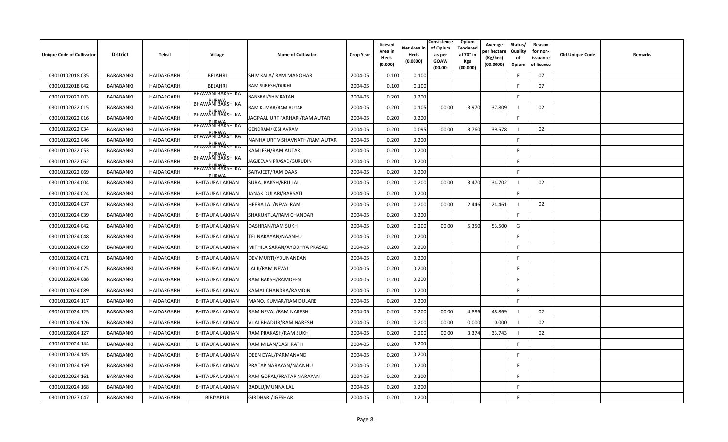| <b>Unique Code of Cultivator</b> | <b>District</b>  | <b>Tehsil</b> | <b>Village</b>                   | <b>Name of Cultivator</b>      | <b>Crop Year</b> | Licesed<br>Area in<br>Hect.<br>(0.000) | Net Area in<br>Hect.<br>(0.0000) | Consistence<br>of Opium<br>as per<br><b>GOAW</b><br>(00.00) | Opium<br>Tendered<br>at 70° in<br><b>Kgs</b><br>(00.000) | Average<br>er hectar<br>(Kg/hec)<br>(00.0000) | Status/<br>Quality<br>of<br>Opium | Reason<br>for non-<br>issuance<br>of licence | <b>Old Unique Code</b> | Remarks |
|----------------------------------|------------------|---------------|----------------------------------|--------------------------------|------------------|----------------------------------------|----------------------------------|-------------------------------------------------------------|----------------------------------------------------------|-----------------------------------------------|-----------------------------------|----------------------------------------------|------------------------|---------|
| 03010102018 035                  | BARABANKI        | HAIDARGARH    | <b>BELAHRI</b>                   | SHIV KALA/ RAM MANOHAR         | 2004-05          | 0.100                                  | 0.100                            |                                                             |                                                          |                                               | -F                                | 07                                           |                        |         |
| 03010102018 042                  | BARABANKI        | HAIDARGARH    | BELAHRI                          | RAM SURESH/DUKHI               | 2004-05          | 0.100                                  | 0.100                            |                                                             |                                                          |                                               | E                                 | 07                                           |                        |         |
| 03010102022 003                  | BARABANKI        | HAIDARGARH    | BHAWANI BAKSH KA                 | <b>BANSRAJ/SHIV RATAN</b>      | 2004-05          | 0.200                                  | 0.200                            |                                                             |                                                          |                                               | <b>F</b>                          |                                              |                        |         |
| 03010102022 015                  | BARABANKI        | HAIDARGARH    | BHAWANI BAKSH KA                 | RAM KUMAR/RAM AUTAR            | 2004-05          | 0.200                                  | 0.105                            | 00.00                                                       | 3.970                                                    | 37.809                                        | - 1                               | 02                                           |                        |         |
| 03010102022 016                  | <b>BARABANKI</b> | HAIDARGARH    | <b>BHAWANI BAKSH KA</b>          | JAGPAAL URF FARHARI/RAM AUTAR  | 2004-05          | 0.200                                  | 0.200                            |                                                             |                                                          |                                               | E                                 |                                              |                        |         |
| 03010102022 034                  | BARABANKI        | HAIDARGARH    | <b>BHAWANI BAKSH KA</b>          | GENDRAM/KESHAVRAM              | 2004-05          | 0.200                                  | 0.095                            | 00.00                                                       | 3.760                                                    | 39.578                                        |                                   | 02                                           |                        |         |
| 03010102022 046                  | BARABANKI        | HAIDARGARH    | BHAWANI BAKSH KA                 | NANHA URF VISHAVNATH/RAM AUTAR | 2004-05          | 0.200                                  | 0.200                            |                                                             |                                                          |                                               | F.                                |                                              |                        |         |
| 03010102022 053                  | BARABANKI        | HAIDARGARH    | <b>BHAWANI BAKSH KA</b>          | KAMLESH/RAM AUTAR              | 2004-05          | 0.200                                  | 0.200                            |                                                             |                                                          |                                               | F.                                |                                              |                        |         |
| 03010102022 062                  | BARABANKI        | HAIDARGARH    | BHAWANI BAKSH KA                 | JAGJEEVAN PRASAD/GURUDIN       | 2004-05          | 0.200                                  | 0.200                            |                                                             |                                                          |                                               | -F                                |                                              |                        |         |
| 03010102022 069                  | <b>BARABANKI</b> | HAIDARGARH    | <b>BHAWANI BAKSH KA</b><br>PURWA | SARVJEET/RAM DAAS              | 2004-05          | 0.200                                  | 0.200                            |                                                             |                                                          |                                               | E                                 |                                              |                        |         |
| 03010102024 004                  | BARABANKI        | HAIDARGARH    | BHITAURA LAKHAN                  | <b>SURAJ BAKSH/BRIJ LAL</b>    | 2004-05          | 0.200                                  | 0.200                            | 00.00                                                       | 3.470                                                    | 34.702                                        |                                   | 02                                           |                        |         |
| 03010102024 024                  | BARABANKI        | HAIDARGARH    | <b>BHITAURA LAKHAN</b>           | JANAK DULARI/BARSATI           | 2004-05          | 0.200                                  | 0.200                            |                                                             |                                                          |                                               | F.                                |                                              |                        |         |
| 03010102024 037                  | BARABANKI        | HAIDARGARH    | <b>BHITAURA LAKHAN</b>           | HEERA LAL/NEVALRAM             | 2004-05          | 0.200                                  | 0.200                            | 00.00                                                       | 2.446                                                    | 24.461                                        |                                   | 02                                           |                        |         |
| 03010102024 039                  | BARABANKI        | HAIDARGARH    | <b>BHITAURA LAKHAN</b>           | SHAKUNTLA/RAM CHANDAR          | 2004-05          | 0.200                                  | 0.200                            |                                                             |                                                          |                                               | F.                                |                                              |                        |         |
| 03010102024 042                  | BARABANKI        | HAIDARGARH    | <b>BHITAURA LAKHAN</b>           | DASHRAN/RAM SUKH               | 2004-05          | 0.200                                  | 0.200                            | 00.00                                                       | 5.350                                                    | 53.500                                        | G                                 |                                              |                        |         |
| 03010102024 048                  | BARABANKI        | HAIDARGARH    | <b>BHITAURA LAKHAN</b>           | TEJ NARAYAN/NAANHU             | 2004-05          | 0.200                                  | 0.200                            |                                                             |                                                          |                                               | F.                                |                                              |                        |         |
| 03010102024 059                  | BARABANKI        | HAIDARGARH    | BHITAURA LAKHAN                  | MITHILA SARAN/AYODHYA PRASAD   | 2004-05          | 0.200                                  | 0.200                            |                                                             |                                                          |                                               | F.                                |                                              |                        |         |
| 03010102024 071                  | BARABANKI        | HAIDARGARH    | <b>BHITAURA LAKHAN</b>           | DEV MURTI/YDUNANDAN            | 2004-05          | 0.200                                  | 0.200                            |                                                             |                                                          |                                               | F.                                |                                              |                        |         |
| 03010102024 075                  | BARABANKI        | HAIDARGARH    | <b>BHITAURA LAKHAN</b>           | LALJI/RAM NEVAJ                | 2004-05          | 0.200                                  | 0.200                            |                                                             |                                                          |                                               | F                                 |                                              |                        |         |
| 03010102024 088                  | <b>BARABANKI</b> | HAIDARGARH    | <b>BHITAURA LAKHAN</b>           | RAM BAKSH/RAMDEEN              | 2004-05          | 0.200                                  | 0.200                            |                                                             |                                                          |                                               | F.                                |                                              |                        |         |
| 03010102024 089                  | BARABANKI        | HAIDARGARH    | <b>BHITAURA LAKHAN</b>           | KAMAL CHANDRA/RAMDIN           | 2004-05          | 0.200                                  | 0.200                            |                                                             |                                                          |                                               | F                                 |                                              |                        |         |
| 03010102024 117                  | BARABANKI        | HAIDARGARH    | <b>BHITAURA LAKHAN</b>           | MANOJ KUMAR/RAM DULARE         | 2004-05          | 0.200                                  | 0.200                            |                                                             |                                                          |                                               | F.                                |                                              |                        |         |
| 03010102024 125                  | BARABANKI        | HAIDARGARH    | <b>BHITAURA LAKHAN</b>           | RAM NEVAL/RAM NARESH           | 2004-05          | 0.200                                  | 0.200                            | 00.00                                                       | 4.886                                                    | 48.869                                        |                                   | 02                                           |                        |         |
| 03010102024 126                  | BARABANKI        | HAIDARGARH    | <b>BHITAURA LAKHAN</b>           | <b>VIJAI BHADUR/RAM NARESH</b> | 2004-05          | 0.200                                  | 0.200                            | 00.00                                                       | 0.000                                                    | 0.000                                         |                                   | 02                                           |                        |         |
| 03010102024 127                  | <b>BARABANKI</b> | HAIDARGARH    | <b>BHITAURA LAKHAN</b>           | RAM PRAKASH/RAM SUKH           | 2004-05          | 0.200                                  | 0.200                            | 00.00                                                       | 3.374                                                    | 33.743                                        |                                   | 02                                           |                        |         |
| 03010102024 144                  | BARABANKI        | HAIDARGARH    | <b>BHITAURA LAKHAN</b>           | RAM MILAN/DASHRATH             | 2004-05          | 0.200                                  | 0.200                            |                                                             |                                                          |                                               | F                                 |                                              |                        |         |
| 03010102024 145                  | BARABANKI        | HAIDARGARH    | <b>BHITAURA LAKHAN</b>           | DEEN DYAL/PARMANAND            | 2004-05          | 0.200                                  | 0.200                            |                                                             |                                                          |                                               | F.                                |                                              |                        |         |
| 03010102024 159                  | BARABANKI        | HAIDARGARH    | <b>BHITAURA LAKHAN</b>           | PRATAP NARAYAN/NAANHU          | 2004-05          | 0.200                                  | 0.200                            |                                                             |                                                          |                                               | F                                 |                                              |                        |         |
| 03010102024 161                  | <b>BARABANKI</b> | HAIDARGARH    | <b>BHITAURA LAKHAN</b>           | RAM GOPAL/PRATAP NARAYAN       | 2004-05          | 0.200                                  | 0.200                            |                                                             |                                                          |                                               | -F                                |                                              |                        |         |
| 03010102024 168                  | <b>BARABANKI</b> | HAIDARGARH    | <b>BHITAURA LAKHAN</b>           | <b>BADLU/MUNNA LAL</b>         | 2004-05          | 0.200                                  | 0.200                            |                                                             |                                                          |                                               | E                                 |                                              |                        |         |
| 03010102027 047                  | BARABANKI        | HAIDARGARH    | BIBIYAPUR                        | GIRDHARI/JGESHAR               | 2004-05          | 0.200                                  | 0.200                            |                                                             |                                                          |                                               | -F                                |                                              |                        |         |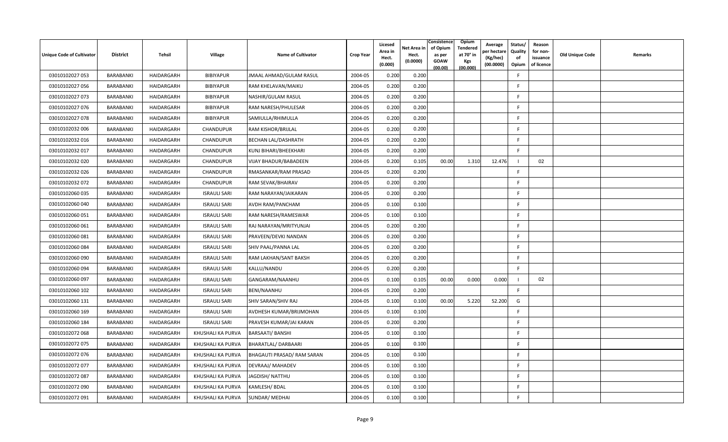| <b>Unique Code of Cultivator</b> | <b>District</b>  | Tehsil     | <b>Village</b>      | <b>Name of Cultivator</b>    | <b>Crop Year</b> | Licesed<br>Area in<br>Hect.<br>(0.000) | Net Area in<br>Hect.<br>(0.0000) | Consistence<br>of Opium<br>as per<br><b>GOAW</b><br>(00.00) | Opium<br>Tendered<br>at 70° in<br><b>Kgs</b><br>(00.000) | Average<br>er hectare)<br>(Kg/hec)<br>(00.0000) | Status/<br>Quality<br>of<br>Opium | Reason<br>for non-<br>issuance<br>of licence | <b>Old Unique Code</b> | Remarks |
|----------------------------------|------------------|------------|---------------------|------------------------------|------------------|----------------------------------------|----------------------------------|-------------------------------------------------------------|----------------------------------------------------------|-------------------------------------------------|-----------------------------------|----------------------------------------------|------------------------|---------|
| 03010102027 053                  | BARABANKI        | HAIDARGARH | <b>BIBIYAPUR</b>    | JMAAL AHMAD/GULAM RASUL      | 2004-05          | 0.200                                  | 0.200                            |                                                             |                                                          |                                                 | F                                 |                                              |                        |         |
| 03010102027056                   | BARABANKI        | HAIDARGARH | <b>BIBIYAPUR</b>    | RAM KHELAVAN/MAIKU           | 2004-05          | 0.200                                  | 0.200                            |                                                             |                                                          |                                                 | E                                 |                                              |                        |         |
| 03010102027 073                  | BARABANKI        | HAIDARGARH | <b>BIBIYAPUR</b>    | NASHIR/GULAM RASUL           | 2004-05          | 0.200                                  | 0.200                            |                                                             |                                                          |                                                 | <b>F</b>                          |                                              |                        |         |
| 03010102027 076                  | BARABANKI        | HAIDARGARH | BIBIYAPUR           | <b>RAM NARESH/PHULESAR</b>   | 2004-05          | 0.200                                  | 0.200                            |                                                             |                                                          |                                                 | -F                                |                                              |                        |         |
| 03010102027 078                  | <b>BARABANKI</b> | HAIDARGARH | <b>BIBIYAPUR</b>    | SAMIULLA/RHIMULLA            | 2004-05          | 0.200                                  | 0.200                            |                                                             |                                                          |                                                 | -F                                |                                              |                        |         |
| 03010102032 006                  | BARABANKI        | HAIDARGARH | CHANDUPUR           | RAM KISHOR/BRIJLAL           | 2004-05          | 0.200                                  | 0.200                            |                                                             |                                                          |                                                 | F.                                |                                              |                        |         |
| 03010102032 016                  | BARABANKI        | HAIDARGARH | <b>CHANDUPUR</b>    | <b>BECHAN LAL/DASHRATH</b>   | 2004-05          | 0.200                                  | 0.200                            |                                                             |                                                          |                                                 | E                                 |                                              |                        |         |
| 03010102032 017                  | BARABANKI        | HAIDARGARH | <b>CHANDUPUR</b>    | KUNJ BIHARI/BHEEKHARI        | 2004-05          | 0.200                                  | 0.200                            |                                                             |                                                          |                                                 | F.                                |                                              |                        |         |
| 03010102032 020                  | BARABANKI        | HAIDARGARH | <b>CHANDUPUR</b>    | <b>VIJAY BHADUR/BABADEEN</b> | 2004-05          | 0.200                                  | 0.105                            | 00.00                                                       | 1.310                                                    | 12.476                                          | - 1                               | 02                                           |                        |         |
| 03010102032 026                  | BARABANKI        | HAIDARGARH | CHANDUPUR           | RMASANKAR/RAM PRASAD         | 2004-05          | 0.200                                  | 0.200                            |                                                             |                                                          |                                                 | E                                 |                                              |                        |         |
| 03010102032 072                  | BARABANKI        | HAIDARGARH | CHANDUPUR           | RAM SEVAK/BHAIRAV            | 2004-05          | 0.200                                  | 0.200                            |                                                             |                                                          |                                                 | F.                                |                                              |                        |         |
| 03010102060 035                  | BARABANKI        | HAIDARGARH | <b>ISRAULI SARI</b> | RAM NARAYAN/JAIKARAN         | 2004-05          | 0.200                                  | 0.200                            |                                                             |                                                          |                                                 | E                                 |                                              |                        |         |
| 03010102060 040                  | BARABANKI        | HAIDARGARH | <b>ISRAULI SARI</b> | <b>AVDH RAM/PANCHAM</b>      | 2004-05          | 0.100                                  | 0.100                            |                                                             |                                                          |                                                 | F.                                |                                              |                        |         |
| 03010102060 051                  | BARABANKI        | HAIDARGARH | <b>ISRAULI SARI</b> | RAM NARESH/RAMESWAR          | 2004-05          | 0.100                                  | 0.100                            |                                                             |                                                          |                                                 | -F                                |                                              |                        |         |
| 03010102060 061                  | BARABANKI        | HAIDARGARH | <b>ISRAULI SARI</b> | RAJ NARAYAN/MRITYUNJAI       | 2004-05          | 0.200                                  | 0.200                            |                                                             |                                                          |                                                 | F.                                |                                              |                        |         |
| 03010102060081                   | BARABANKI        | HAIDARGARH | <b>ISRAULI SARI</b> | PRAVEEN/DEVKI NANDAN         | 2004-05          | 0.200                                  | 0.200                            |                                                             |                                                          |                                                 | F                                 |                                              |                        |         |
| 03010102060084                   | BARABANKI        | HAIDARGARH | <b>ISRAULI SARI</b> | SHIV PAAL/PANNA LAL          | 2004-05          | 0.200                                  | 0.200                            |                                                             |                                                          |                                                 | E                                 |                                              |                        |         |
| 03010102060 090                  | BARABANKI        | HAIDARGARH | <b>ISRAULI SARI</b> | RAM LAKHAN/SANT BAKSH        | 2004-05          | 0.200                                  | 0.200                            |                                                             |                                                          |                                                 | F.                                |                                              |                        |         |
| 03010102060 094                  | BARABANKI        | HAIDARGARH | <b>ISRAULI SARI</b> | KALLU/NANDU                  | 2004-05          | 0.200                                  | 0.200                            |                                                             |                                                          |                                                 | F                                 |                                              |                        |         |
| 03010102060 097                  | <b>BARABANKI</b> | HAIDARGARH | <b>ISRAULI SARI</b> | GANGARAM/NAANHU              | 2004-05          | 0.100                                  | 0.105                            | 00.00                                                       | 0.000                                                    | 0.000                                           |                                   | 02                                           |                        |         |
| 03010102060 102                  | BARABANKI        | HAIDARGARH | <b>ISRAULI SARI</b> | <b>BENI/NAANHU</b>           | 2004-05          | 0.200                                  | 0.200                            |                                                             |                                                          |                                                 | F                                 |                                              |                        |         |
| 03010102060 131                  | BARABANKI        | HAIDARGARH | <b>ISRAULI SARI</b> | SHIV SARAN/SHIV RAJ          | 2004-05          | 0.100                                  | 0.100                            | 00.00                                                       | 5.220                                                    | 52.200                                          | G                                 |                                              |                        |         |
| 03010102060 169                  | BARABANKI        | HAIDARGARH | <b>ISRAULI SARI</b> | AVDHESH KUMAR/BRIJMOHAN      | 2004-05          | 0.100                                  | 0.100                            |                                                             |                                                          |                                                 | E                                 |                                              |                        |         |
| 03010102060 184                  | BARABANKI        | HAIDARGARH | <b>ISRAULI SARI</b> | PRAVESH KUMAR/JAI KARAN      | 2004-05          | 0.200                                  | 0.200                            |                                                             |                                                          |                                                 | -F                                |                                              |                        |         |
| 03010102072 068                  | BARABANKI        | HAIDARGARH | KHUSHALI KA PURVA   | <b>BARSAATI/ BANSHI</b>      | 2004-05          | 0.100                                  | 0.100                            |                                                             |                                                          |                                                 | E                                 |                                              |                        |         |
| 03010102072 075                  | BARABANKI        | HAIDARGARH | KHUSHALI KA PURVA   | BHARATLAL/DARBAARI           | 2004-05          | 0.100                                  | 0.100                            |                                                             |                                                          |                                                 | F                                 |                                              |                        |         |
| 03010102072 076                  | BARABANKI        | HAIDARGARH | KHUSHALI KA PURVA   | BHAGAUTI PRASAD/ RAM SARAN   | 2004-05          | 0.100                                  | 0.100                            |                                                             |                                                          |                                                 | F.                                |                                              |                        |         |
| 03010102072 077                  | BARABANKI        | HAIDARGARH | KHUSHALI KA PURVA   | DEVRAAJ/ MAHADEV             | 2004-05          | 0.100                                  | 0.100                            |                                                             |                                                          |                                                 | F                                 |                                              |                        |         |
| 03010102072 087                  | <b>BARABANKI</b> | HAIDARGARH | KHUSHALI KA PURVA   | JAGDISH/ NATTHU              | 2004-05          | 0.100                                  | 0.100                            |                                                             |                                                          |                                                 | -F                                |                                              |                        |         |
| 03010102072 090                  | <b>BARABANKI</b> | HAIDARGARH | KHUSHALI KA PURVA   | KAMLESH/BDAL                 | 2004-05          | 0.100                                  | 0.100                            |                                                             |                                                          |                                                 | E                                 |                                              |                        |         |
| 03010102072 091                  | BARABANKI        | HAIDARGARH | KHUSHALI KA PURVA   | SUNDAR/ MEDHAI               | 2004-05          | 0.100                                  | 0.100                            |                                                             |                                                          |                                                 | -F                                |                                              |                        |         |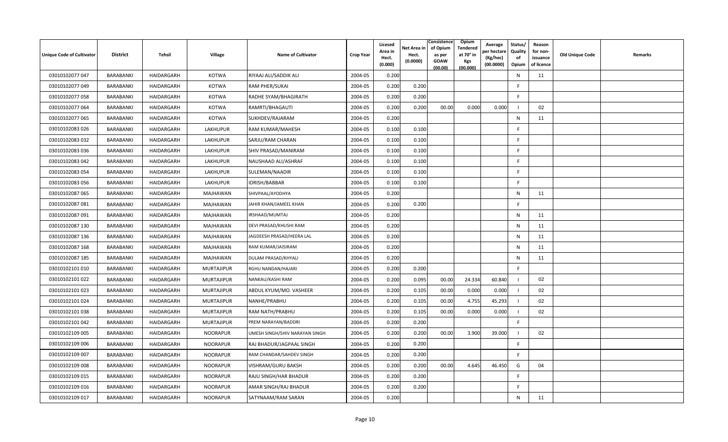| <b>Unique Code of Cultivator</b> | <b>District</b> | Tehsil     | Village           | Name of Cultivator             | <b>Crop Year</b> | Licesed<br>Area in<br>Hect.<br>(0.000) | Net Area in<br>Hect.<br>(0.0000) | Consistence<br>of Opium<br>as per<br><b>GOAW</b><br>(00.00) | <b>Opium</b><br>Tendered<br>at 70° in<br><b>Kgs</b><br>(00.000) | Average<br>วer hectarง<br>(Kg/hec)<br>(00.0000) | Status/<br>Quality<br>of<br>Opium | Reason<br>for non-<br>issuance<br>of licence | <b>Old Unique Code</b> | Remarks |
|----------------------------------|-----------------|------------|-------------------|--------------------------------|------------------|----------------------------------------|----------------------------------|-------------------------------------------------------------|-----------------------------------------------------------------|-------------------------------------------------|-----------------------------------|----------------------------------------------|------------------------|---------|
| 03010102077 047                  | BARABANKI       | HAIDARGARH | <b>KOTWA</b>      | RIYAAJ ALI/SADDIK ALI          | 2004-05          | 0.200                                  |                                  |                                                             |                                                                 |                                                 | $\mathsf{N}$                      | 11                                           |                        |         |
| 03010102077 049                  | BARABANKI       | HAIDARGARH | <b>KOTWA</b>      | RAM PHER/SUKAI                 | 2004-05          | 0.200                                  | 0.200                            |                                                             |                                                                 |                                                 | E                                 |                                              |                        |         |
| 03010102077 058                  | BARABANKI       | HAIDARGARH | <b>KOTWA</b>      | RADHE SYAM/BHAGIRATH           | 2004-05          | 0.200                                  | 0.200                            |                                                             |                                                                 |                                                 | F.                                |                                              |                        |         |
| 03010102077 064                  | BARABANKI       | HAIDARGARH | <b>KOTWA</b>      | RAMRTI/BHAGAUTI                | 2004-05          | 0.200                                  | 0.200                            | 00.00                                                       | 0.000                                                           | 0.000                                           | - 1                               | 02                                           |                        |         |
| 03010102077 065                  | BARABANKI       | HAIDARGARH | <b>KOTWA</b>      | SUKHDEV/RAJARAM                | 2004-05          | 0.200                                  |                                  |                                                             |                                                                 |                                                 | N                                 | 11                                           |                        |         |
| 03010102083 026                  | BARABANKI       | HAIDARGARH | LAKHUPUR          | RAM KUMAR/MAHESH               | 2004-05          | 0.100                                  | 0.100                            |                                                             |                                                                 |                                                 | F                                 |                                              |                        |         |
| 03010102083 032                  | BARABANKI       | HAIDARGARH | LAKHUPUR          | SARJU/RAM CHARAN               | 2004-05          | 0.100                                  | 0.100                            |                                                             |                                                                 |                                                 | E                                 |                                              |                        |         |
| 03010102083 036                  | BARABANKI       | HAIDARGARH | LAKHUPUR          | SHIV PRASAD/MANIRAM            | 2004-05          | 0.100                                  | 0.100                            |                                                             |                                                                 |                                                 | E                                 |                                              |                        |         |
| 03010102083 042                  | BARABANKI       | HAIDARGARH | LAKHUPUR          | NAUSHAAD ALI/ASHRAF            | 2004-05          | 0.100                                  | 0.100                            |                                                             |                                                                 |                                                 | -F                                |                                              |                        |         |
| 03010102083 054                  | BARABANKI       | HAIDARGARH | LAKHUPUR          | SULEMAN/NAADIR                 | 2004-05          | 0.100                                  | 0.100                            |                                                             |                                                                 |                                                 | E                                 |                                              |                        |         |
| 03010102083 056                  | BARABANKI       | HAIDARGARH | LAKHUPUR          | IDRISH/BABBAR                  | 2004-05          | 0.100                                  | 0.100                            |                                                             |                                                                 |                                                 | F.                                |                                              |                        |         |
| 03010102087 065                  | BARABANKI       | HAIDARGARH | MAJHAWAN          | SHIVPAAL/AYODHYA               | 2004-05          | 0.200                                  |                                  |                                                             |                                                                 |                                                 | $\mathsf{N}$                      | 11                                           |                        |         |
| 03010102087081                   | BARABANKI       | HAIDARGARH | <b>MAJHAWAN</b>   | JAHIR KHAN/JAMEEL KHAN         | 2004-05          | 0.200                                  | 0.200                            |                                                             |                                                                 |                                                 | -F                                |                                              |                        |         |
| 03010102087 091                  | BARABANKI       | HAIDARGARH | MAJHAWAN          | IRSHAAD/MUMTAJ                 | 2004-05          | 0.200                                  |                                  |                                                             |                                                                 |                                                 | N                                 | 11                                           |                        |         |
| 03010102087 130                  | BARABANKI       | HAIDARGARH | <b>MAJHAWAN</b>   | DEVI PRASAD/KHUSHI RAM         | 2004-05          | 0.200                                  |                                  |                                                             |                                                                 |                                                 | $\mathsf{N}$                      | 11                                           |                        |         |
| 03010102087 136                  | BARABANKI       | HAIDARGARH | MAJHAWAN          | JAGDEESH PRASAD/HEERA LAL      | 2004-05          | 0.200                                  |                                  |                                                             |                                                                 |                                                 | $\mathsf{N}$                      | 11                                           |                        |         |
| 03010102087 168                  | BARABANKI       | HAIDARGARH | MAJHAWAN          | RAM KUMAR/JAISIRAM             | 2004-05          | 0.200                                  |                                  |                                                             |                                                                 |                                                 | $\mathsf{N}$                      | 11                                           |                        |         |
| 03010102087 185                  | BARABANKI       | HAIDARGARH | <b>MAJHAWAN</b>   | DULAM PRASAD/KHYALI            | 2004-05          | 0.200                                  |                                  |                                                             |                                                                 |                                                 | $\mathsf{N}$                      | 11                                           |                        |         |
| 03010102101 010                  | BARABANKI       | HAIDARGARH | <b>MURTAJIPUR</b> | RGHU NANDAN/HAJARI             | 2004-05          | 0.200                                  | 0.200                            |                                                             |                                                                 |                                                 | F                                 |                                              |                        |         |
| 03010102101 022                  | BARABANKI       | HAIDARGARH | <b>MURTAJIPUR</b> | NANKAU/KASHI RAM               | 2004-05          | 0.200                                  | 0.095                            | 00.00                                                       | 24.334                                                          | 60.840                                          |                                   | 02                                           |                        |         |
| 03010102101 023                  | BARABANKI       | HAIDARGARH | <b>MURTAJIPUR</b> | ABDUL KYUM/MO. VASHEER         | 2004-05          | 0.200                                  | 0.105                            | 00.00                                                       | 0.000                                                           | 0.000                                           | - 1                               | 02                                           |                        |         |
| 03010102101 024                  | BARABANKI       | HAIDARGARH | <b>MURTAJIPUR</b> | NANHE/PRABHU                   | 2004-05          | 0.200                                  | 0.105                            | 00.00                                                       | 4.755                                                           | 45.293                                          |                                   | 02                                           |                        |         |
| 03010102101038                   | BARABANKI       | HAIDARGARH | <b>MURTAJIPUR</b> | RAM NATH/PRABHU                | 2004-05          | 0.200                                  | 0.105                            | 00.00                                                       | 0.000                                                           | 0.000                                           |                                   | 02                                           |                        |         |
| 03010102101 042                  | BARABANKI       | HAIDARGARH | <b>MURTAJIPUR</b> | PREM NARAYAN/BADDRI            | 2004-05          | 0.200                                  | 0.200                            |                                                             |                                                                 |                                                 | F.                                |                                              |                        |         |
| 03010102109 005                  | BARABANKI       | HAIDARGARH | <b>NOORAPUR</b>   | UMESH SINGH/SHIV NARAYAN SINGH | 2004-05          | 0.200                                  | 0.200                            | 00.00                                                       | 3.900                                                           | 39.000                                          | - 1                               | 02                                           |                        |         |
| 03010102109 006                  | BARABANKI       | HAIDARGARH | <b>NOORAPUR</b>   | RAJ BHADUR/JAGPAAL SINGH       | 2004-05          | 0.200                                  | 0.200                            |                                                             |                                                                 |                                                 | F.                                |                                              |                        |         |
| 03010102109 007                  | BARABANKI       | HAIDARGARH | <b>NOORAPUR</b>   | RAM CHANDAR/SAHDEV SINGH       | 2004-05          | 0.200                                  | 0.200                            |                                                             |                                                                 |                                                 | F.                                |                                              |                        |         |
| 03010102109 008                  | BARABANKI       | HAIDARGARH | <b>NOORAPUR</b>   | VISHRAM/GURU BAKSH             | 2004-05          | 0.200                                  | 0.200                            | 00.00                                                       | 4.645                                                           | 46.450                                          | G                                 | 04                                           |                        |         |
| 03010102109 015                  | BARABANKI       | HAIDARGARH | <b>NOORAPUR</b>   | RAJU SINGH/HAR BHADUR          | 2004-05          | 0.200                                  | 0.200                            |                                                             |                                                                 |                                                 | -F                                |                                              |                        |         |
| 03010102109 016                  | BARABANKI       | HAIDARGARH | <b>NOORAPUR</b>   | AMAR SINGH/RAJ BHADUR          | 2004-05          | 0.200                                  | 0.200                            |                                                             |                                                                 |                                                 | E                                 |                                              |                        |         |
| 03010102109 017                  | BARABANKI       | HAIDARGARH | <b>NOORAPUR</b>   | SATYNAAM/RAM SARAN             | 2004-05          | 0.200                                  |                                  |                                                             |                                                                 |                                                 | N                                 | 11                                           |                        |         |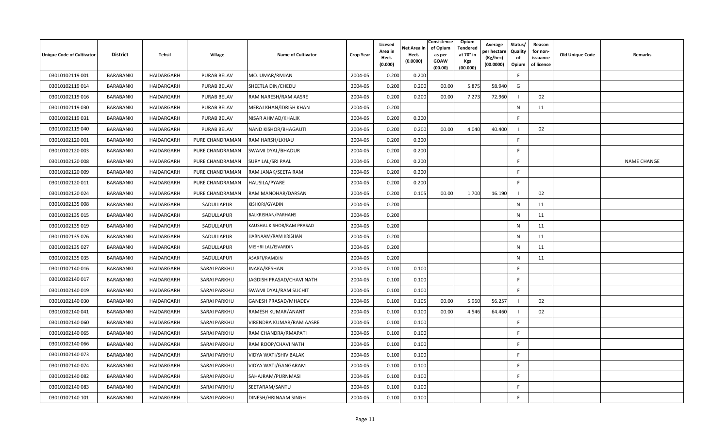| <b>Unique Code of Cultivator</b> | <b>District</b> | Tehsil     | Village             | Name of Cultivator        | <b>Crop Year</b> | Licesed<br>Area in<br>Hect.<br>(0.000) | Net Area in<br>Hect.<br>(0.0000) | Consistence<br>of Opium<br>as per<br><b>GOAW</b><br>(00.00) | <b>Opium</b><br>Tendered<br>at 70° in<br>Kgs<br>(00.000) | Average<br>วer hectarง<br>(Kg/hec)<br>(00.0000) | Status/<br>Quality<br>of<br>Opium | Reason<br>for non-<br>issuance<br>of licence | <b>Old Unique Code</b> | Remarks            |
|----------------------------------|-----------------|------------|---------------------|---------------------------|------------------|----------------------------------------|----------------------------------|-------------------------------------------------------------|----------------------------------------------------------|-------------------------------------------------|-----------------------------------|----------------------------------------------|------------------------|--------------------|
| 03010102119 001                  | BARABANKI       | HAIDARGARH | <b>PURAB BELAV</b>  | MO. UMAR/RMJAN            | 2004-05          | 0.200                                  | 0.200                            |                                                             |                                                          |                                                 | F.                                |                                              |                        |                    |
| 03010102119014                   | BARABANKI       | HAIDARGARH | <b>PURAB BELAV</b>  | SHEETLA DIN/CHEDU         | 2004-05          | 0.200                                  | 0.200                            | 00.00                                                       | 5.875                                                    | 58.940                                          | G                                 |                                              |                        |                    |
| 03010102119016                   | BARABANKI       | HAIDARGARH | <b>PURAB BELAV</b>  | RAM NARESH/RAM AASRE      | 2004-05          | 0.200                                  | 0.200                            | 00.00                                                       | 7.273                                                    | 72.960                                          |                                   | 02                                           |                        |                    |
| 03010102119030                   | BARABANKI       | HAIDARGARH | <b>PURAB BELAV</b>  | MERAJ KHAN/IDRISH KHAN    | 2004-05          | 0.200                                  |                                  |                                                             |                                                          |                                                 | N                                 | 11                                           |                        |                    |
| 03010102119031                   | BARABANKI       | HAIDARGARH | <b>PURAB BELAV</b>  | NISAR AHMAD/KHALIK        | 2004-05          | 0.200                                  | 0.200                            |                                                             |                                                          |                                                 | -F                                |                                              |                        |                    |
| 03010102119 040                  | BARABANKI       | HAIDARGARH | <b>PURAB BELAV</b>  | NAND KISHOR/BHAGAUTI      | 2004-05          | 0.200                                  | 0.200                            | 00.00                                                       | 4.040                                                    | 40.400                                          |                                   | 02                                           |                        |                    |
| 03010102120 001                  | BARABANKI       | HAIDARGARH | PURE CHANDRAMAN     | RAM HARSH/LKHAU           | 2004-05          | 0.200                                  | 0.200                            |                                                             |                                                          |                                                 | F.                                |                                              |                        |                    |
| 03010102120 003                  | BARABANKI       | HAIDARGARH | PURE CHANDRAMAN     | SWAMI DYAL/BHADUR         | 2004-05          | 0.200                                  | 0.200                            |                                                             |                                                          |                                                 | F.                                |                                              |                        |                    |
| 03010102120 008                  | BARABANKI       | HAIDARGARH | PURE CHANDRAMAN     | <b>SURY LAL/SRI PAAL</b>  | 2004-05          | 0.200                                  | 0.200                            |                                                             |                                                          |                                                 | -F                                |                                              |                        | <b>NAME CHANGE</b> |
| 03010102120 009                  | BARABANKI       | HAIDARGARH | PURE CHANDRAMAN     | RAM JANAK/SEETA RAM       | 2004-05          | 0.200                                  | 0.200                            |                                                             |                                                          |                                                 | E                                 |                                              |                        |                    |
| 03010102120011                   | BARABANKI       | HAIDARGARH | PURE CHANDRAMAN     | HAUSILA/PYARE             | 2004-05          | 0.200                                  | 0.200                            |                                                             |                                                          |                                                 | F.                                |                                              |                        |                    |
| 03010102120024                   | BARABANKI       | HAIDARGARH | PURE CHANDRAMAN     | RAM MANOHAR/DARSAN        | 2004-05          | 0.200                                  | 0.105                            | 00.00                                                       | 1.700                                                    | 16.190                                          |                                   | 02                                           |                        |                    |
| 03010102135 008                  | BARABANKI       | HAIDARGARH | SADULLAPUR          | KISHORI/GYADIN            | 2004-05          | 0.200                                  |                                  |                                                             |                                                          |                                                 | $\mathsf{N}$                      | 11                                           |                        |                    |
| 03010102135 015                  | BARABANKI       | HAIDARGARH | SADULLAPUR          | BALKRISHAN/PARHANS        | 2004-05          | 0.200                                  |                                  |                                                             |                                                          |                                                 | N                                 | 11                                           |                        |                    |
| 03010102135 019                  | BARABANKI       | HAIDARGARH | SADULLAPUR          | KAUSHAL KISHOR/RAM PRASAD | 2004-05          | 0.200                                  |                                  |                                                             |                                                          |                                                 | $\mathsf{N}$                      | 11                                           |                        |                    |
| 03010102135 026                  | BARABANKI       | HAIDARGARH | SADULLAPUR          | HARNAAM/RAM KRISHAN       | 2004-05          | 0.200                                  |                                  |                                                             |                                                          |                                                 | $\mathsf{N}$                      | 11                                           |                        |                    |
| 03010102135 027                  | BARABANKI       | HAIDARGARH | SADULLAPUR          | MISHRI LAL/ISVARDIN       | 2004-05          | 0.200                                  |                                  |                                                             |                                                          |                                                 | $\mathsf{N}$                      | 11                                           |                        |                    |
| 03010102135 035                  | BARABANKI       | HAIDARGARH | SADULLAPUR          | ASARFI/RAMDIN             | 2004-05          | 0.200                                  |                                  |                                                             |                                                          |                                                 | N                                 | 11                                           |                        |                    |
| 03010102140016                   | BARABANKI       | HAIDARGARH | <b>SARAI PARKHU</b> | JNAKA/KESHAN              | 2004-05          | 0.100                                  | 0.100                            |                                                             |                                                          |                                                 | -F                                |                                              |                        |                    |
| 03010102140 017                  | BARABANKI       | HAIDARGARH | SARAI PARKHU        | JAGDISH PRASAD/CHAVI NATH | 2004-05          | 0.100                                  | 0.100                            |                                                             |                                                          |                                                 | E                                 |                                              |                        |                    |
| 03010102140019                   | BARABANKI       | HAIDARGARH | <b>SARAI PARKHU</b> | SWAMI DYAL/RAM SUCHIT     | 2004-05          | 0.100                                  | 0.100                            |                                                             |                                                          |                                                 | F                                 |                                              |                        |                    |
| 03010102140030                   | BARABANKI       | HAIDARGARH | SARAI PARKHU        | GANESH PRASAD/MHADEV      | 2004-05          | 0.100                                  | 0.105                            | 00.00                                                       | 5.960                                                    | 56.257                                          |                                   | 02                                           |                        |                    |
| 03010102140041                   | BARABANKI       | HAIDARGARH | SARAI PARKHU        | RAMESH KUMAR/ANANT        | 2004-05          | 0.100                                  | 0.100                            | 00.00                                                       | 4.546                                                    | 64.460                                          |                                   | 02                                           |                        |                    |
| 03010102140060                   | BARABANKI       | HAIDARGARH | SARAI PARKHU        | VIRENDRA KUMAR/RAM AASRE  | 2004-05          | 0.100                                  | 0.100                            |                                                             |                                                          |                                                 | -F                                |                                              |                        |                    |
| 03010102140 065                  | BARABANKI       | HAIDARGARH | <b>SARAI PARKHU</b> | RAM CHANDRA/RMAPATI       | 2004-05          | 0.100                                  | 0.100                            |                                                             |                                                          |                                                 | E                                 |                                              |                        |                    |
| 03010102140 066                  | BARABANKI       | HAIDARGARH | SARAI PARKHU        | RAM ROOP/CHAVI NATH       | 2004-05          | 0.100                                  | 0.100                            |                                                             |                                                          |                                                 | F                                 |                                              |                        |                    |
| 03010102140 073                  | BARABANKI       | HAIDARGARH | SARAI PARKHU        | VIDYA WATI/SHIV BALAK     | 2004-05          | 0.100                                  | 0.100                            |                                                             |                                                          |                                                 | F.                                |                                              |                        |                    |
| 03010102140 074                  | BARABANKI       | HAIDARGARH | <b>SARAI PARKHU</b> | VIDYA WATI/GANGARAM       | 2004-05          | 0.100                                  | 0.100                            |                                                             |                                                          |                                                 | F                                 |                                              |                        |                    |
| 03010102140082                   | BARABANKI       | HAIDARGARH | SARAI PARKHU        | SAHAJRAM/PURNMASI         | 2004-05          | 0.100                                  | 0.100                            |                                                             |                                                          |                                                 | -F                                |                                              |                        |                    |
| 03010102140083                   | BARABANKI       | HAIDARGARH | <b>SARAI PARKHU</b> | SEETARAM/SANTU            | 2004-05          | 0.100                                  | 0.100                            |                                                             |                                                          |                                                 | E                                 |                                              |                        |                    |
| 03010102140 101                  | BARABANKI       | HAIDARGARH | SARAI PARKHU        | DINESH/HRINAAM SINGH      | 2004-05          | 0.100                                  | 0.100                            |                                                             |                                                          |                                                 | -F                                |                                              |                        |                    |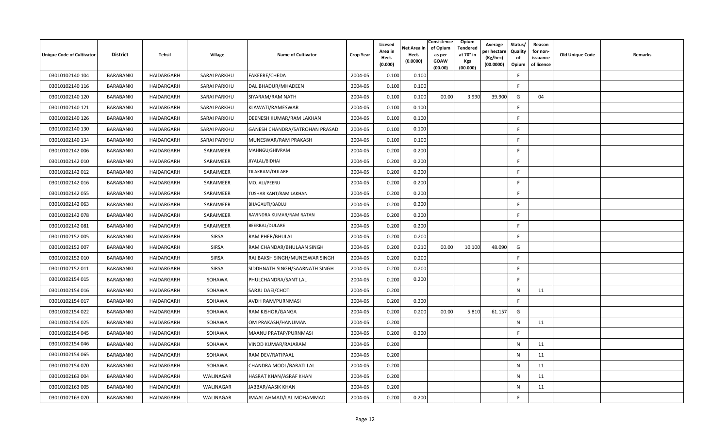| <b>Unique Code of Cultivator</b> | <b>District</b>  | Tehsil     | Village             | <b>Name of Cultivator</b>      | <b>Crop Year</b> | Licesed<br>Area in<br>Hect.<br>(0.000) | Net Area in<br>Hect.<br>(0.0000) | Consistence<br>of Opium<br>as per<br><b>GOAW</b><br>(00.00) | Opium<br>Tendered<br>at 70 $^{\circ}$ in<br><b>Kgs</b><br>(00.000) | Average<br>วer hectarง<br>(Kg/hec)<br>(00.0000) | Status/<br>Quality<br>of<br>Opium | Reason<br>for non-<br>issuance<br>of licence | <b>Old Unique Code</b> | Remarks |
|----------------------------------|------------------|------------|---------------------|--------------------------------|------------------|----------------------------------------|----------------------------------|-------------------------------------------------------------|--------------------------------------------------------------------|-------------------------------------------------|-----------------------------------|----------------------------------------------|------------------------|---------|
| 03010102140 104                  | BARABANKI        | HAIDARGARH | <b>SARAI PARKHU</b> | FAKEERE/CHEDA                  | 2004-05          | 0.100                                  | 0.100                            |                                                             |                                                                    |                                                 | E                                 |                                              |                        |         |
| 03010102140 116                  | BARABANKI        | HAIDARGARH | SARAI PARKHU        | DAL BHADUR/MHADEEN             | 2004-05          | 0.100                                  | 0.100                            |                                                             |                                                                    |                                                 | E                                 |                                              |                        |         |
| 03010102140 120                  | BARABANKI        | HAIDARGARH | SARAI PARKHU        | SIYARAM/RAM NATH               | 2004-05          | 0.100                                  | 0.100                            | 00.00                                                       | 3.990                                                              | 39.900                                          | G                                 | 04                                           |                        |         |
| 03010102140 121                  | BARABANKI        | HAIDARGARH | SARAI PARKHU        | KLAWATI/RAMESWAR               | 2004-05          | 0.100                                  | 0.100                            |                                                             |                                                                    |                                                 | F                                 |                                              |                        |         |
| 03010102140 126                  | BARABANKI        | HAIDARGARH | SARAI PARKHU        | DEENESH KUMAR/RAM LAKHAN       | 2004-05          | 0.100                                  | 0.100                            |                                                             |                                                                    |                                                 | F.                                |                                              |                        |         |
| 03010102140 130                  | BARABANKI        | HAIDARGARH | <b>SARAI PARKHU</b> | GANESH CHANDRA/SATROHAN PRASAD | 2004-05          | 0.100                                  | 0.100                            |                                                             |                                                                    |                                                 | F.                                |                                              |                        |         |
| 03010102140 134                  | <b>BARABANKI</b> | HAIDARGARH | SARAI PARKHU        | MUNESWAR/RAM PRAKASH           | 2004-05          | 0.100                                  | 0.100                            |                                                             |                                                                    |                                                 | F.                                |                                              |                        |         |
| 03010102142 006                  | BARABANKI        | HAIDARGARH | SARAIMEER           | MAHNGU/SHIVRAM                 | 2004-05          | 0.200                                  | 0.200                            |                                                             |                                                                    |                                                 | F                                 |                                              |                        |         |
| 03010102142010                   | BARABANKI        | HAIDARGARH | SARAIMEER           | JIYALAL/BIDHAI                 | 2004-05          | 0.200                                  | 0.200                            |                                                             |                                                                    |                                                 | F                                 |                                              |                        |         |
| 03010102142 012                  | BARABANKI        | HAIDARGARH | SARAIMEER           | TILAKRAM/DULARE                | 2004-05          | 0.200                                  | 0.200                            |                                                             |                                                                    |                                                 | F.                                |                                              |                        |         |
| 03010102142 016                  | BARABANKI        | HAIDARGARH | SARAIMEER           | MO. ALI/PEERU                  | 2004-05          | 0.200                                  | 0.200                            |                                                             |                                                                    |                                                 | F.                                |                                              |                        |         |
| 03010102142 055                  | BARABANKI        | HAIDARGARH | SARAIMEER           | TUSHAR KANT/RAM LAKHAN         | 2004-05          | 0.200                                  | 0.200                            |                                                             |                                                                    |                                                 | F.                                |                                              |                        |         |
| 03010102142 063                  | BARABANKI        | HAIDARGARH | SARAIMEER           | BHAGAUTI/BADLU                 | 2004-05          | 0.200                                  | 0.200                            |                                                             |                                                                    |                                                 | -F                                |                                              |                        |         |
| 03010102142 078                  | BARABANKI        | HAIDARGARH | SARAIMEER           | RAVINDRA KUMAR/RAM RATAN       | 2004-05          | 0.200                                  | 0.200                            |                                                             |                                                                    |                                                 | F                                 |                                              |                        |         |
| 03010102142 081                  | BARABANKI        | HAIDARGARH | SARAIMEER           | BEERBAL/DULARE                 | 2004-05          | 0.200                                  | 0.200                            |                                                             |                                                                    |                                                 | F.                                |                                              |                        |         |
| 03010102152 005                  | BARABANKI        | HAIDARGARH | SIRSA               | RAM PHER/BHULAI                | 2004-05          | 0.200                                  | 0.200                            |                                                             |                                                                    |                                                 | F.                                |                                              |                        |         |
| 03010102152 007                  | BARABANKI        | HAIDARGARH | <b>SIRSA</b>        | RAM CHANDAR/BHULAAN SINGH      | 2004-05          | 0.200                                  | 0.210                            | 00.00                                                       | 10.100                                                             | 48.090                                          | G                                 |                                              |                        |         |
| 03010102152 010                  | BARABANKI        | HAIDARGARH | <b>SIRSA</b>        | RAJ BAKSH SINGH/MUNESWAR SINGH | 2004-05          | 0.200                                  | 0.200                            |                                                             |                                                                    |                                                 | F.                                |                                              |                        |         |
| 03010102152011                   | BARABANKI        | HAIDARGARH | <b>SIRSA</b>        | SIDDHNATH SINGH/SAARNATH SINGH | 2004-05          | 0.200                                  | 0.200                            |                                                             |                                                                    |                                                 | F                                 |                                              |                        |         |
| 03010102154 015                  | BARABANKI        | HAIDARGARH | SOHAWA              | PHULCHANDRA/SANT LAL           | 2004-05          | 0.200                                  | 0.200                            |                                                             |                                                                    |                                                 | F.                                |                                              |                        |         |
| 03010102154 016                  | BARABANKI        | HAIDARGARH | SOHAWA              | SARJU DAEI/CHOTI               | 2004-05          | 0.200                                  |                                  |                                                             |                                                                    |                                                 | N                                 | 11                                           |                        |         |
| 03010102154 017                  | BARABANKI        | HAIDARGARH | SOHAWA              | AVDH RAM/PURNMASI              | 2004-05          | 0.200                                  | 0.200                            |                                                             |                                                                    |                                                 | F.                                |                                              |                        |         |
| 03010102154 022                  | BARABANKI        | HAIDARGARH | SOHAWA              | RAM KISHOR/GANGA               | 2004-05          | 0.200                                  | 0.200                            | 00.00                                                       | 5.810                                                              | 61.157                                          | G                                 |                                              |                        |         |
| 03010102154 025                  | BARABANKI        | HAIDARGARH | SOHAWA              | OM PRAKASH/HANUMAN             | 2004-05          | 0.200                                  |                                  |                                                             |                                                                    |                                                 | N                                 | 11                                           |                        |         |
| 03010102154 045                  | BARABANKI        | HAIDARGARH | SOHAWA              | MAANU PRATAP/PURNMASI          | 2004-05          | 0.200                                  | 0.200                            |                                                             |                                                                    |                                                 | $\mathsf{F}$                      |                                              |                        |         |
| 03010102154 046                  | BARABANKI        | HAIDARGARH | SOHAWA              | VINOD KUMAR/RAJARAM            | 2004-05          | 0.200                                  |                                  |                                                             |                                                                    |                                                 | N                                 | 11                                           |                        |         |
| 03010102154 065                  | BARABANKI        | HAIDARGARH | SOHAWA              | RAM DEV/RATIPAAL               | 2004-05          | 0.200                                  |                                  |                                                             |                                                                    |                                                 | N                                 | 11                                           |                        |         |
| 03010102154 070                  | BARABANKI        | HAIDARGARH | SOHAWA              | CHANDRA MOOL/BARATI LAL        | 2004-05          | 0.200                                  |                                  |                                                             |                                                                    |                                                 | N                                 | 11                                           |                        |         |
| 03010102163 004                  | BARABANKI        | HAIDARGARH | WALINAGAR           | HASRAT KHAN/ASRAF KHAN         | 2004-05          | 0.200                                  |                                  |                                                             |                                                                    |                                                 | N                                 | 11                                           |                        |         |
| 03010102163 005                  | BARABANKI        | HAIDARGARH | WALINAGAR           | JABBAR/AASIK KHAN              | 2004-05          | 0.200                                  |                                  |                                                             |                                                                    |                                                 | N                                 | 11                                           |                        |         |
| 03010102163 020                  | BARABANKI        | HAIDARGARH | WALINAGAR           | JMAAL AHMAD/LAL MOHAMMAD       | 2004-05          | 0.200                                  | 0.200                            |                                                             |                                                                    |                                                 | F                                 |                                              |                        |         |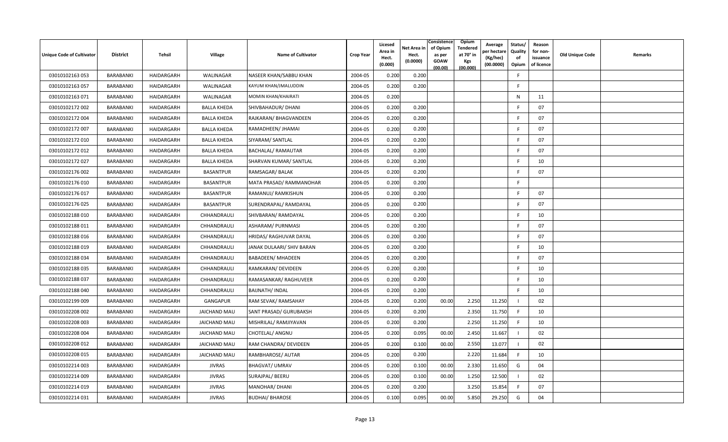| <b>Unique Code of Cultivator</b> | <b>District</b> | Tehsil     | <b>Village</b>      | <b>Name of Cultivator</b> | <b>Crop Year</b> | Licesed<br>Area in<br>Hect.<br>(0.000) | Net Area in<br>Hect.<br>(0.0000) | Consistence<br>of Opium<br>as per<br><b>GOAW</b><br>(00.00) | <b>Opium</b><br>Tendered<br>at 70° in<br><b>Kgs</b><br>(00.000) | Average<br>er hectare)<br>(Kg/hec)<br>(00.0000) | Status/<br>Quality<br>of<br>Opium | Reason<br>for non-<br>issuance<br>of licence | <b>Old Unique Code</b> | Remarks |
|----------------------------------|-----------------|------------|---------------------|---------------------------|------------------|----------------------------------------|----------------------------------|-------------------------------------------------------------|-----------------------------------------------------------------|-------------------------------------------------|-----------------------------------|----------------------------------------------|------------------------|---------|
| 03010102163 053                  | BARABANKI       | HAIDARGARH | WALINAGAR           | NASEER KHAN/SABBU KHAN    | 2004-05          | 0.200                                  | 0.200                            |                                                             |                                                                 |                                                 | F.                                |                                              |                        |         |
| 03010102163 057                  | BARABANKI       | HAIDARGARH | WALINAGAR           | KAYUM KHAN/JMALUDDIN      | 2004-05          | 0.200                                  | 0.200                            |                                                             |                                                                 |                                                 | F.                                |                                              |                        |         |
| 03010102163 071                  | BARABANKI       | HAIDARGARH | WALINAGAR           | MOMIN KHAN/KHAIRATI       | 2004-05          | 0.200                                  |                                  |                                                             |                                                                 |                                                 | N                                 | 11                                           |                        |         |
| 03010102172 002                  | BARABANKI       | HAIDARGARH | <b>BALLA KHEDA</b>  | SHIVBAHADUR/ DHANI        | 2004-05          | 0.200                                  | 0.200                            |                                                             |                                                                 |                                                 | -F                                | 07                                           |                        |         |
| 03010102172 004                  | BARABANKI       | HAIDARGARH | <b>BALLA KHEDA</b>  | RAJKARAN/ BHAGVANDEEN     | 2004-05          | 0.200                                  | 0.200                            |                                                             |                                                                 |                                                 | F.                                | 07                                           |                        |         |
| 03010102172 007                  | BARABANKI       | HAIDARGARH | <b>BALLA KHEDA</b>  | RAMADHEEN/ JHAMAI         | 2004-05          | 0.200                                  | 0.200                            |                                                             |                                                                 |                                                 | F                                 | 07                                           |                        |         |
| 03010102172 010                  | BARABANKI       | HAIDARGARH | <b>BALLA KHEDA</b>  | SIYARAM/ SANTLAL          | 2004-05          | 0.200                                  | 0.200                            |                                                             |                                                                 |                                                 | E                                 | 07                                           |                        |         |
| 03010102172 012                  | BARABANKI       | HAIDARGARH | <b>BALLA KHEDA</b>  | <b>BACHALAL/ RAMAUTAR</b> | 2004-05          | 0.200                                  | 0.200                            |                                                             |                                                                 |                                                 | E                                 | 07                                           |                        |         |
| 03010102172027                   | BARABANKI       | HAIDARGARH | <b>BALLA KHEDA</b>  | SHARVAN KUMAR/ SANTLAL    | 2004-05          | 0.200                                  | 0.200                            |                                                             |                                                                 |                                                 | -F                                | 10                                           |                        |         |
| 03010102176 002                  | BARABANKI       | HAIDARGARH | <b>BASANTPUR</b>    | RAMSAGAR/BALAK            | 2004-05          | 0.200                                  | 0.200                            |                                                             |                                                                 |                                                 | F                                 | 07                                           |                        |         |
| 03010102176010                   | BARABANKI       | HAIDARGARH | <b>BASANTPUR</b>    | MATA PRASAD/ RAMMANOHAR   | 2004-05          | 0.200                                  | 0.200                            |                                                             |                                                                 |                                                 | -F                                |                                              |                        |         |
| 03010102176 017                  | BARABANKI       | HAIDARGARH | <b>BASANTPUR</b>    | RAMANUJ/ RAMKISHUN        | 2004-05          | 0.200                                  | 0.200                            |                                                             |                                                                 |                                                 | E                                 | 07                                           |                        |         |
| 03010102176025                   | BARABANKI       | HAIDARGARH | <b>BASANTPUR</b>    | SURENDRAPAL/RAMDAYAL      | 2004-05          | 0.200                                  | 0.200                            |                                                             |                                                                 |                                                 | F                                 | 07                                           |                        |         |
| 03010102188 010                  | BARABANKI       | HAIDARGARH | CHHANDRAULI         | SHIVBARAN/RAMDAYAL        | 2004-05          | 0.200                                  | 0.200                            |                                                             |                                                                 |                                                 | F.                                | 10                                           |                        |         |
| 03010102188 011                  | BARABANKI       | HAIDARGARH | CHHANDRAULI         | ASHARAM/ PURNMASI         | 2004-05          | 0.200                                  | 0.200                            |                                                             |                                                                 |                                                 | F                                 | 07                                           |                        |         |
| 03010102188016                   | BARABANKI       | HAIDARGARH | CHHANDRAULI         | HRIDAS/ RAGHUVAR DAYAL    | 2004-05          | 0.200                                  | 0.200                            |                                                             |                                                                 |                                                 | E                                 | 07                                           |                        |         |
| 03010102188 019                  | BARABANKI       | HAIDARGARH | CHHANDRAULI         | JANAK DULAARI/ SHIV BARAN | 2004-05          | 0.200                                  | 0.200                            |                                                             |                                                                 |                                                 | E                                 | 10                                           |                        |         |
| 03010102188 034                  | BARABANKI       | HAIDARGARH | CHHANDRAULI         | <b>BABADEEN/ MHADEEN</b>  | 2004-05          | 0.200                                  | 0.200                            |                                                             |                                                                 |                                                 | -F                                | 07                                           |                        |         |
| 03010102188 035                  | BARABANKI       | HAIDARGARH | CHHANDRAULI         | RAMKARAN/ DEVIDEEN        | 2004-05          | 0.200                                  | 0.200                            |                                                             |                                                                 |                                                 | F                                 | 10                                           |                        |         |
| 03010102188037                   | BARABANKI       | HAIDARGARH | CHHANDRAULI         | RAMASANKAR/RAGHUVEER      | 2004-05          | 0.200                                  | 0.200                            |                                                             |                                                                 |                                                 | -F                                | 10                                           |                        |         |
| 03010102188040                   | BARABANKI       | HAIDARGARH | CHHANDRAULI         | <b>BAIJNATH/ INDAL</b>    | 2004-05          | 0.200                                  | 0.200                            |                                                             |                                                                 |                                                 | E                                 | 10                                           |                        |         |
| 03010102199 009                  | BARABANKI       | HAIDARGARH | GANGAPUR            | RAM SEVAK/ RAMSAHAY       | 2004-05          | 0.200                                  | 0.200                            | 00.00                                                       | 2.250                                                           | 11.250                                          |                                   | 02                                           |                        |         |
| 03010102208 002                  | BARABANKI       | HAIDARGARH | <b>JAICHAND MAU</b> | SANT PRASAD/ GURUBAKSH    | 2004-05          | 0.200                                  | 0.200                            |                                                             | 2.350                                                           | 11.750                                          | F.                                | 10                                           |                        |         |
| 03010102208 003                  | BARABANKI       | HAIDARGARH | <b>JAICHAND MAU</b> | MISHRILAL/ RAMJIYAVAN     | 2004-05          | 0.200                                  | 0.200                            |                                                             | 2.250                                                           | 11.250                                          | F                                 | 10                                           |                        |         |
| 03010102208 004                  | BARABANKI       | HAIDARGARH | <b>JAICHAND MAU</b> | CHOTELAL/ ANGNU           | 2004-05          | 0.200                                  | 0.095                            | 00.00                                                       | 2.450                                                           | 11.667                                          |                                   | 02                                           |                        |         |
| 03010102208 012                  | BARABANKI       | HAIDARGARH | <b>JAICHAND MAU</b> | RAM CHANDRA/ DEVIDEEN     | 2004-05          | 0.200                                  | 0.100                            | 00.00                                                       | 2.550                                                           | 13.077                                          | - 1                               | 02                                           |                        |         |
| 03010102208 015                  | BARABANKI       | HAIDARGARH | <b>JAICHAND MAU</b> | RAMBHAROSE/ AUTAR         | 2004-05          | 0.200                                  | 0.200                            |                                                             | 2.220                                                           | 11.684                                          | -F                                | 10                                           |                        |         |
| 03010102214 003                  | BARABANKI       | HAIDARGARH | <b>JIVRAS</b>       | <b>BHAGVAT/ UMRAV</b>     | 2004-05          | 0.200                                  | 0.100                            | 00.00                                                       | 2.330                                                           | 11.650                                          | G                                 | 04                                           |                        |         |
| 03010102214 009                  | BARABANKI       | HAIDARGARH | <b>JIVRAS</b>       | SURAJPAL/ BEERU           | 2004-05          | 0.200                                  | 0.100                            | 00.00                                                       | 1.250                                                           | 12.500                                          |                                   | 02                                           |                        |         |
| 03010102214 019                  | BARABANKI       | HAIDARGARH | <b>JIVRAS</b>       | MANOHAR/ DHANI            | 2004-05          | 0.200                                  | 0.200                            |                                                             | 3.250                                                           | 15.854                                          | F                                 | 07                                           |                        |         |
| 03010102214 031                  | BARABANKI       | HAIDARGARH | <b>JIVRAS</b>       | <b>BUDHAI/ BHAROSE</b>    | 2004-05          | 0.100                                  | 0.095                            | 00.00                                                       | 5.850                                                           | 29.250                                          | G                                 | 04                                           |                        |         |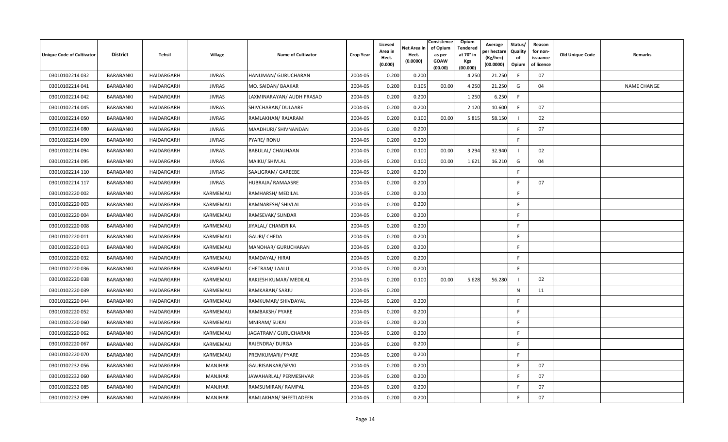| Unique Code of Cultivator | <b>District</b>  | Tehsil     | Village        | <b>Name of Cultivator</b> | <b>Crop Year</b> | Licesed<br>Area in<br>Hect.<br>(0.000) | Net Area in<br>Hect.<br>(0.0000) | Consistence<br>of Opium<br>as per<br><b>GOAW</b><br>(00.00) | Opium<br><b>Tendered</b><br>at 70° in<br>Kgs<br>(00.000) | Average<br>oer hectare<br>(Kg/hec)<br>(00.0000) | Status/<br>Quality<br>of<br>Opium | Reason<br>for non-<br>issuance<br>of licence | <b>Old Unique Code</b> | Remarks            |
|---------------------------|------------------|------------|----------------|---------------------------|------------------|----------------------------------------|----------------------------------|-------------------------------------------------------------|----------------------------------------------------------|-------------------------------------------------|-----------------------------------|----------------------------------------------|------------------------|--------------------|
| 03010102214 032           | BARABANKI        | HAIDARGARH | <b>JIVRAS</b>  | HANUMAN/ GURUCHARAN       | 2004-05          | 0.200                                  | 0.200                            |                                                             | 4.250                                                    | 21.250                                          | - F                               | 07                                           |                        |                    |
| 03010102214 041           | BARABANKI        | HAIDARGARH | <b>JIVRAS</b>  | MO. SAIDAN/ BAAKAR        | 2004-05          | 0.200                                  | 0.105                            | 00.00                                                       | 4.250                                                    | 21.250                                          | G                                 | 04                                           |                        | <b>NAME CHANGE</b> |
| 03010102214 042           | BARABANKI        | HAIDARGARH | <b>JIVRAS</b>  | LAXMINARAYAN/ AUDH PRASAD | 2004-05          | 0.200                                  | 0.200                            |                                                             | 1.250                                                    | 6.250                                           | F.                                |                                              |                        |                    |
| 03010102214 045           | BARABANKI        | HAIDARGARH | <b>JIVRAS</b>  | SHIVCHARAN/ DULAARE       | 2004-05          | 0.200                                  | 0.200                            |                                                             | 2.120                                                    | 10.600                                          | F                                 | 07                                           |                        |                    |
| 03010102214 050           | BARABANKI        | HAIDARGARH | <b>JIVRAS</b>  | RAMLAKHAN/RAJARAM         | 2004-05          | 0.200                                  | 0.100                            | 00.00                                                       | 5.81                                                     | 58.150                                          |                                   | 02                                           |                        |                    |
| 03010102214 080           | BARABANKI        | HAIDARGARH | <b>JIVRAS</b>  | MAADHURI/ SHIVNANDAN      | 2004-05          | 0.200                                  | 0.200                            |                                                             |                                                          |                                                 | F                                 | 07                                           |                        |                    |
| 03010102214 090           | BARABANKI        | HAIDARGARH | <b>JIVRAS</b>  | PYARE/RONU                | 2004-05          | 0.200                                  | 0.200                            |                                                             |                                                          |                                                 | F                                 |                                              |                        |                    |
| 03010102214 094           | BARABANKI        | HAIDARGARH | <b>JIVRAS</b>  | BABULAL/ CHAUHAAN         | 2004-05          | 0.200                                  | 0.100                            | 00.00                                                       | 3.294                                                    | 32.940                                          |                                   | 02                                           |                        |                    |
| 03010102214 095           | BARABANKI        | HAIDARGARH | <b>JIVRAS</b>  | MAIKU/ SHIVLAL            | 2004-05          | 0.200                                  | 0.100                            | 00.00                                                       | 1.621                                                    | 16.210                                          | G                                 | 04                                           |                        |                    |
| 03010102214 110           | BARABANKI        | HAIDARGARH | <b>JIVRAS</b>  | SAALIGRAM/ GAREEBE        | 2004-05          | 0.200                                  | 0.200                            |                                                             |                                                          |                                                 | E                                 |                                              |                        |                    |
| 03010102214 117           | BARABANKI        | HAIDARGARH | <b>JIVRAS</b>  | HUBRAJA/ RAMAASRE         | 2004-05          | 0.200                                  | 0.200                            |                                                             |                                                          |                                                 | -F                                | 07                                           |                        |                    |
| 03010102220 002           | BARABANKI        | HAIDARGARH | KARMEMAU       | RAMHARSH/ MEDILAL         | 2004-05          | 0.200                                  | 0.200                            |                                                             |                                                          |                                                 | -F                                |                                              |                        |                    |
| 03010102220 003           | BARABANKI        | HAIDARGARH | KARMEMAU       | RAMNARESH/ SHIVLAL        | 2004-05          | 0.200                                  | 0.200                            |                                                             |                                                          |                                                 | F.                                |                                              |                        |                    |
| 03010102220 004           | BARABANKI        | HAIDARGARH | KARMEMAU       | RAMSEVAK/ SUNDAR          | 2004-05          | 0.200                                  | 0.200                            |                                                             |                                                          |                                                 | F                                 |                                              |                        |                    |
| 03010102220 008           | <b>BARABANKI</b> | HAIDARGARH | KARMEMAU       | JIYALAL/ CHANDRIKA        | 2004-05          | 0.200                                  | 0.200                            |                                                             |                                                          |                                                 | -F                                |                                              |                        |                    |
| 03010102220 011           | BARABANKI        | HAIDARGARH | KARMEMAU       | GAURI/ CHEDA              | 2004-05          | 0.200                                  | 0.200                            |                                                             |                                                          |                                                 | F.                                |                                              |                        |                    |
| 03010102220013            | BARABANKI        | HAIDARGARH | KARMEMAU       | MANOHAR/ GURUCHARAN       | 2004-05          | 0.200                                  | 0.200                            |                                                             |                                                          |                                                 | E                                 |                                              |                        |                    |
| 03010102220 032           | BARABANKI        | HAIDARGARH | KARMEMAU       | RAMDAYAL/ HIRAI           | 2004-05          | 0.200                                  | 0.200                            |                                                             |                                                          |                                                 | F.                                |                                              |                        |                    |
| 03010102220036            | BARABANKI        | HAIDARGARH | KARMEMAU       | CHETRAM/ LAALU            | 2004-05          | 0.200                                  | 0.200                            |                                                             |                                                          |                                                 | F                                 |                                              |                        |                    |
| 03010102220038            | BARABANKI        | HAIDARGARH | KARMEMAU       | RAKJESH KUMAR/ MEDILAL    | 2004-05          | 0.200                                  | 0.100                            | 00.00                                                       | 5.628                                                    | 56.280                                          |                                   | 02                                           |                        |                    |
| 03010102220039            | BARABANKI        | HAIDARGARH | KARMEMAU       | RAMKARAN/ SARJU           | 2004-05          | 0.200                                  |                                  |                                                             |                                                          |                                                 | $\mathsf{N}$                      | 11                                           |                        |                    |
| 03010102220044            | BARABANKI        | HAIDARGARH | KARMEMAU       | RAMKUMAR/ SHIVDAYAL       | 2004-05          | 0.200                                  | 0.200                            |                                                             |                                                          |                                                 | -F                                |                                              |                        |                    |
| 03010102220052            | BARABANKI        | HAIDARGARH | KARMEMAU       | RAMBAKSH/ PYARE           | 2004-05          | 0.200                                  | 0.200                            |                                                             |                                                          |                                                 | F                                 |                                              |                        |                    |
| 03010102220060            | BARABANKI        | HAIDARGARH | KARMEMAU       | MNIRAM/ SUKAI             | 2004-05          | 0.200                                  | 0.200                            |                                                             |                                                          |                                                 | F                                 |                                              |                        |                    |
| 03010102220 062           | BARABANKI        | HAIDARGARH | KARMEMAU       | JAGATRAM/ GURUCHARAN      | 2004-05          | 0.200                                  | 0.200                            |                                                             |                                                          |                                                 | E                                 |                                              |                        |                    |
| 03010102220 067           | BARABANKI        | HAIDARGARH | KARMEMAU       | RAJENDRA/ DURGA           | 2004-05          | 0.200                                  | 0.200                            |                                                             |                                                          |                                                 | F                                 |                                              |                        |                    |
| 03010102220 070           | BARABANKI        | HAIDARGARH | KARMEMAU       | PREMKUMARI/ PYARE         | 2004-05          | 0.200                                  | 0.200                            |                                                             |                                                          |                                                 | E                                 |                                              |                        |                    |
| 03010102232 056           | BARABANKI        | HAIDARGARH | MANJHAR        | GAURISANKAR/SEVKI         | 2004-05          | 0.200                                  | 0.200                            |                                                             |                                                          |                                                 | -F                                | 07                                           |                        |                    |
| 03010102232 060           | BARABANKI        | HAIDARGARH | MANJHAR        | JAWAHARLAL/ PERMESHVAR    | 2004-05          | 0.200                                  | 0.200                            |                                                             |                                                          |                                                 | -F                                | 07                                           |                        |                    |
| 03010102232 085           | BARABANKI        | HAIDARGARH | <b>MANJHAR</b> | RAMSUMIRAN/RAMPAL         | 2004-05          | 0.200                                  | 0.200                            |                                                             |                                                          |                                                 | -F                                | 07                                           |                        |                    |
| 03010102232 099           | BARABANKI        | HAIDARGARH | <b>MANJHAR</b> | RAMLAKHAN/ SHEETLADEEN    | 2004-05          | 0.200                                  | 0.200                            |                                                             |                                                          |                                                 | E                                 | 07                                           |                        |                    |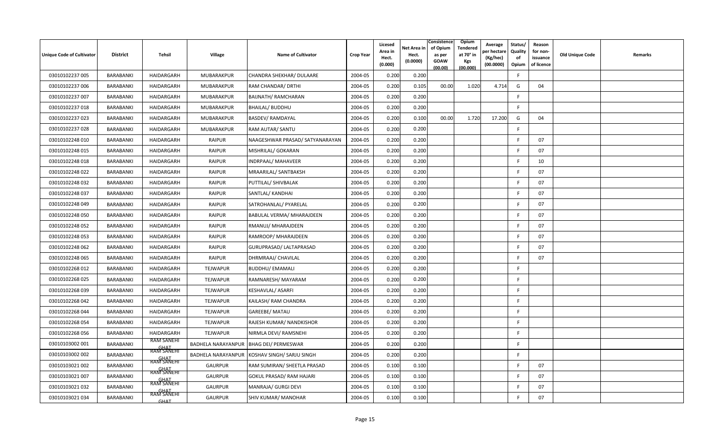| Unique Code of Cultivator | <b>District</b> | Tehsil                                         | Village                   | <b>Name of Cultivator</b>        | <b>Crop Year</b> | Licesed<br>Area in<br>Hect.<br>(0.000) | Net Area in<br>Hect.<br>(0.0000) | Consistence<br>of Opium<br>as per<br><b>GOAW</b><br>(00.00) | Opium<br><b>Tendered</b><br>at 70° in<br><b>Kgs</b><br>(00.000) | Average<br>oer hectare<br>(Kg/hec)<br>(00.0000) | Status/<br>Quality<br>of<br>Opium | Reason<br>for non-<br>issuance<br>of licence | Old Unique Code | Remarks |
|---------------------------|-----------------|------------------------------------------------|---------------------------|----------------------------------|------------------|----------------------------------------|----------------------------------|-------------------------------------------------------------|-----------------------------------------------------------------|-------------------------------------------------|-----------------------------------|----------------------------------------------|-----------------|---------|
| 03010102237 005           | BARABANKI       | HAIDARGARH                                     | MUBARAKPUR                | CHANDRA SHEKHAR/ DULAARE         | 2004-05          | 0.200                                  | 0.200                            |                                                             |                                                                 |                                                 | E                                 |                                              |                 |         |
| 03010102237 006           | BARABANKI       | HAIDARGARH                                     | MUBARAKPUR                | RAM CHANDAR/ DRTHI               | 2004-05          | 0.200                                  | 0.105                            | 00.00                                                       | 1.020                                                           | 4.714                                           | G                                 | 04                                           |                 |         |
| 03010102237 007           | BARABANKI       | HAIDARGARH                                     | MUBARAKPUR                | <b>BAIJNATH/ RAMCHARAN</b>       | 2004-05          | 0.200                                  | 0.200                            |                                                             |                                                                 |                                                 | -F                                |                                              |                 |         |
| 03010102237018            | BARABANKI       | HAIDARGARH                                     | MUBARAKPUR                | <b>BHAILAL/ BUDDHU</b>           | 2004-05          | 0.200                                  | 0.200                            |                                                             |                                                                 |                                                 | F.                                |                                              |                 |         |
| 03010102237 023           | BARABANKI       | HAIDARGARH                                     | MUBARAKPUR                | <b>BASDEV/ RAMDAYAL</b>          | 2004-05          | 0.200                                  | 0.100                            | 00.00                                                       | 1.720                                                           | 17.200                                          | G                                 | 04                                           |                 |         |
| 03010102237 028           | BARABANKI       | HAIDARGARH                                     | MUBARAKPUR                | RAM AUTAR/ SANTU                 | 2004-05          | 0.200                                  | 0.200                            |                                                             |                                                                 |                                                 | F                                 |                                              |                 |         |
| 03010102248 010           | BARABANKI       | HAIDARGARH                                     | <b>RAIPUR</b>             | NAAGESHWAR PRASAD/ SATYANARAYAN  | 2004-05          | 0.200                                  | 0.200                            |                                                             |                                                                 |                                                 | E                                 | 07                                           |                 |         |
| 03010102248 015           | BARABANKI       | HAIDARGARH                                     | <b>RAIPUR</b>             | MISHRILAL/ GOKARAN               | 2004-05          | 0.200                                  | 0.200                            |                                                             |                                                                 |                                                 | E                                 | 07                                           |                 |         |
| 03010102248018            | BARABANKI       | HAIDARGARH                                     | <b>RAIPUR</b>             | INDRPAAL/ MAHAVEER               | 2004-05          | 0.200                                  | 0.200                            |                                                             |                                                                 |                                                 | F                                 | 10                                           |                 |         |
| 03010102248 022           | BARABANKI       | HAIDARGARH                                     | <b>RAIPUR</b>             | MRAARILAL/ SANTBAKSH             | 2004-05          | 0.200                                  | 0.200                            |                                                             |                                                                 |                                                 | F                                 | 07                                           |                 |         |
| 03010102248 032           | BARABANKI       | HAIDARGARH                                     | <b>RAIPUR</b>             | PUTTILAL/ SHIVBALAK              | 2004-05          | 0.200                                  | 0.200                            |                                                             |                                                                 |                                                 | F.                                | 07                                           |                 |         |
| 03010102248 037           | BARABANKI       | HAIDARGARH                                     | <b>RAIPUR</b>             | SANTLAL/ KANDHAI                 | 2004-05          | 0.200                                  | 0.200                            |                                                             |                                                                 |                                                 | F.                                | 07                                           |                 |         |
| 03010102248049            | BARABANKI       | HAIDARGARH                                     | <b>RAIPUR</b>             | SATROHANLAL/ PYARELAL            | 2004-05          | 0.200                                  | 0.200                            |                                                             |                                                                 |                                                 | -F                                | 07                                           |                 |         |
| 03010102248050            | BARABANKI       | HAIDARGARH                                     | <b>RAIPUR</b>             | <b>BABULAL VERMA/ MHARAJDEEN</b> | 2004-05          | 0.200                                  | 0.200                            |                                                             |                                                                 |                                                 | -F                                | 07                                           |                 |         |
| 03010102248 052           | BARABANKI       | HAIDARGARH                                     | <b>RAIPUR</b>             | RMANUJ/ MHARAJDEEN               | 2004-05          | 0.200                                  | 0.200                            |                                                             |                                                                 |                                                 | E                                 | 07                                           |                 |         |
| 03010102248 053           | BARABANKI       | HAIDARGARH                                     | <b>RAIPUR</b>             | RAMROOP/ MHARAJDEEN              | 2004-05          | 0.200                                  | 0.200                            |                                                             |                                                                 |                                                 | -F                                | 07                                           |                 |         |
| 03010102248 062           | BARABANKI       | HAIDARGARH                                     | <b>RAIPUR</b>             | GURUPRASAD/ LALTAPRASAD          | 2004-05          | 0.200                                  | 0.200                            |                                                             |                                                                 |                                                 | F                                 | 07                                           |                 |         |
| 03010102248 065           | BARABANKI       | HAIDARGARH                                     | <b>RAIPUR</b>             | DHRMRAAJ/ CHAVILAL               | 2004-05          | 0.200                                  | 0.200                            |                                                             |                                                                 |                                                 | -F                                | 07                                           |                 |         |
| 03010102268 012           | BARABANKI       | HAIDARGARH                                     | <b>TEJWAPUR</b>           | <b>BUDDHU/ EMAMALI</b>           | 2004-05          | 0.200                                  | 0.200                            |                                                             |                                                                 |                                                 | F                                 |                                              |                 |         |
| 03010102268025            | BARABANKI       | HAIDARGARH                                     | TEJWAPUR                  | RAMNARESH/ MAYARAM               | 2004-05          | 0.200                                  | 0.200                            |                                                             |                                                                 |                                                 | F                                 |                                              |                 |         |
| 03010102268 039           | BARABANKI       | HAIDARGARH                                     | TEJWAPUR                  | KESHAVLAL/ ASARFI                | 2004-05          | 0.200                                  | 0.200                            |                                                             |                                                                 |                                                 | F                                 |                                              |                 |         |
| 03010102268042            | BARABANKI       | HAIDARGARH                                     | TEJWAPUR                  | KAILASH/ RAM CHANDRA             | 2004-05          | 0.200                                  | 0.200                            |                                                             |                                                                 |                                                 | F                                 |                                              |                 |         |
| 03010102268 044           | BARABANKI       | HAIDARGARH                                     | <b>TEJWAPUR</b>           | <b>GAREEBE/ MATAU</b>            | 2004-05          | 0.200                                  | 0.200                            |                                                             |                                                                 |                                                 | E                                 |                                              |                 |         |
| 03010102268 054           | BARABANKI       | HAIDARGARH                                     | TEJWAPUR                  | RAJESH KUMAR/ NANDKISHOR         | 2004-05          | 0.200                                  | 0.200                            |                                                             |                                                                 |                                                 | F.                                |                                              |                 |         |
| 03010102268 056           | BARABANKI       | HAIDARGARH                                     | <b>TEJWAPUR</b>           | NIRMLA DEVI/ RAMSNEHI            | 2004-05          | 0.200                                  | 0.200                            |                                                             |                                                                 |                                                 | F                                 |                                              |                 |         |
| 03010103002 001           | BARABANKI       | <b>RAM SANEHI</b><br><b>GHAT</b><br>RAM SANEHI | <b>BADHELA NARAYANPUR</b> | <b>BHAG DEI/ PERMESWAR</b>       | 2004-05          | 0.200                                  | 0.200                            |                                                             |                                                                 |                                                 | E                                 |                                              |                 |         |
| 03010103002 002           | BARABANKI       | RAM SANEHI                                     | <b>BADHELA NARAYANPUR</b> | KOSHAV SINGH/ SARJU SINGH        | 2004-05          | 0.200                                  | 0.200                            |                                                             |                                                                 |                                                 | F.                                |                                              |                 |         |
| 03010103021 002           | BARABANKI       | GHAT<br>RAM SANEHI                             | <b>GAURPUR</b>            | RAM SUMIRAN/ SHEETLA PRASAD      | 2004-05          | 0.100                                  | 0.100                            |                                                             |                                                                 |                                                 | E                                 | 07                                           |                 |         |
| 03010103021 007           | BARABANKI       | GHAT<br>RAM SANEHI                             | <b>GAURPUR</b>            | <b>GOKUL PRASAD/ RAM HAJARI</b>  | 2004-05          | 0.100                                  | 0.100                            |                                                             |                                                                 |                                                 | -F                                | 07                                           |                 |         |
| 03010103021 032           | BARABANKI       | <b>GHAT</b><br>RAM SANEHI                      | <b>GAURPUR</b>            | MANRAJA/ GURGI DEVI              | 2004-05          | 0.100                                  | 0.100                            |                                                             |                                                                 |                                                 | -F                                | 07                                           |                 |         |
| 03010103021 034           | BARABANKI       | GHAT                                           | <b>GAURPUR</b>            | SHIV KUMAR/ MANOHAR              | 2004-05          | 0.100                                  | 0.100                            |                                                             |                                                                 |                                                 | -F                                | 07                                           |                 |         |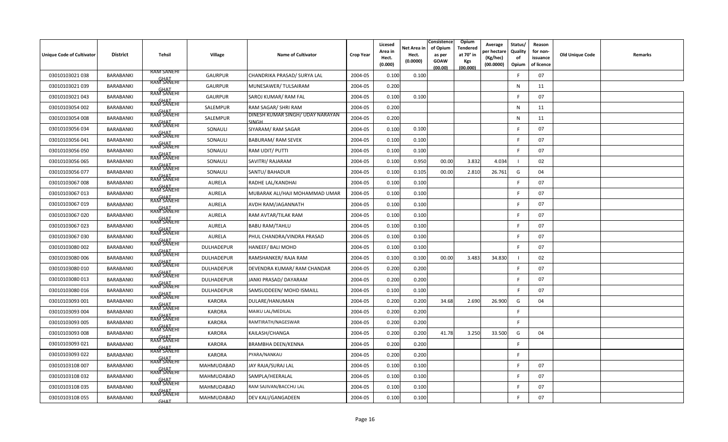| <b>Unique Code of Cultivator</b> | <b>District</b>  | Tehsil                           | Village           | <b>Name of Cultivator</b>                 | <b>Crop Year</b> | Licesed<br>Area in<br>Hect.<br>(0.000) | Net Area in<br>Hect.<br>(0.0000) | Consistence<br>of Opium<br>as per<br><b>GOAW</b><br>(00.00) | Opium<br><b>Tendered</b><br>at 70° in<br>Kgs<br>(00.000) | Average<br>er hectare<br>(Kg/hec)<br>(00.0000) | Status/<br>Quality<br>of<br>Opium | Reason<br>for non-<br>issuance<br>of licence | Old Unique Code | <b>Remarks</b> |
|----------------------------------|------------------|----------------------------------|-------------------|-------------------------------------------|------------------|----------------------------------------|----------------------------------|-------------------------------------------------------------|----------------------------------------------------------|------------------------------------------------|-----------------------------------|----------------------------------------------|-----------------|----------------|
| 03010103021 038                  | BARABANKI        | <b>RAM SANEHI</b>                | <b>GAURPUR</b>    | CHANDRIKA PRASAD/ SURYA LAL               | 2004-05          | 0.100                                  | 0.100                            |                                                             |                                                          |                                                | F                                 | 07                                           |                 |                |
| 03010103021 039                  | BARABANKI        | GHAT<br>RAM SANEHI<br>RAM SANEHI | <b>GAURPUR</b>    | MUNESAWER/TULSAIRAM                       | 2004-05          | 0.200                                  |                                  |                                                             |                                                          |                                                | $\mathsf{N}$                      | 11                                           |                 |                |
| 03010103021 043                  | BARABANKI        | GHAT<br>RAM SANEHI               | <b>GAURPUR</b>    | SAROJ KUMAR/RAM FAL                       | 2004-05          | 0.100                                  | 0.100                            |                                                             |                                                          |                                                | F                                 | 07                                           |                 |                |
| 03010103054 002                  | <b>BARABANKI</b> | GHAT<br>RAM SANEHI               | SALEMPUR          | RAM SAGAR/ SHRI RAM                       | 2004-05          | 0.200                                  |                                  |                                                             |                                                          |                                                | N                                 | 11                                           |                 |                |
| 03010103054 008                  | BARABANKI        | GHAT<br>RAM SANEHI               | SALEMPUR          | DINESH KUMAR SINGH/ UDAY NARAYAN<br>SINGH | 2004-05          | 0.200                                  |                                  |                                                             |                                                          |                                                | ${\sf N}$                         | 11                                           |                 |                |
| 03010103056 034                  | BARABANKI        | <b>GHAT</b><br>RAM SANEHI        | SONAULI           | SIYARAM/ RAM SAGAR                        | 2004-05          | 0.100                                  | 0.100                            |                                                             |                                                          |                                                | F                                 | 07                                           |                 |                |
| 03010103056041                   | BARABANKI        | GHAT<br>RAM SANEHI               | SONAULI           | <b>BABURAM/ RAM SEVEK</b>                 | 2004-05          | 0.100                                  | 0.100                            |                                                             |                                                          |                                                | F.                                | 07                                           |                 |                |
| 03010103056050                   | BARABANKI        | GHAT<br>RAM SANEHI               | SONAULI           | RAM UDIT/ PUTTI                           | 2004-05          | 0.100                                  | 0.100                            |                                                             |                                                          |                                                | F.                                | 07                                           |                 |                |
| 03010103056 065                  | BARABANKI        | GHAT<br>RAM SANEHI               | SONAULI           | SAVITRI/ RAJARAM                          | 2004-05          | 0.100                                  | 0.950                            | 00.00                                                       | 3.832                                                    | 4.034                                          |                                   | 02                                           |                 |                |
| 03010103056 077                  | BARABANKI        | RAM SANEHI                       | SONAULI           | SANTU/ BAHADUR                            | 2004-05          | 0.100                                  | 0.105                            | 00.00                                                       | 2.810                                                    | 26.761                                         | G                                 | 04                                           |                 |                |
| 03010103067 008                  | BARABANKI        | <b>GHAT</b><br>RAM SANEHI        | <b>AURELA</b>     | RADHE LAL/KANDHAI                         | 2004-05          | 0.100                                  | 0.100                            |                                                             |                                                          |                                                | F.                                | 07                                           |                 |                |
| 03010103067 013                  | BARABANKI        | GHAT<br>RAM SANEHI               | <b>AURELA</b>     | MUBARAK ALI/HAJI MOHAMMAD UMAR            | 2004-05          | 0.100                                  | 0.100                            |                                                             |                                                          |                                                | F.                                | 07                                           |                 |                |
| 03010103067 019                  | BARABANKI        | GHAT<br>RAM SANEHI               | <b>AURELA</b>     | AVDH RAM/JAGANNATH                        | 2004-05          | 0.100                                  | 0.100                            |                                                             |                                                          |                                                |                                   | 07                                           |                 |                |
| 03010103067 020                  | BARABANKI        | <b>GHAT</b><br>RAM SANEHI        | <b>AURELA</b>     | RAM AVTAR/TILAK RAM                       | 2004-05          | 0.100                                  | 0.100                            |                                                             |                                                          |                                                | F.                                | 07                                           |                 |                |
| 03010103067 023                  | BARABANKI        | RAM SANEHI                       | <b>AURELA</b>     | <b>BABU RAM/TAHLU</b>                     | 2004-05          | 0.100                                  | 0.100                            |                                                             |                                                          |                                                | F.                                | 07                                           |                 |                |
| 03010103067 030                  | BARABANKI        | <b>GHAT</b><br>RAM SANEHI        | <b>AURELA</b>     | PHUL CHANDRA/VINDRA PRASAD                | 2004-05          | 0.100                                  | 0.100                            |                                                             |                                                          |                                                | F.                                | 07                                           |                 |                |
| 03010103080 002                  | BARABANKI        | GHAT<br>RAM SANEHI               | DULHADEPUR        | HANEEF/ BALI MOHD                         | 2004-05          | 0.100                                  | 0.100                            |                                                             |                                                          |                                                | F.                                | 07                                           |                 |                |
| 03010103080 006                  | BARABANKI        | <b>RAM SANEHI</b>                | DULHADEPUR        | RAMSHANKER/ RAJA RAM                      | 2004-05          | 0.100                                  | 0.100                            | 00.00                                                       | 3.483                                                    | 34.830                                         |                                   | 02                                           |                 |                |
| 03010103080 010                  | BARABANKI        | GHAT<br>RAM SANEHI               | DULHADEPUR        | DEVENDRA KUMAR/RAM CHANDAR                | 2004-05          | 0.200                                  | 0.200                            |                                                             |                                                          |                                                | F.                                | 07                                           |                 |                |
| 03010103080 013                  | BARABANKI        | RAM SANEHI                       | <b>DULHADEPUR</b> | JANKI PRASAD/ DAYARAM                     | 2004-05          | 0.200                                  | 0.200                            |                                                             |                                                          |                                                | F                                 | 07                                           |                 |                |
| 03010103080 016                  | BARABANKI        | RAM SANEHI                       | DULHADEPUR        | SAMSUDDEEN/ MOHD ISMAILL                  | 2004-05          | 0.100                                  | 0.100                            |                                                             |                                                          |                                                | E                                 | 07                                           |                 |                |
| 03010103093 001                  | BARABANKI        | <b>GHAT</b><br>RAM SANEHI        | <b>KARORA</b>     | DULARE/HANUMAN                            | 2004-05          | 0.200                                  | 0.200                            | 34.68                                                       | 2.690                                                    | 26.900                                         | G                                 | 04                                           |                 |                |
| 03010103093 004                  | BARABANKI        | <b>GHAT</b><br>RAM SANEHI        | <b>KARORA</b>     | MAIKU LAL/MEDILAL                         | 2004-05          | 0.200                                  | 0.200                            |                                                             |                                                          |                                                | F                                 |                                              |                 |                |
| 03010103093 005                  | BARABANKI        | GHAT<br>RAM SANEHI               | <b>KARORA</b>     | RAMTIRATH/NAGESWAR                        | 2004-05          | 0.200                                  | 0.200                            |                                                             |                                                          |                                                | F.                                |                                              |                 |                |
| 03010103093 008                  | BARABANKI        | <b>GHAT</b><br>RAM SANEHI        | <b>KARORA</b>     | KAILASH/CHANGA                            | 2004-05          | 0.200                                  | 0.200                            | 41.78                                                       | 3.250                                                    | 33.500                                         | G                                 | 04                                           |                 |                |
| 03010103093 021                  | BARABANKI        | GHAT<br>RAM SANEHI               | <b>KARORA</b>     | BRAMBHA DEEN/KENNA                        | 2004-05          | 0.200                                  | 0.200                            |                                                             |                                                          |                                                | F.                                |                                              |                 |                |
| 03010103093 022                  | BARABANKI        | <b>GHAT</b><br>RAM SANEHI        | <b>KARORA</b>     | PYARA/NANKAU                              | 2004-05          | 0.200                                  | 0.200                            |                                                             |                                                          |                                                | F                                 |                                              |                 |                |
| 03010103108 007                  | BARABANKI        | GHAT<br>RAM SANEHI               | MAHMUDABAD        | JAY RAJA/SURAJ LAL                        | 2004-05          | 0.100                                  | 0.100                            |                                                             |                                                          |                                                | F                                 | 07                                           |                 |                |
| 03010103108 032                  | BARABANKI        | GHAT<br>RAM SANEHI               | MAHMUDABAD        | SAMPLA/HEERALAL                           | 2004-05          | 0.100                                  | 0.100                            |                                                             |                                                          |                                                |                                   | 07                                           |                 |                |
| 03010103108 035                  | BARABANKI        | <b>GHAT</b><br>RAM SANEHI        | MAHMUDABAD        | RAM SAJIVAN/BACCHU LAL                    | 2004-05          | 0.100                                  | 0.100                            |                                                             |                                                          |                                                | F.                                | 07                                           |                 |                |
| 03010103108 055                  | BARABANKI        | <b>GHAT</b>                      | MAHMUDABAD        | DEV KALI/GANGADEEN                        | 2004-05          | 0.100                                  | 0.100                            |                                                             |                                                          |                                                | F.                                | 07                                           |                 |                |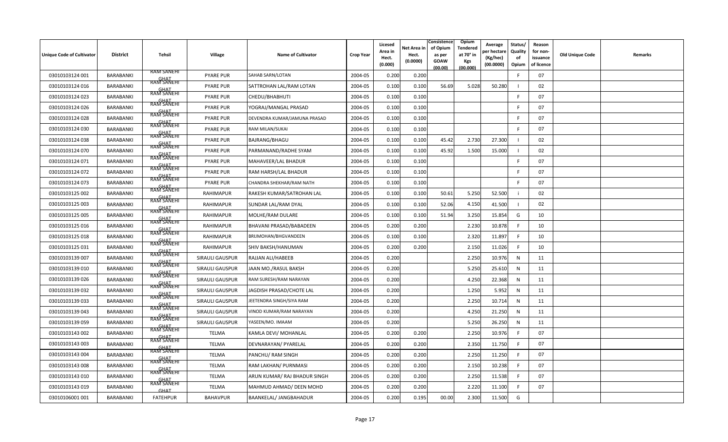| <b>Unique Code of Cultivator</b> | <b>District</b>  | Tehsil                                                 | Village                | <b>Name of Cultivator</b>     | <b>Crop Year</b> | Licesed<br>Area in<br>Hect.<br>(0.000) | Net Area in<br>Hect.<br>(0.0000) | Consistence<br>of Opium<br>as per<br><b>GOAW</b><br>(00.00) | Opium<br>Tendered<br>at 70 $^{\circ}$ in<br><b>Kgs</b><br>(00.000) | Average<br>er hectar<br>(Kg/hec)<br>(00.0000) | Status/<br>Quality<br>of<br>Opium | Reason<br>for non-<br>issuance<br>of licence | <b>Old Unique Code</b> | Remarks |
|----------------------------------|------------------|--------------------------------------------------------|------------------------|-------------------------------|------------------|----------------------------------------|----------------------------------|-------------------------------------------------------------|--------------------------------------------------------------------|-----------------------------------------------|-----------------------------------|----------------------------------------------|------------------------|---------|
| 03010103124 001                  | <b>BARABANKI</b> | <b>RAM SANEHI</b>                                      | <b>PYARE PUR</b>       | SAHAB SARN/LOTAN              | 2004-05          | 0.200                                  | 0.200                            |                                                             |                                                                    |                                               |                                   | 07                                           |                        |         |
| 03010103124 016                  | BARABANKI        | RAM SANEHI                                             | <b>PYARE PUR</b>       | SATTROHAN LAL/RAM LOTAN       | 2004-05          | 0.100                                  | 0.100                            | 56.69                                                       | 5.028                                                              | 50.280                                        |                                   | 02                                           |                        |         |
| 03010103124 023                  | <b>BARABANKI</b> | RAM SANEHI                                             | <b>PYARE PUR</b>       | CHEDU/BHABHUTI                | 2004-05          | 0.100                                  | 0.100                            |                                                             |                                                                    |                                               |                                   | 07                                           |                        |         |
| 03010103124 026                  | <b>BARABANKI</b> | <b>GHAT</b><br>RAM SANEHI                              | <b>PYARE PUR</b>       | YOGRAJ/MANGAL PRASAD          | 2004-05          | 0.100                                  | 0.100                            |                                                             |                                                                    |                                               |                                   | 07                                           |                        |         |
| 03010103124 028                  | BARABANKI        | <b>GHAT</b><br>RAM SANEHI                              | <b>PYARE PUR</b>       | DEVENDRA KUMAR/JAMUNA PRASAD  | 2004-05          | 0.100                                  | 0.100                            |                                                             |                                                                    |                                               | -F                                | 07                                           |                        |         |
| 03010103124 030                  | <b>BARABANKI</b> | <b>GHAT</b><br>RAM SANEHI<br><b>GHAT</b><br>RAM SANEHI | <b>PYARE PUR</b>       | RAM MILAN/SUKAI               | 2004-05          | 0.100                                  | 0.100                            |                                                             |                                                                    |                                               | F.                                | 07                                           |                        |         |
| 03010103124 038                  | <b>BARABANKI</b> |                                                        | <b>PYARE PUR</b>       | <b>BAJRANG/BHAGU</b>          | 2004-05          | 0.100                                  | 0.100                            | 45.42                                                       | 2.730                                                              | 27.300                                        |                                   | 02                                           |                        |         |
| 03010103124 070                  | <b>BARABANKI</b> | GHAT<br>RAM SANEHI                                     | <b>PYARE PUR</b>       | PARMANAND/RADHE SYAM          | 2004-05          | 0.100                                  | 0.100                            | 45.92                                                       | 1.500                                                              | 15.000                                        |                                   | 02                                           |                        |         |
| 03010103124 071                  | <b>BARABANKI</b> | RAM SANEHI<br><b>GHAT</b><br>RAM SANEHI                | <b>PYARE PUR</b>       | MAHAVEER/LAL BHADUR           | 2004-05          | 0.100                                  | 0.100                            |                                                             |                                                                    |                                               | E                                 | 07                                           |                        |         |
| 03010103124 072                  | <b>BARABANKI</b> |                                                        | <b>PYARE PUR</b>       | RAM HARSH/LAL BHADUR          | 2004-05          | 0.100                                  | 0.100                            |                                                             |                                                                    |                                               |                                   | 07                                           |                        |         |
| 03010103124 073                  | <b>BARABANKI</b> | RAM SANEHI                                             | <b>PYARE PUR</b>       | CHANDRA SHEKHAR/RAM NATH      | 2004-05          | 0.100                                  | 0.100                            |                                                             |                                                                    |                                               | E                                 | 07                                           |                        |         |
| 03010103125 002                  | <b>BARABANKI</b> | <b>GHAT</b><br>RAM SANEHI                              | RAHIMAPUR              | RAKESH KUMAR/SATROHAN LAL     | 2004-05          | 0.100                                  | 0.100                            | 50.61                                                       | 5.250                                                              | 52.500                                        |                                   | 02                                           |                        |         |
| 03010103125 003                  | BARABANKI        | <b>GHAT</b><br>RAM SANEHI<br>RAM SANEHI                | <b>RAHIMAPUR</b>       | SUNDAR LAL/RAM DYAL           | 2004-05          | 0.100                                  | 0.100                            | 52.06                                                       | 4.150                                                              | 41.500                                        |                                   | 02                                           |                        |         |
| 03010103125 005                  | <b>BARABANKI</b> | GHAT<br>RAM SANEHI                                     | RAHIMAPUR              | MOLHE/RAM DULARE              | 2004-05          | 0.100                                  | 0.100                            | 51.94                                                       | 3.250                                                              | 15.854                                        | G                                 | 10                                           |                        |         |
| 03010103125 016                  | <b>BARABANKI</b> |                                                        | <b>RAHIMAPUR</b>       | BHAVANI PRASAD/BABADEEN       | 2004-05          | 0.200                                  | 0.200                            |                                                             | 2.230                                                              | 10.878                                        | E                                 | 10                                           |                        |         |
| 03010103125 018                  | <b>BARABANKI</b> | RAM SANEHI<br><b>GHAT</b><br>RAM SANEHI                | <b>RAHIMAPUR</b>       | BRIJMOHAN/BHGVANDEEN          | 2004-05          | 0.100                                  | 0.100                            |                                                             | 2.320                                                              | 11.897                                        | -F                                | 10                                           |                        |         |
| 03010103125 031                  | <b>BARABANKI</b> | <b>GHAT</b><br>RAM SANEHI                              | RAHIMAPUR              | SHIV BAKSH/HANUMAN            | 2004-05          | 0.200                                  | 0.200                            |                                                             | 2.150                                                              | 11.026                                        | -F                                | 10                                           |                        |         |
| 03010103139 007                  | BARABANKI        | RAM SANEHI                                             | <b>SIRAULI GAUSPUR</b> | RAJJAN ALI/HABEEB             | 2004-05          | 0.200                                  |                                  |                                                             | 2.250                                                              | 10.976                                        | N                                 | 11                                           |                        |         |
| 03010103139010                   | BARABANKI        | <b>RAM SANEHI</b>                                      | <b>SIRAULI GAUSPUR</b> | JAAN MO./RASUL BAKSH          | 2004-05          | 0.200                                  |                                  |                                                             | 5.250                                                              | 25.610                                        | N                                 | 11                                           |                        |         |
| 03010103139026                   | <b>BARABANKI</b> | RAM SANEHI                                             | <b>SIRAULI GAUSPUR</b> | RAM SURESH/RAM NARAYAN        | 2004-05          | 0.200                                  |                                  |                                                             | 4.25(                                                              | 22.368                                        | N                                 | 11                                           |                        |         |
| 03010103139 032                  | <b>BARABANKI</b> | RAM SANEHI                                             | SIRAULI GAUSPUR        | JAGDISH PRASAD/CHOTE LAL      | 2004-05          | 0.200                                  |                                  |                                                             | 1.250                                                              | 5.952                                         | N                                 | 11                                           |                        |         |
| 03010103139033                   | <b>BARABANKI</b> | <b>GHAT</b><br>RAM SANEHI                              | SIRAULI GAUSPUR        | JEETENDRA SINGH/SIYA RAM      | 2004-05          | 0.200                                  |                                  |                                                             | 2.250                                                              | 10.714                                        | N                                 | 11                                           |                        |         |
| 03010103139043                   | BARABANKI        | GHAT<br>RAM SANEHI                                     | <b>SIRAULI GAUSPUR</b> | VINOD KUMAR/RAM NARAYAN       | 2004-05          | 0.200                                  |                                  |                                                             | 4.250                                                              | 21.250                                        | N                                 | 11                                           |                        |         |
| 03010103139059                   | <b>BARABANKI</b> | <b>GHAT</b><br>RAM SANEHI                              | SIRAULI GAUSPUR        | YASEEN/MO. IMAAM              | 2004-05          | 0.200                                  |                                  |                                                             | 5.250                                                              | 26.250                                        | N                                 | 11                                           |                        |         |
| 03010103143 002                  | <b>BARABANKI</b> | <b>GHAT</b><br>RAM SANEHI                              | <b>TELMA</b>           | KAMLA DEVI/ MOHANLAL          | 2004-05          | 0.200                                  | 0.200                            |                                                             | 2.250                                                              | 10.976                                        | E                                 | 07                                           |                        |         |
| 03010103143 003                  | <b>BARABANKI</b> | <b>GHAT</b><br>RAM SANEHI                              | <b>TELMA</b>           | DEVNARAYAN/ PYARELAL          | 2004-05          | 0.200                                  | 0.200                            |                                                             | 2.350                                                              | 11.750                                        | -F                                | 07                                           |                        |         |
| 03010103143004                   | BARABANKI        | <b>GHAT</b><br>RAM SANEHI                              | <b>TELMA</b>           | PANCHU/ RAM SINGH             | 2004-05          | 0.200                                  | 0.200                            |                                                             | 2.250                                                              | 11.250                                        | F                                 | 07                                           |                        |         |
| 03010103143 008                  | <b>BARABANKI</b> | GHAT<br>RAM SANEHI                                     | TELMA                  | RAM LAKHAN/ PURNMASI          | 2004-05          | 0.200                                  | 0.200                            |                                                             | 2.150                                                              | 10.238                                        | E                                 | 07                                           |                        |         |
| 03010103143 010                  | <b>BARABANKI</b> | RAM SANEHI                                             | <b>TELMA</b>           | ARUN KUMAR/ RAJ BHADUR SINGH  | 2004-05          | 0.200                                  | 0.200                            |                                                             | 2.250                                                              | 11.538                                        | -F                                | 07                                           |                        |         |
| 03010103143 019                  | <b>BARABANKI</b> | <b>GHAT</b>                                            | <b>TELMA</b>           | MAHMUD AHMAD/ DEEN MOHD       | 2004-05          | 0.200                                  | 0.200                            |                                                             | 2.220                                                              | 11.100                                        |                                   | 07                                           |                        |         |
| 03010106001 001                  | <b>BARABANKI</b> | <b>FATEHPUR</b>                                        | <b>BAHAVPUR</b>        | <b>BAANKELAL/ JANGBAHADUR</b> | 2004-05          | 0.200                                  | 0.195                            | 00.00                                                       | 2.300                                                              | 11.500                                        | G                                 |                                              |                        |         |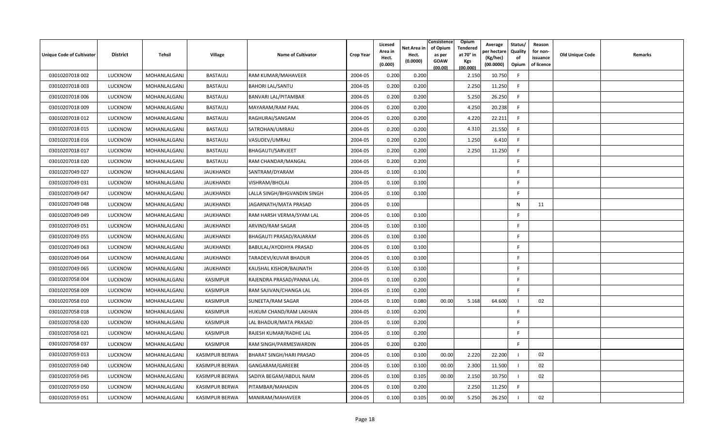| Unique Code of Cultivator | <b>District</b> | Tehsil       | <b>Village</b>        | <b>Name of Cultivator</b>       | <b>Crop Year</b> | Licesed<br>Area in<br>Hect.<br>(0.000) | Net Area in<br>Hect.<br>(0.0000) | Consistence<br>of Opium<br>as per<br><b>GOAW</b><br>(00.00) | Opium<br>Tendered<br>at 70° in<br>Kgs<br>(00.000) | Average<br>er hectar<br>(Kg/hec)<br>(00.0000) | Status/<br>Quality<br>of<br>Opium | Reason<br>for non-<br>issuance<br>of licence | <b>Old Unique Code</b> | Remarks |
|---------------------------|-----------------|--------------|-----------------------|---------------------------------|------------------|----------------------------------------|----------------------------------|-------------------------------------------------------------|---------------------------------------------------|-----------------------------------------------|-----------------------------------|----------------------------------------------|------------------------|---------|
| 03010207018 002           | <b>LUCKNOW</b>  | MOHANLALGANJ | <b>BASTAULI</b>       | RAM KUMAR/MAHAVEER              | 2004-05          | 0.200                                  | 0.200                            |                                                             | 2.150                                             | 10.750                                        | -F                                |                                              |                        |         |
| 03010207018 003           | <b>LUCKNOW</b>  | MOHANLALGANJ | <b>BASTAULI</b>       | <b>BAHORI LAL/SANTU</b>         | 2004-05          | 0.200                                  | 0.200                            |                                                             | 2.250                                             | 11.250                                        | F.                                |                                              |                        |         |
| 03010207018 006           | <b>LUCKNOW</b>  | MOHANLALGANJ | <b>BASTAULI</b>       | <b>BANVARI LAL/PITAMBAR</b>     | 2004-05          | 0.200                                  | 0.200                            |                                                             | 5.250                                             | 26.250                                        | E                                 |                                              |                        |         |
| 03010207018 009           | <b>LUCKNOW</b>  | MOHANLALGANJ | <b>BASTAULI</b>       | MAYARAM/RAM PAAL                | 2004-05          | 0.200                                  | 0.200                            |                                                             | 4.250                                             | 20.238                                        | F                                 |                                              |                        |         |
| 03010207018 012           | <b>LUCKNOW</b>  | MOHANLALGANJ | <b>BASTAULI</b>       | RAGHURAI/SANGAM                 | 2004-05          | 0.200                                  | 0.200                            |                                                             | 4.220                                             | 22.211                                        | E                                 |                                              |                        |         |
| 03010207018 015           | <b>LUCKNOW</b>  | MOHANLALGANJ | <b>BASTAULI</b>       | SATROHAN/UMRAU                  | 2004-05          | 0.200                                  | 0.200                            |                                                             | 4.310                                             | 21.550                                        | F                                 |                                              |                        |         |
| 03010207018 016           | <b>LUCKNOW</b>  | MOHANLALGANJ | <b>BASTAULI</b>       | VASUDEV/UMRAU                   | 2004-05          | 0.200                                  | 0.200                            |                                                             | 1.250                                             | 6.410                                         | F.                                |                                              |                        |         |
| 03010207018 017           | <b>LUCKNOW</b>  | MOHANLALGANJ | <b>BASTAULI</b>       | <b>BHAGAUTI/SARVJEET</b>        | 2004-05          | 0.200                                  | 0.200                            |                                                             | 2.250                                             | 11.250                                        | E                                 |                                              |                        |         |
| 03010207018020            | <b>LUCKNOW</b>  | MOHANLALGANJ | <b>BASTAULI</b>       | RAM CHANDAR/MANGAL              | 2004-05          | 0.200                                  | 0.200                            |                                                             |                                                   |                                               | F                                 |                                              |                        |         |
| 03010207049 027           | <b>LUCKNOW</b>  | MOHANLALGANJ | <b>JAUKHANDI</b>      | SANTRAM/DYARAM                  | 2004-05          | 0.100                                  | 0.100                            |                                                             |                                                   |                                               | F.                                |                                              |                        |         |
| 03010207049 031           | <b>LUCKNOW</b>  | MOHANLALGANJ | JAUKHANDI             | VISHRAM/BHOLAI                  | 2004-05          | 0.100                                  | 0.100                            |                                                             |                                                   |                                               | F.                                |                                              |                        |         |
| 03010207049 047           | <b>LUCKNOW</b>  | MOHANLALGANJ | JAUKHANDI             | LALLA SINGH/BHGVANDIN SINGH     | 2004-05          | 0.100                                  | 0.100                            |                                                             |                                                   |                                               | F.                                |                                              |                        |         |
| 03010207049 048           | <b>LUCKNOW</b>  | MOHANLALGANJ | <b>JAUKHANDI</b>      | JAGARNATH/MATA PRASAD           | 2004-05          | 0.100                                  |                                  |                                                             |                                                   |                                               | N                                 | 11                                           |                        |         |
| 03010207049 049           | <b>LUCKNOW</b>  | MOHANLALGANJ | JAUKHANDI             | RAM HARSH VERMA/SYAM LAL        | 2004-05          | 0.100                                  | 0.100                            |                                                             |                                                   |                                               | -F                                |                                              |                        |         |
| 03010207049 051           | <b>LUCKNOW</b>  | MOHANLALGANJ | JAUKHANDI             | ARVIND/RAM SAGAR                | 2004-05          | 0.100                                  | 0.100                            |                                                             |                                                   |                                               | E                                 |                                              |                        |         |
| 03010207049 055           | <b>LUCKNOW</b>  | MOHANLALGANJ | JAUKHANDI             | BHAGAUTI PRASAD/RAJARAM         | 2004-05          | 0.100                                  | 0.100                            |                                                             |                                                   |                                               | F                                 |                                              |                        |         |
| 03010207049 063           | <b>LUCKNOW</b>  | MOHANLALGANJ | <b>JAUKHANDI</b>      | BABULAL/AYODHYA PRASAD          | 2004-05          | 0.100                                  | 0.100                            |                                                             |                                                   |                                               | F.                                |                                              |                        |         |
| 03010207049 064           | <b>LUCKNOW</b>  | MOHANLALGANJ | JAUKHANDI             | TARADEVI/KUVAR BHADUR           | 2004-05          | 0.100                                  | 0.100                            |                                                             |                                                   |                                               | F.                                |                                              |                        |         |
| 03010207049 065           | <b>LUCKNOW</b>  | MOHANLALGANJ | <b>JAUKHANDI</b>      | KAUSHAL KISHOR/BAIJNATH         | 2004-05          | 0.100                                  | 0.100                            |                                                             |                                                   |                                               | -F                                |                                              |                        |         |
| 03010207058 004           | <b>LUCKNOW</b>  | MOHANLALGANJ | KASIMPUR              | RAJENDRA PRASAD/PANNA LAL       | 2004-05          | 0.100                                  | 0.200                            |                                                             |                                                   |                                               | E                                 |                                              |                        |         |
| 03010207058 009           | <b>LUCKNOW</b>  | MOHANLALGANJ | KASIMPUR              | RAM SAJIVAN/CHANGA LAL          | 2004-05          | 0.100                                  | 0.200                            |                                                             |                                                   |                                               | F                                 |                                              |                        |         |
| 03010207058 010           | <b>LUCKNOW</b>  | MOHANLALGANJ | <b>KASIMPUR</b>       | SUNEETA/RAM SAGAR               | 2004-05          | 0.100                                  | 0.080                            | 00.00                                                       | 5.168                                             | 64.600                                        |                                   | 02                                           |                        |         |
| 03010207058 018           | <b>LUCKNOW</b>  | MOHANLALGANJ | KASIMPUR              | HUKUM CHAND/RAM LAKHAN          | 2004-05          | 0.100                                  | 0.200                            |                                                             |                                                   |                                               | E                                 |                                              |                        |         |
| 03010207058 020           | <b>LUCKNOW</b>  | MOHANLALGANJ | KASIMPUR              | LAL BHADUR/MATA PRASAD          | 2004-05          | 0.100                                  | 0.200                            |                                                             |                                                   |                                               | -F                                |                                              |                        |         |
| 03010207058 021           | <b>LUCKNOW</b>  | MOHANLALGANJ | KASIMPUR              | RAJESH KUMAR/RADHE LAL          | 2004-05          | 0.100                                  | 0.200                            |                                                             |                                                   |                                               | E                                 |                                              |                        |         |
| 03010207058 037           | <b>LUCKNOW</b>  | MOHANLALGANJ | KASIMPUR              | RAM SINGH/PARMESWARDIN          | 2004-05          | 0.200                                  | 0.200                            |                                                             |                                                   |                                               | F                                 |                                              |                        |         |
| 03010207059 013           | <b>LUCKNOW</b>  | MOHANLALGANJ | KASIMPUR BERWA        | <b>BHARAT SINGH/HARI PRASAD</b> | 2004-05          | 0.100                                  | 0.100                            | 00.00                                                       | 2.220                                             | 22.200                                        |                                   | 02                                           |                        |         |
| 03010207059 040           | <b>LUCKNOW</b>  | MOHANLALGANJ | KASIMPUR BERWA        | GANGARAM/GAREEBE                | 2004-05          | 0.100                                  | 0.100                            | 00.00                                                       | 2.300                                             | 11.500                                        |                                   | 02                                           |                        |         |
| 03010207059 045           | <b>LUCKNOW</b>  | MOHANLALGANJ | <b>KASIMPUR BERWA</b> | SADIYA BEGAM/ABDUL NAIM         | 2004-05          | 0.100                                  | 0.105                            | 00.00                                                       | 2.150                                             | 10.750                                        |                                   | 02                                           |                        |         |
| 03010207059 050           | <b>LUCKNOW</b>  | MOHANLALGANJ | KASIMPUR BERWA        | PITAMBAR/MAHADIN                | 2004-05          | 0.100                                  | 0.200                            |                                                             | 2.250                                             | 11.250                                        | E                                 |                                              |                        |         |
| 03010207059 051           | LUCKNOW         | MOHANLALGANJ | <b>KASIMPUR BERWA</b> | MANIRAM/MAHAVEER                | 2004-05          | 0.100                                  | 0.105                            | 00.00                                                       | 5.250                                             | 26.250                                        |                                   | 02                                           |                        |         |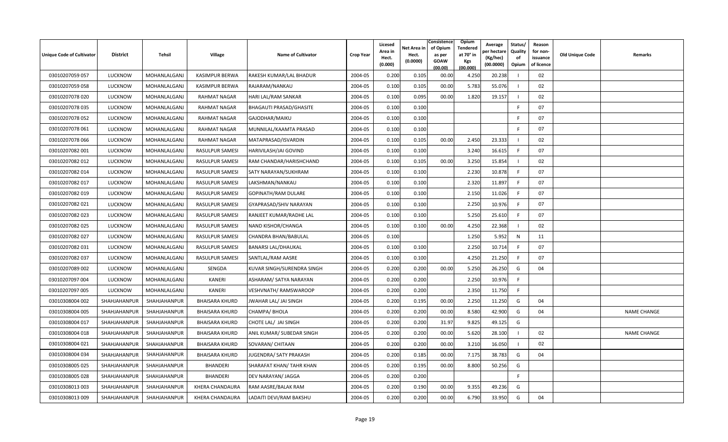| Unique Code of Cultivator | <b>District</b> | Tehsil              | Village                | <b>Name of Cultivator</b>    | <b>Crop Year</b> | Licesed<br>Area in<br>Hect.<br>(0.000) | Net Area in<br>Hect.<br>(0.0000) | Consistence<br>of Opium<br>as per<br><b>GOAW</b><br>(00.00) | Opium<br>Tendered<br>at 70° in<br>Kgs<br>(00.000) | Average<br>oer hectaro<br>(Kg/hec)<br>(00.0000) | Status/<br>Quality<br>of<br>Opium | Reason<br>for non-<br>issuance<br>of licence | Old Unique Code | Remarks            |
|---------------------------|-----------------|---------------------|------------------------|------------------------------|------------------|----------------------------------------|----------------------------------|-------------------------------------------------------------|---------------------------------------------------|-------------------------------------------------|-----------------------------------|----------------------------------------------|-----------------|--------------------|
| 03010207059 057           | <b>LUCKNOW</b>  | <b>MOHANLALGANJ</b> | <b>KASIMPUR BERWA</b>  | RAKESH KUMAR/LAL BHADUR      | 2004-05          | 0.200                                  | 0.105                            | 00.00                                                       | 4.250                                             | 20.238                                          |                                   | 02                                           |                 |                    |
| 03010207059 058           | <b>LUCKNOW</b>  | <b>MOHANLALGANJ</b> | <b>KASIMPUR BERWA</b>  | RAJARAM/NANKAU               | 2004-05          | 0.100                                  | 0.105                            | 00.00                                                       | 5.783                                             | 55.076                                          |                                   | 02                                           |                 |                    |
| 03010207078 020           | <b>LUCKNOW</b>  | MOHANLALGANJ        | RAHMAT NAGAR           | HARI LAL/RAM SANKAR          | 2004-05          | 0.100                                  | 0.095                            | 00.00                                                       | 1.820                                             | 19.157                                          |                                   | 02                                           |                 |                    |
| 03010207078 035           | <b>LUCKNOW</b>  | MOHANLALGANJ        | <b>RAHMAT NAGAR</b>    | BHAGAUTI PRASAD/GHASITE      | 2004-05          | 0.100                                  | 0.100                            |                                                             |                                                   |                                                 |                                   | 07                                           |                 |                    |
| 03010207078 052           | <b>LUCKNOW</b>  | MOHANLALGANJ        | <b>RAHMAT NAGAR</b>    | GAJODHAR/MAIKU               | 2004-05          | 0.100                                  | 0.100                            |                                                             |                                                   |                                                 | -F                                | 07                                           |                 |                    |
| 03010207078 061           | <b>LUCKNOW</b>  | MOHANLALGANJ        | RAHMAT NAGAR           | MUNNILAL/KAAMTA PRASAD       | 2004-05          | 0.100                                  | 0.100                            |                                                             |                                                   |                                                 | F.                                | 07                                           |                 |                    |
| 03010207078 066           | <b>LUCKNOW</b>  | MOHANLALGANJ        | <b>RAHMAT NAGAR</b>    | MATAPRASAD/ISVARDIN          | 2004-05          | 0.100                                  | 0.105                            | 00.00                                                       | 2.450                                             | 23.333                                          |                                   | 02                                           |                 |                    |
| 03010207082 001           | <b>LUCKNOW</b>  | MOHANLALGANJ        | RASULPUR SAMESI        | HARIVILASH/JAI GOVIND        | 2004-05          | 0.100                                  | 0.100                            |                                                             | 3.240                                             | 16.615                                          | F.                                | 07                                           |                 |                    |
| 03010207082 012           | <b>LUCKNOW</b>  | MOHANLALGANJ        | RASULPUR SAMESI        | RAM CHANDAR/HARISHCHAND      | 2004-05          | 0.100                                  | 0.105                            | 00.00                                                       | 3.250                                             | 15.854                                          |                                   | 02                                           |                 |                    |
| 03010207082 014           | LUCKNOW         | MOHANLALGANJ        | <b>RASULPUR SAMESI</b> | SATY NARAYAN/SUKHRAM         | 2004-05          | 0.100                                  | 0.100                            |                                                             | 2.230                                             | 10.878                                          | F                                 | 07                                           |                 |                    |
| 03010207082 017           | <b>LUCKNOW</b>  | MOHANLALGANJ        | RASULPUR SAMESI        | LAKSHMAN/NANKAU              | 2004-05          | 0.100                                  | 0.100                            |                                                             | 2.320                                             | 11.897                                          | -F                                | 07                                           |                 |                    |
| 03010207082 019           | <b>LUCKNOW</b>  | <b>MOHANLALGANJ</b> | <b>RASULPUR SAMESI</b> | GOPINATH/RAM DULARE          | 2004-05          | 0.100                                  | 0.100                            |                                                             | 2.150                                             | 11.026                                          | -F                                | 07                                           |                 |                    |
| 03010207082021            | <b>LUCKNOW</b>  | MOHANLALGANJ        | RASULPUR SAMESI        | GYAPRASAD/SHIV NARAYAN       | 2004-05          | 0.100                                  | 0.100                            |                                                             | 2.250                                             | 10.976                                          | F.                                | 07                                           |                 |                    |
| 03010207082 023           | <b>LUCKNOW</b>  | <b>MOHANLALGANJ</b> | RASULPUR SAMESI        | RANJEET KUMAR/RADHE LAL      | 2004-05          | 0.100                                  | 0.100                            |                                                             | 5.250                                             | 25.610                                          | E                                 | 07                                           |                 |                    |
| 03010207082 025           | <b>LUCKNOW</b>  | <b>MOHANLALGANJ</b> | <b>RASULPUR SAMESI</b> | NAND KISHOR/CHANGA           | 2004-05          | 0.100                                  | 0.100                            | 00.00                                                       | 4.250                                             | 22.368                                          |                                   | 02                                           |                 |                    |
| 03010207082 027           | <b>LUCKNOW</b>  | MOHANLALGANJ        | RASULPUR SAMESI        | CHANDRA BHAN/BABULAL         | 2004-05          | 0.100                                  |                                  |                                                             | 1.250                                             | 5.952                                           | N                                 | 11                                           |                 |                    |
| 03010207082 031           | <b>LUCKNOW</b>  | MOHANLALGANJ        | RASULPUR SAMESI        | <b>BANARSI LAL/DHAUKAL</b>   | 2004-05          | 0.100                                  | 0.100                            |                                                             | 2.250                                             | 10.714                                          | -F                                | 07                                           |                 |                    |
| 03010207082 037           | <b>LUCKNOW</b>  | MOHANLALGANJ        | RASULPUR SAMESI        | SANTLAL/RAM AASRE            | 2004-05          | 0.100                                  | 0.100                            |                                                             | 4.250                                             | 21.250                                          | F                                 | 07                                           |                 |                    |
| 03010207089 002           | <b>LUCKNOW</b>  | MOHANLALGANJ        | SENGDA                 | KUVAR SINGH/SURENDRA SINGH   | 2004-05          | 0.200                                  | 0.200                            | 00.00                                                       | 5.250                                             | 26.250                                          | G                                 | 04                                           |                 |                    |
| 03010207097 004           | LUCKNOW         | MOHANLALGANJ        | <b>KANERI</b>          | ASHARAM/ SATYA NARAYAN       | 2004-05          | 0.200                                  | 0.200                            |                                                             | 2.250                                             | 10.976                                          | F.                                |                                              |                 |                    |
| 03010207097 005           | <b>LUCKNOW</b>  | MOHANLALGANJ        | KANERI                 | <b>VESHVNATH/ RAMSWAROOP</b> | 2004-05          | 0.200                                  | 0.200                            |                                                             | 2.350                                             | 11.750                                          | F.                                |                                              |                 |                    |
| 03010308004 002           | SHAHJAHANPUR    | SHAHJAHANPUR        | <b>BHAISARA KHURD</b>  | JWAHAR LAL/ JAI SINGH        | 2004-05          | 0.200                                  | 0.195                            | 00.00                                                       | 2.250                                             | 11.250                                          | G                                 | 04                                           |                 |                    |
| 03010308004 005           | SHAHJAHANPUR    | SHAHJAHANPUR        | <b>BHAISARA KHURD</b>  | CHAMPA/BHOLA                 | 2004-05          | 0.200                                  | 0.200                            | 00.00                                                       | 8.580                                             | 42.900                                          | G                                 | 04                                           |                 | <b>NAME CHANGE</b> |
| 03010308004 017           | SHAHJAHANPUR    | SHAHJAHANPUR        | <b>BHAISARA KHURD</b>  | CHOTE LAL/ JAI SINGH         | 2004-05          | 0.200                                  | 0.200                            | 31.97                                                       | 9.825                                             | 49.125                                          | G                                 |                                              |                 |                    |
| 03010308004 018           | SHAHJAHANPUR    | SHAHJAHANPUR        | <b>BHAISARA KHURD</b>  | ANIL KUMAR/ SUBEDAR SINGH    | 2004-05          | 0.200                                  | 0.200                            | 00.00                                                       | 5.620                                             | 28.100                                          |                                   | 02                                           |                 | <b>NAME CHANGE</b> |
| 03010308004 021           | SHAHJAHANPUR    | SHAHJAHANPUR        | <b>BHAISARA KHURD</b>  | SOVARAN/ CHITAAN             | 2004-05          | 0.200                                  | 0.200                            | 00.00                                                       | 3.210                                             | 16.050                                          |                                   | 02                                           |                 |                    |
| 03010308004 034           | SHAHJAHANPUR    | SHAHJAHANPUR        | <b>BHAISARA KHURD</b>  | JUGENDRA/ SATY PRAKASH       | 2004-05          | 0.200                                  | 0.185                            | 00.00                                                       | 7.175                                             | 38.783                                          | G                                 | 04                                           |                 |                    |
| 03010308005 025           | SHAHJAHANPUR    | SHAHJAHANPUR        | BHANDERI               | SHARAFAT KHAN/ TAHR KHAN     | 2004-05          | 0.200                                  | 0.195                            | 00.00                                                       | 8.800                                             | 50.256                                          | G                                 |                                              |                 |                    |
| 03010308005 028           | SHAHJAHANPUR    | SHAHJAHANPUR        | <b>BHANDERI</b>        | DEV NARAYAN/ JAGGA           | 2004-05          | 0.200                                  | 0.200                            |                                                             |                                                   |                                                 | F.                                |                                              |                 |                    |
| 03010308013 003           | SHAHJAHANPUR    | SHAHJAHANPUR        | KHERA CHANDAURA        | RAM AASRE/BALAK RAM          | 2004-05          | 0.200                                  | 0.190                            | 00.00                                                       | 9.355                                             | 49.236                                          | G                                 |                                              |                 |                    |
| 03010308013 009           | SHAHJAHANPUR    | SHAHJAHANPUR        | KHERA CHANDAURA        | LADAITI DEVI/RAM BAKSHU      | 2004-05          | 0.200                                  | 0.200                            | 00.00                                                       | 6.790                                             | 33.950                                          | G                                 | 04                                           |                 |                    |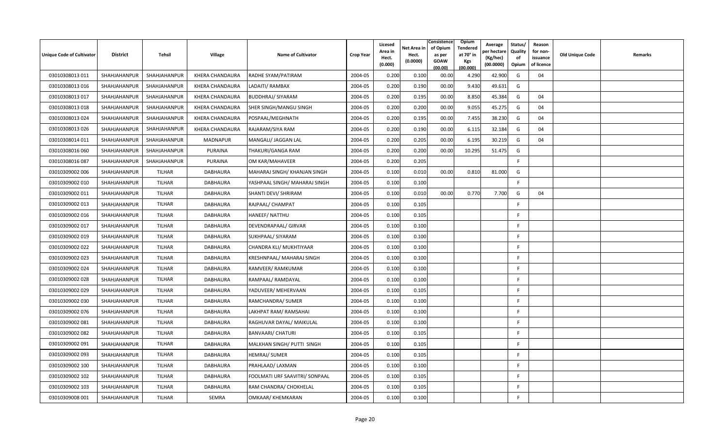| <b>Unique Code of Cultivator</b> | <b>District</b> | Tehsil       | <b>Village</b>         | <b>Name of Cultivator</b>        | <b>Crop Year</b> | Licesed<br>Area in<br>Hect.<br>(0.000) | Net Area in<br>Hect.<br>(0.0000) | Consistence<br>of Opium<br>as per<br><b>GOAW</b><br>(00.00) | Opium<br>Tendered<br>at 70° in<br>Kgs<br>(00.000) | Average<br>per hectare<br>(Kg/hec)<br>(00.0000) | Status/<br>Quality<br>of<br>Opium | Reason<br>for non-<br>issuance<br>of licence | <b>Old Unique Code</b> | Remarks |
|----------------------------------|-----------------|--------------|------------------------|----------------------------------|------------------|----------------------------------------|----------------------------------|-------------------------------------------------------------|---------------------------------------------------|-------------------------------------------------|-----------------------------------|----------------------------------------------|------------------------|---------|
| 03010308013 011                  | SHAHJAHANPUR    | SHAHJAHANPUR | KHERA CHANDAURA        | RADHE SYAM/PATIRAM               | 2004-05          | 0.200                                  | 0.100                            | 00.00                                                       | 4.290                                             | 42.900                                          | G                                 | 04                                           |                        |         |
| 03010308013 016                  | SHAHJAHANPUR    | SHAHJAHANPUR | <b>KHERA CHANDAURA</b> | LADAITI/ RAMBAX                  | 2004-05          | 0.200                                  | 0.190                            | 00.00                                                       | 9.430                                             | 49.631                                          | G                                 |                                              |                        |         |
| 03010308013 017                  | SHAHJAHANPUR    | SHAHJAHANPUR | KHERA CHANDAURA        | <b>BUDDHRAJ/ SIYARAM</b>         | 2004-05          | 0.200                                  | 0.195                            | 00.00                                                       | 8.850                                             | 45.384                                          | G                                 | 04                                           |                        |         |
| 03010308013 018                  | SHAHJAHANPUR    | SHAHJAHANPUR | KHERA CHANDAURA        | SHER SINGH/MANGU SINGH           | 2004-05          | 0.200                                  | 0.200                            | 00.00                                                       | 9.055                                             | 45.275                                          | G                                 | 04                                           |                        |         |
| 03010308013024                   | SHAHJAHANPUR    | SHAHJAHANPUR | <b>KHERA CHANDAURA</b> | POSPAAL/MEGHNATH                 | 2004-05          | 0.200                                  | 0.195                            | 00.00                                                       | 7.455                                             | 38.230                                          | G                                 | 04                                           |                        |         |
| 03010308013 026                  | SHAHJAHANPUR    | SHAHJAHANPUR | KHERA CHANDAURA        | RAJARAM/SIYA RAM                 | 2004-05          | 0.200                                  | 0.190                            | 00.00                                                       | 6.115                                             | 32.184                                          | G                                 | 04                                           |                        |         |
| 03010308014 011                  | SHAHJAHANPUR    | SHAHJAHANPUR | <b>MADNAPUR</b>        | MANGALI/ JAGGAN LAL              | 2004-05          | 0.200                                  | 0.205                            | 00.00                                                       | 6.195                                             | 30.219                                          | G                                 | 04                                           |                        |         |
| 03010308016 060                  | SHAHJAHANPUR    | SHAHJAHANPUR | <b>PURAINA</b>         | THAKURI/GANGA RAM                | 2004-05          | 0.200                                  | 0.200                            | 00.00                                                       | 10.295                                            | 51.475                                          | G                                 |                                              |                        |         |
| 03010308016 087                  | SHAHJAHANPUR    | SHAHJAHANPUR | <b>PURAINA</b>         | OM KAR/MAHAVEER                  | 2004-05          | 0.200                                  | 0.205                            |                                                             |                                                   |                                                 | F                                 |                                              |                        |         |
| 03010309002 006                  | SHAHJAHANPUR    | TILHAR       | DABHAURA               | MAHARAJ SINGH/ KHANJAN SINGH     | 2004-05          | 0.100                                  | 0.010                            | 00.00                                                       | 0.810                                             | 81.000                                          | G                                 |                                              |                        |         |
| 03010309002 010                  | SHAHJAHANPUR    | TILHAR       | DABHAURA               | YASHPAAL SINGH/ MAHARAJ SINGH    | 2004-05          | 0.100                                  | 0.100                            |                                                             |                                                   |                                                 | F.                                |                                              |                        |         |
| 03010309002 011                  | SHAHJAHANPUR    | TILHAR       | DABHAURA               | SHANTI DEVI/ SHRIRAM             | 2004-05          | 0.100                                  | 0.010                            | 00.00                                                       | 0.770                                             | 7.700                                           | G                                 | 04                                           |                        |         |
| 03010309002 013                  | SHAHJAHANPUR    | TILHAR       | DABHAURA               | RAJPAAL/ CHAMPAT                 | 2004-05          | 0.100                                  | 0.105                            |                                                             |                                                   |                                                 | F.                                |                                              |                        |         |
| 03010309002 016                  | SHAHJAHANPUR    | TILHAR       | <b>DABHAURA</b>        | HANEEF/ NATTHU                   | 2004-05          | 0.100                                  | 0.105                            |                                                             |                                                   |                                                 | F.                                |                                              |                        |         |
| 03010309002 017                  | SHAHJAHANPUR    | TILHAR       | DABHAURA               | DEVENDRAPAAL/ GIRVAR             | 2004-05          | 0.100                                  | 0.100                            |                                                             |                                                   |                                                 | F                                 |                                              |                        |         |
| 03010309002 019                  | SHAHJAHANPUR    | TILHAR       | <b>DABHAURA</b>        | SUKHPAAL/ SIYARAM                | 2004-05          | 0.100                                  | 0.100                            |                                                             |                                                   |                                                 | F.                                |                                              |                        |         |
| 03010309002 022                  | SHAHJAHANPUR    | TILHAR       | DABHAURA               | CHANDRA KLI/ MUKHTIYAAR          | 2004-05          | 0.100                                  | 0.100                            |                                                             |                                                   |                                                 | F.                                |                                              |                        |         |
| 03010309002 023                  | SHAHJAHANPUR    | TILHAR       | DABHAURA               | <b>KRESHNPAAL/ MAHARAJ SINGH</b> | 2004-05          | 0.100                                  | 0.100                            |                                                             |                                                   |                                                 | F.                                |                                              |                        |         |
| 03010309002 024                  | SHAHJAHANPUR    | TILHAR       | <b>DABHAURA</b>        | RAMVEER/ RAMKUMAR                | 2004-05          | 0.100                                  | 0.100                            |                                                             |                                                   |                                                 | F                                 |                                              |                        |         |
| 03010309002 028                  | SHAHJAHANPUR    | TILHAR       | DABHAURA               | RAMPAAL/RAMDAYAL                 | 2004-05          | 0.100                                  | 0.100                            |                                                             |                                                   |                                                 | F.                                |                                              |                        |         |
| 03010309002 029                  | SHAHJAHANPUR    | TILHAR       | DABHAURA               | YADUVEER/ MEHERVAAN              | 2004-05          | 0.100                                  | 0.105                            |                                                             |                                                   |                                                 | F                                 |                                              |                        |         |
| 03010309002 030                  | SHAHJAHANPUR    | TILHAR       | DABHAURA               | RAMCHANDRA/ SUMER                | 2004-05          | 0.100                                  | 0.100                            |                                                             |                                                   |                                                 | F.                                |                                              |                        |         |
| 03010309002 076                  | SHAHJAHANPUR    | TILHAR       | DABHAURA               | LAKHPAT RAM/ RAMSAHAI            | 2004-05          | 0.100                                  | 0.100                            |                                                             |                                                   |                                                 | F.                                |                                              |                        |         |
| 03010309002 081                  | SHAHJAHANPUR    | TILHAR       | <b>DABHAURA</b>        | RAGHUVAR DAYAL/ MAIKULAL         | 2004-05          | 0.100                                  | 0.100                            |                                                             |                                                   |                                                 | F                                 |                                              |                        |         |
| 03010309002 082                  | SHAHJAHANPUR    | TILHAR       | DABHAURA               | <b>BANVAARI/ CHATURI</b>         | 2004-05          | 0.100                                  | 0.105                            |                                                             |                                                   |                                                 | F.                                |                                              |                        |         |
| 03010309002 091                  | SHAHJAHANPUR    | TILHAR       | DABHAURA               | MALKHAN SINGH/ PUTTI SINGH       | 2004-05          | 0.100                                  | 0.105                            |                                                             |                                                   |                                                 | F                                 |                                              |                        |         |
| 03010309002 093                  | SHAHJAHANPUR    | TILHAR       | DABHAURA               | <b>HEMRAJ/ SUMER</b>             | 2004-05          | 0.100                                  | 0.105                            |                                                             |                                                   |                                                 | F.                                |                                              |                        |         |
| 03010309002 100                  | SHAHJAHANPUR    | TILHAR       | DABHAURA               | PRAHLAAD/ LAXMAN                 | 2004-05          | 0.100                                  | 0.100                            |                                                             |                                                   |                                                 | F.                                |                                              |                        |         |
| 03010309002 102                  | SHAHJAHANPUR    | TILHAR       | DABHAURA               | FOOLMATI URF SAAVITRI/ SONPAAL   | 2004-05          | 0.100                                  | 0.105                            |                                                             |                                                   |                                                 | -F                                |                                              |                        |         |
| 03010309002 103                  | SHAHJAHANPUR    | TILHAR       | DABHAURA               | RAM CHANDRA/ CHOKHELAL           | 2004-05          | 0.100                                  | 0.105                            |                                                             |                                                   |                                                 | -F                                |                                              |                        |         |
| 03010309008 001                  | SHAHJAHANPUR    | TILHAR       | SEMRA                  | OMKAAR/ KHEMKARAN                | 2004-05          | 0.100                                  | 0.100                            |                                                             |                                                   |                                                 | F                                 |                                              |                        |         |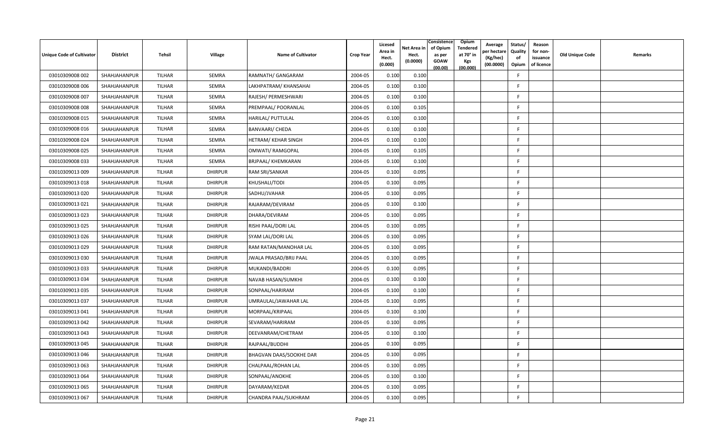| Unique Code of Cultivator | <b>District</b> | Tehsil        | Village        | <b>Name of Cultivator</b>     | <b>Crop Year</b> | Licesed<br>Area in<br>Hect.<br>(0.000) | Net Area in<br>Hect.<br>(0.0000) | Consistence<br>of Opium<br>as per<br><b>GOAW</b><br>(00.00) | Opium<br>Tendered<br>at 70° in<br>Kgs<br>(00.000) | Average<br>oer hectare<br>(Kg/hec)<br>(00.0000) | Status/<br>Quality<br>of<br>Opium | Reason<br>for non-<br>issuance<br>of licence | Old Unique Code | Remarks |
|---------------------------|-----------------|---------------|----------------|-------------------------------|------------------|----------------------------------------|----------------------------------|-------------------------------------------------------------|---------------------------------------------------|-------------------------------------------------|-----------------------------------|----------------------------------------------|-----------------|---------|
| 03010309008 002           | SHAHJAHANPUR    | TILHAR        | SEMRA          | RAMNATH/ GANGARAM             | 2004-05          | 0.100                                  | 0.100                            |                                                             |                                                   |                                                 | F.                                |                                              |                 |         |
| 03010309008 006           | SHAHJAHANPUR    | TILHAR        | <b>SEMRA</b>   | LAKHPATRAM/KHANSAHAI          | 2004-05          | 0.100                                  | 0.100                            |                                                             |                                                   |                                                 | F                                 |                                              |                 |         |
| 03010309008 007           | SHAHJAHANPUR    | TILHAR        | SEMRA          | RAJESH/ PERMESHWARI           | 2004-05          | 0.100                                  | 0.100                            |                                                             |                                                   |                                                 | F.                                |                                              |                 |         |
| 03010309008 008           | SHAHJAHANPUR    | TILHAR        | SEMRA          | PREMPAAL/ POORANLAL           | 2004-05          | 0.100                                  | 0.105                            |                                                             |                                                   |                                                 | F                                 |                                              |                 |         |
| 03010309008 015           | SHAHJAHANPUR    | TILHAR        | SEMRA          | <b>HARILAL/ PUTTULAL</b>      | 2004-05          | 0.100                                  | 0.100                            |                                                             |                                                   |                                                 | -F                                |                                              |                 |         |
| 03010309008 016           | SHAHJAHANPUR    | TILHAR        | SEMRA          | <b>BANVAARI/ CHEDA</b>        | 2004-05          | 0.100                                  | 0.100                            |                                                             |                                                   |                                                 | F.                                |                                              |                 |         |
| 03010309008 024           | SHAHJAHANPUR    | TILHAR        | SEMRA          | <b>HETRAM/ KEHAR SINGH</b>    | 2004-05          | 0.100                                  | 0.100                            |                                                             |                                                   |                                                 | F                                 |                                              |                 |         |
| 03010309008 025           | SHAHJAHANPUR    | TILHAR        | SEMRA          | OMWATI/ RAMGOPAL              | 2004-05          | 0.100                                  | 0.105                            |                                                             |                                                   |                                                 | F.                                |                                              |                 |         |
| 03010309008 033           | SHAHJAHANPUR    | TILHAR        | SEMRA          | <b>BRJPAAL/ KHEMKARAN</b>     | 2004-05          | 0.100                                  | 0.100                            |                                                             |                                                   |                                                 | E                                 |                                              |                 |         |
| 03010309013 009           | SHAHJAHANPUR    | <b>TILHAR</b> | <b>DHIRPUR</b> | RAM SRI/SANKAR                | 2004-05          | 0.100                                  | 0.095                            |                                                             |                                                   |                                                 |                                   |                                              |                 |         |
| 03010309013 018           | SHAHJAHANPUR    | TILHAR        | <b>DHIRPUR</b> | KHUSHALI/TODI                 | 2004-05          | 0.100                                  | 0.095                            |                                                             |                                                   |                                                 | F.                                |                                              |                 |         |
| 03010309013 020           | SHAHJAHANPUR    | TILHAR        | <b>DHIRPUR</b> | SADHU/JVAHAR                  | 2004-05          | 0.100                                  | 0.095                            |                                                             |                                                   |                                                 | F                                 |                                              |                 |         |
| 03010309013 021           | SHAHJAHANPUR    | TILHAR        | <b>DHIRPUR</b> | RAJARAM/DEVIRAM               | 2004-05          | 0.100                                  | 0.100                            |                                                             |                                                   |                                                 | E                                 |                                              |                 |         |
| 03010309013 023           | SHAHJAHANPUR    | TILHAR        | <b>DHIRPUR</b> | DHARA/DEVIRAM                 | 2004-05          | 0.100                                  | 0.095                            |                                                             |                                                   |                                                 | E                                 |                                              |                 |         |
| 03010309013 025           | SHAHJAHANPUR    | TILHAR        | <b>DHIRPUR</b> | RISHI PAAL/DORI LAL           | 2004-05          | 0.100                                  | 0.095                            |                                                             |                                                   |                                                 | E                                 |                                              |                 |         |
| 03010309013026            | SHAHJAHANPUR    | TILHAR        | <b>DHIRPUR</b> | SYAM LAL/DORI LAL             | 2004-05          | 0.100                                  | 0.095                            |                                                             |                                                   |                                                 | F                                 |                                              |                 |         |
| 03010309013 029           | SHAHJAHANPUR    | TILHAR        | <b>DHIRPUR</b> | RAM RATAN/MANOHAR LAL         | 2004-05          | 0.100                                  | 0.095                            |                                                             |                                                   |                                                 | F.                                |                                              |                 |         |
| 03010309013 030           | SHAHJAHANPUR    | TILHAR        | <b>DHIRPUR</b> | <b>JWALA PRASAD/BRIJ PAAL</b> | 2004-05          | 0.100                                  | 0.095                            |                                                             |                                                   |                                                 | E                                 |                                              |                 |         |
| 03010309013 033           | SHAHJAHANPUR    | <b>TILHAR</b> | <b>DHIRPUR</b> | MUKANDI/BADDRI                | 2004-05          | 0.100                                  | 0.095                            |                                                             |                                                   |                                                 | E                                 |                                              |                 |         |
| 03010309013 034           | SHAHJAHANPUR    | <b>TILHAR</b> | <b>DHIRPUR</b> | NAVAB HASAN/SUMKHI            | 2004-05          | 0.100                                  | 0.100                            |                                                             |                                                   |                                                 | F                                 |                                              |                 |         |
| 03010309013 035           | SHAHJAHANPUR    | TILHAR        | <b>DHIRPUR</b> | SONPAAL/HARIRAM               | 2004-05          | 0.100                                  | 0.100                            |                                                             |                                                   |                                                 | F                                 |                                              |                 |         |
| 03010309013 037           | SHAHJAHANPUR    | TILHAR        | <b>DHIRPUR</b> | UMRAULAL/JAWAHAR LAL          | 2004-05          | 0.100                                  | 0.095                            |                                                             |                                                   |                                                 | -F                                |                                              |                 |         |
| 03010309013041            | SHAHJAHANPUR    | TILHAR        | <b>DHIRPUR</b> | MORPAAL/KRIPAAL               | 2004-05          | 0.100                                  | 0.100                            |                                                             |                                                   |                                                 | -F                                |                                              |                 |         |
| 03010309013 042           | SHAHJAHANPUR    | <b>TILHAR</b> | <b>DHIRPUR</b> | SEVARAM/HARIRAM               | 2004-05          | 0.100                                  | 0.095                            |                                                             |                                                   |                                                 | E                                 |                                              |                 |         |
| 03010309013 043           | SHAHJAHANPUR    | TILHAR        | <b>DHIRPUR</b> | DEEVANRAM/CHETRAM             | 2004-05          | 0.100                                  | 0.100                            |                                                             |                                                   |                                                 | F.                                |                                              |                 |         |
| 03010309013 045           | SHAHJAHANPUR    | TILHAR        | <b>DHIRPUR</b> | RAJPAAL/BUDDHI                | 2004-05          | 0.100                                  | 0.095                            |                                                             |                                                   |                                                 | F                                 |                                              |                 |         |
| 03010309013 046           | SHAHJAHANPUR    | TILHAR        | <b>DHIRPUR</b> | BHAGVAN DAAS/SOOKHE DAR       | 2004-05          | 0.100                                  | 0.095                            |                                                             |                                                   |                                                 | F.                                |                                              |                 |         |
| 03010309013 063           | SHAHJAHANPUR    | TILHAR        | <b>DHIRPUR</b> | CHALPAAL/ROHAN LAL            | 2004-05          | 0.100                                  | 0.095                            |                                                             |                                                   |                                                 | F                                 |                                              |                 |         |
| 03010309013064            | SHAHJAHANPUR    | TILHAR        | <b>DHIRPUR</b> | SONPAAL/ANOKHE                | 2004-05          | 0.100                                  | 0.100                            |                                                             |                                                   |                                                 | E                                 |                                              |                 |         |
| 03010309013 065           | SHAHJAHANPUR    | <b>TILHAR</b> | <b>DHIRPUR</b> | DAYARAM/KEDAR                 | 2004-05          | 0.100                                  | 0.095                            |                                                             |                                                   |                                                 | E                                 |                                              |                 |         |
| 03010309013 067           | SHAHJAHANPUR    | TILHAR        | <b>DHIRPUR</b> | CHANDRA PAAL/SUKHRAM          | 2004-05          | 0.100                                  | 0.095                            |                                                             |                                                   |                                                 | -F                                |                                              |                 |         |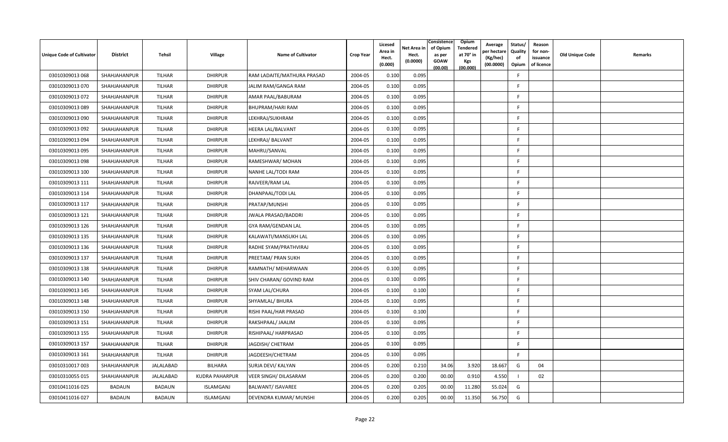| Unique Code of Cultivator | <b>District</b> | Tehsil        | Village               | <b>Name of Cultivator</b>  | <b>Crop Year</b> | Licesed<br>Area in<br>Hect.<br>(0.000) | Net Area in<br>Hect.<br>(0.0000) | Consistence<br>of Opium<br>as per<br><b>GOAW</b><br>(00.00) | Opium<br>Tendered<br>at 70° in<br>Kgs<br>(00.000) | Average<br>per hectare<br>(Kg/hec)<br>(00.0000) | Status/<br>Quality<br>of<br>Opium | Reason<br>for non-<br>issuance<br>of licence | Old Unique Code | Remarks |
|---------------------------|-----------------|---------------|-----------------------|----------------------------|------------------|----------------------------------------|----------------------------------|-------------------------------------------------------------|---------------------------------------------------|-------------------------------------------------|-----------------------------------|----------------------------------------------|-----------------|---------|
| 03010309013 068           | SHAHJAHANPUR    | TILHAR        | <b>DHIRPUR</b>        | RAM LADAITE/MATHURA PRASAD | 2004-05          | 0.100                                  | 0.095                            |                                                             |                                                   |                                                 | E                                 |                                              |                 |         |
| 03010309013 070           | SHAHJAHANPUR    | <b>TILHAR</b> | <b>DHIRPUR</b>        | JALIM RAM/GANGA RAM        | 2004-05          | 0.100                                  | 0.095                            |                                                             |                                                   |                                                 | F                                 |                                              |                 |         |
| 03010309013 072           | SHAHJAHANPUR    | <b>TILHAR</b> | <b>DHIRPUR</b>        | AMAR PAAL/BABURAM          | 2004-05          | 0.100                                  | 0.095                            |                                                             |                                                   |                                                 | F.                                |                                              |                 |         |
| 03010309013089            | SHAHJAHANPUR    | TILHAR        | <b>DHIRPUR</b>        | <b>BHUPRAM/HARI RAM</b>    | 2004-05          | 0.100                                  | 0.095                            |                                                             |                                                   |                                                 | F                                 |                                              |                 |         |
| 03010309013 090           | SHAHJAHANPUR    | <b>TILHAR</b> | <b>DHIRPUR</b>        | LEKHRAJ/SUKHRAM            | 2004-05          | 0.100                                  | 0.095                            |                                                             |                                                   |                                                 | F.                                |                                              |                 |         |
| 03010309013 092           | SHAHJAHANPUR    | <b>TILHAR</b> | <b>DHIRPUR</b>        | HEERA LAL/BALVANT          | 2004-05          | 0.100                                  | 0.095                            |                                                             |                                                   |                                                 | F.                                |                                              |                 |         |
| 03010309013 094           | SHAHJAHANPUR    | <b>TILHAR</b> | <b>DHIRPUR</b>        | LEKHRAJ/ BALVANT           | 2004-05          | 0.100                                  | 0.095                            |                                                             |                                                   |                                                 | F                                 |                                              |                 |         |
| 03010309013 095           | SHAHJAHANPUR    | TILHAR        | <b>DHIRPUR</b>        | MAHRU/SANVAL               | 2004-05          | 0.100                                  | 0.095                            |                                                             |                                                   |                                                 | F.                                |                                              |                 |         |
| 03010309013 098           | SHAHJAHANPUR    | <b>TILHAR</b> | <b>DHIRPUR</b>        | RAMESHWAR/ MOHAN           | 2004-05          | 0.100                                  | 0.095                            |                                                             |                                                   |                                                 | F                                 |                                              |                 |         |
| 03010309013 100           | SHAHJAHANPUR    | <b>TILHAR</b> | <b>DHIRPUR</b>        | NANHE LAL/TODI RAM         | 2004-05          | 0.100                                  | 0.095                            |                                                             |                                                   |                                                 | F                                 |                                              |                 |         |
| 03010309013 111           | SHAHJAHANPUR    | <b>TILHAR</b> | <b>DHIRPUR</b>        | RAJVEER/RAM LAL            | 2004-05          | 0.100                                  | 0.095                            |                                                             |                                                   |                                                 | F.                                |                                              |                 |         |
| 03010309013 114           | SHAHJAHANPUR    | <b>TILHAR</b> | <b>DHIRPUR</b>        | DHANPAAL/TODI LAL          | 2004-05          | 0.100                                  | 0.095                            |                                                             |                                                   |                                                 | F.                                |                                              |                 |         |
| 03010309013 117           | SHAHJAHANPUR    | TILHAR        | <b>DHIRPUR</b>        | PRATAP/MUNSHI              | 2004-05          | 0.100                                  | 0.095                            |                                                             |                                                   |                                                 | F.                                |                                              |                 |         |
| 03010309013 121           | SHAHJAHANPUR    | TILHAR        | <b>DHIRPUR</b>        | JWALA PRASAD/BADDRI        | 2004-05          | 0.100                                  | 0.095                            |                                                             |                                                   |                                                 | F.                                |                                              |                 |         |
| 03010309013 126           | SHAHJAHANPUR    | <b>TILHAR</b> | <b>DHIRPUR</b>        | GYA RAM/GENDAN LAL         | 2004-05          | 0.100                                  | 0.095                            |                                                             |                                                   |                                                 | F.                                |                                              |                 |         |
| 03010309013 135           | SHAHJAHANPUR    | TILHAR        | <b>DHIRPUR</b>        | KALAWATI/MANSUKH LAL       | 2004-05          | 0.100                                  | 0.095                            |                                                             |                                                   |                                                 | F.                                |                                              |                 |         |
| 03010309013 136           | SHAHJAHANPUR    | <b>TILHAR</b> | <b>DHIRPUR</b>        | RADHE SYAM/PRATHVIRAJ      | 2004-05          | 0.100                                  | 0.095                            |                                                             |                                                   |                                                 | F                                 |                                              |                 |         |
| 03010309013 137           | SHAHJAHANPUR    | TILHAR        | <b>DHIRPUR</b>        | PREETAM/ PRAN SUKH         | 2004-05          | 0.100                                  | 0.095                            |                                                             |                                                   |                                                 | F                                 |                                              |                 |         |
| 03010309013 138           | SHAHJAHANPUR    | <b>TILHAR</b> | <b>DHIRPUR</b>        | RAMNATH/ MEHARWAAN         | 2004-05          | 0.100                                  | 0.095                            |                                                             |                                                   |                                                 | F                                 |                                              |                 |         |
| 03010309013 140           | SHAHJAHANPUR    | <b>TILHAR</b> | <b>DHIRPUR</b>        | SHIV CHARAN/ GOVIND RAM    | 2004-05          | 0.100                                  | 0.095                            |                                                             |                                                   |                                                 | F                                 |                                              |                 |         |
| 03010309013 145           | SHAHJAHANPUR    | TILHAR        | <b>DHIRPUR</b>        | SYAM LAL/CHURA             | 2004-05          | 0.100                                  | 0.100                            |                                                             |                                                   |                                                 | F                                 |                                              |                 |         |
| 03010309013 148           | SHAHJAHANPUR    | <b>TILHAR</b> | <b>DHIRPUR</b>        | SHYAMLAL/ BHURA            | 2004-05          | 0.100                                  | 0.095                            |                                                             |                                                   |                                                 | F                                 |                                              |                 |         |
| 03010309013 150           | SHAHJAHANPUR    | TILHAR        | <b>DHIRPUR</b>        | RISHI PAAL/HAR PRASAD      | 2004-05          | 0.100                                  | 0.100                            |                                                             |                                                   |                                                 | F                                 |                                              |                 |         |
| 03010309013 151           | SHAHJAHANPUR    | <b>TILHAR</b> | <b>DHIRPUR</b>        | RAKSHPAAL/ JAALIM          | 2004-05          | 0.100                                  | 0.095                            |                                                             |                                                   |                                                 | F                                 |                                              |                 |         |
| 03010309013 155           | SHAHJAHANPUR    | <b>TILHAR</b> | <b>DHIRPUR</b>        | RISHIPAAL/ HARPRASAD       | 2004-05          | 0.100                                  | 0.095                            |                                                             |                                                   |                                                 | F.                                |                                              |                 |         |
| 03010309013 157           | SHAHJAHANPUR    | TILHAR        | <b>DHIRPUR</b>        | JAGDISH/ CHETRAM           | 2004-05          | 0.100                                  | 0.095                            |                                                             |                                                   |                                                 | F.                                |                                              |                 |         |
| 03010309013 161           | SHAHJAHANPUR    | <b>TILHAR</b> | <b>DHIRPUR</b>        | JAGDEESH/CHETRAM           | 2004-05          | 0.100                                  | 0.095                            |                                                             |                                                   |                                                 | F.                                |                                              |                 |         |
| 03010310017 003           | SHAHJAHANPUR    | JALALABAD     | <b>BILHARA</b>        | SURJA DEVI/ KALYAN         | 2004-05          | 0.200                                  | 0.210                            | 34.06                                                       | 3.920                                             | 18.667                                          | G                                 | 04                                           |                 |         |
| 03010310055 015           | SHAHJAHANPUR    | JALALABAD     | <b>KUDRA PAHARPUR</b> | VEER SINGH/DILASARAM       | 2004-05          | 0.200                                  | 0.200                            | 00.00                                                       | 0.910                                             | 4.550                                           |                                   | 02                                           |                 |         |
| 03010411016 025           | <b>BADAUN</b>   | <b>BADAUN</b> | <b>ISLAMGANJ</b>      | BALWANT/ ISAVAREE          | 2004-05          | 0.200                                  | 0.205                            | 00.00                                                       | 11.28                                             | 55.024                                          | G                                 |                                              |                 |         |
| 03010411016027            | <b>BADAUN</b>   | <b>BADAUN</b> | <b>ISLAMGANJ</b>      | DEVENDRA KUMAR/ MUNSHI     | 2004-05          | 0.200                                  | 0.205                            | 00.00                                                       | 11.350                                            | 56.750                                          | G                                 |                                              |                 |         |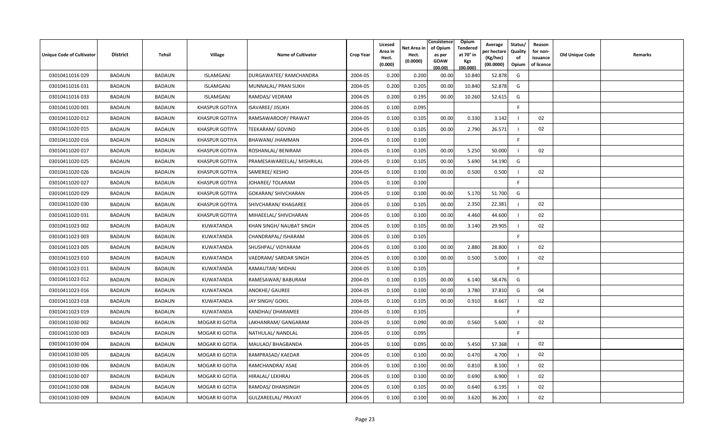| Unique Code of Cultivator | <b>District</b> | Tehsil        | Village               | <b>Name of Cultivator</b>  | <b>Crop Year</b> | Licesed<br>Area in<br>Hect.<br>(0.000) | Net Area in<br>Hect.<br>(0.0000) | Consistence<br>of Opium<br>as per<br><b>GOAW</b><br>(00.00) | Opium<br>Tendered<br>at 70° in<br><b>Kgs</b><br>(00.000) | Average<br>วer hectarง<br>(Kg/hec)<br>(00.0000) | Status/<br>Quality<br>of<br>Opium | Reason<br>for non-<br>issuance<br>of licence | <b>Old Unique Code</b> | Remarks |
|---------------------------|-----------------|---------------|-----------------------|----------------------------|------------------|----------------------------------------|----------------------------------|-------------------------------------------------------------|----------------------------------------------------------|-------------------------------------------------|-----------------------------------|----------------------------------------------|------------------------|---------|
| 03010411016029            | <b>BADAUN</b>   | <b>BADAUN</b> | <b>ISLAMGANJ</b>      | DURGAWATEE/ RAMCHANDRA     | 2004-05          | 0.200                                  | 0.200                            | 00.00                                                       | 10.840                                                   | 52.878                                          | G                                 |                                              |                        |         |
| 03010411016 031           | BADAUN          | <b>BADAUN</b> | ISLAMGANJ             | MUNNALAL/ PRAN SUKH        | 2004-05          | 0.200                                  | 0.205                            | 00.00                                                       | 10.840                                                   | 52.878                                          | G                                 |                                              |                        |         |
| 03010411016 033           | <b>BADAUN</b>   | <b>BADAUN</b> | ISLAMGANJ             | RAMDAS/ VEDRAM             | 2004-05          | 0.200                                  | 0.195                            | 00.00                                                       | 10.260                                                   | 52.615                                          | G                                 |                                              |                        |         |
| 03010411020 001           | <b>BADAUN</b>   | <b>BADAUN</b> | <b>KHASPUR GOTIYA</b> | ISAVAREE/ JISUKH           | 2004-05          | 0.100                                  | 0.095                            |                                                             |                                                          |                                                 | F                                 |                                              |                        |         |
| 03010411020 012           | <b>BADAUN</b>   | <b>BADAUN</b> | <b>KHASPUR GOTIYA</b> | RAMSAWAROOP/ PRAWAT        | 2004-05          | 0.100                                  | 0.105                            | 00.00                                                       | 0.330                                                    | 3.142                                           |                                   | 02                                           |                        |         |
| 03010411020 015           | <b>BADAUN</b>   | <b>BADAUN</b> | <b>KHASPUR GOTIYA</b> | <b>TEEKARAM/ GOVIND</b>    | 2004-05          | 0.100                                  | 0.105                            | 00.00                                                       | 2.790                                                    | 26.571                                          |                                   | 02                                           |                        |         |
| 03010411020 016           | BADAUN          | <b>BADAUN</b> | <b>KHASPUR GOTIYA</b> | BHAWANI/ JHAMMAN           | 2004-05          | 0.100                                  | 0.100                            |                                                             |                                                          |                                                 | F.                                |                                              |                        |         |
| 03010411020 017           | <b>BADAUN</b>   | <b>BADAUN</b> | <b>KHASPUR GOTIYA</b> | ROSHANLAL/ BENIRAM         | 2004-05          | 0.100                                  | 0.105                            | 00.00                                                       | 5.250                                                    | 50.000                                          |                                   | 02                                           |                        |         |
| 03010411020 025           | BADAUN          | <b>BADAUN</b> | <b>KHASPUR GOTIYA</b> | PRAMESAWAREELAL/ MISHRILAL | 2004-05          | 0.100                                  | 0.105                            | 00.00                                                       | 5.690                                                    | 54.190                                          | G                                 |                                              |                        |         |
| 03010411020 026           | <b>BADAUN</b>   | <b>BADAUN</b> | <b>KHASPUR GOTIYA</b> | SAMEREE/KESHO              | 2004-05          | 0.100                                  | 0.100                            | 00.00                                                       | 0.500                                                    | 0.500                                           |                                   | 02                                           |                        |         |
| 03010411020 027           | <b>BADAUN</b>   | <b>BADAUN</b> | <b>KHASPUR GOTIYA</b> | JOHAREE/ TOLARAM           | 2004-05          | 0.100                                  | 0.100                            |                                                             |                                                          |                                                 | F.                                |                                              |                        |         |
| 03010411020 029           | BADAUN          | <b>BADAUN</b> | <b>KHASPUR GOTIYA</b> | <b>GOKARAN/ SHIVCHARAN</b> | 2004-05          | 0.100                                  | 0.100                            | 00.00                                                       | 5.170                                                    | 51.700                                          | G                                 |                                              |                        |         |
| 03010411020 030           | <b>BADAUN</b>   | <b>BADAUN</b> | <b>KHASPUR GOTIYA</b> | SHIVCHARAN/ KHAGAREE       | 2004-05          | 0.100                                  | 0.105                            | 00.00                                                       | 2.350                                                    | 22.381                                          |                                   | 02                                           |                        |         |
| 03010411020 031           | BADAUN          | <b>BADAUN</b> | <b>KHASPUR GOTIYA</b> | MIHAEELAL/ SHIVCHARAN      | 2004-05          | 0.100                                  | 0.100                            | 00.00                                                       | 4.460                                                    | 44.600                                          |                                   | 02                                           |                        |         |
| 03010411023 002           | <b>BADAUN</b>   | <b>BADAUN</b> | KUWATANDA             | KHAN SINGH/ NAUBAT SINGH   | 2004-05          | 0.100                                  | 0.105                            | 00.00                                                       | 3.140                                                    | 29.905                                          |                                   | 02                                           |                        |         |
| 03010411023 003           | <b>BADAUN</b>   | <b>BADAUN</b> | KUWATANDA             | CHANDRAPAL/ ISHARAM        | 2004-05          | 0.100                                  | 0.105                            |                                                             |                                                          |                                                 | F.                                |                                              |                        |         |
| 03010411023 005           | <b>BADAUN</b>   | <b>BADAUN</b> | KUWATANDA             | SHUSHPAL/ VIDYARAM         | 2004-05          | 0.100                                  | 0.100                            | 00.00                                                       | 2.880                                                    | 28.800                                          |                                   | 02                                           |                        |         |
| 03010411023 010           | BADAUN          | <b>BADAUN</b> | KUWATANDA             | VAEDRAM/ SARDAR SINGH      | 2004-05          | 0.100                                  | 0.100                            | 00.00                                                       | 0.500                                                    | 5.000                                           |                                   | 02                                           |                        |         |
| 03010411023 011           | BADAUN          | <b>BADAUN</b> | KUWATANDA             | RAMAUTAR/ MIDHAI           | 2004-05          | 0.100                                  | 0.105                            |                                                             |                                                          |                                                 | F.                                |                                              |                        |         |
| 03010411023 012           | <b>BADAUN</b>   | <b>BADAUN</b> | KUWATANDA             | RAMESAWAR/BABURAM          | 2004-05          | 0.100                                  | 0.105                            | 00.00                                                       | 6.140                                                    | 58.476                                          | G                                 |                                              |                        |         |
| 03010411023 016           | <b>BADAUN</b>   | <b>BADAUN</b> | KUWATANDA             | <b>ANOKHE/ GAUREE</b>      | 2004-05          | 0.100                                  | 0.100                            | 00.00                                                       | 3.780                                                    | 37.810                                          | G                                 | 04                                           |                        |         |
| 03010411023 018           | <b>BADAUN</b>   | <b>BADAUN</b> | KUWATANDA             | JAY SINGH/ GOKIL           | 2004-05          | 0.100                                  | 0.105                            | 00.00                                                       | 0.910                                                    | 8.667                                           |                                   | 02                                           |                        |         |
| 03010411023 019           | <b>BADAUN</b>   | <b>BADAUN</b> | KUWATANDA             | KANDHAI/ DHARAMEE          | 2004-05          | 0.100                                  | 0.105                            |                                                             |                                                          |                                                 | F.                                |                                              |                        |         |
| 03010411030 002           | BADAUN          | <b>BADAUN</b> | MOGAR KI GOTIA        | LAKHANRAM/ GANGARAM        | 2004-05          | 0.100                                  | 0.090                            | 00.00                                                       | 0.560                                                    | 5.600                                           |                                   | 02                                           |                        |         |
| 03010411030 003           | <b>BADAUN</b>   | <b>BADAUN</b> | MOGAR KI GOTIA        | NATHULAL/ NANDLAL          | 2004-05          | 0.100                                  | 0.095                            |                                                             |                                                          |                                                 | F.                                |                                              |                        |         |
| 03010411030 004           | BADAUN          | <b>BADAUN</b> | MOGAR KI GOTIA        | MAULAO/ BHAGBANDA          | 2004-05          | 0.100                                  | 0.095                            | 00.00                                                       | 5.450                                                    | 57.368                                          |                                   | 02                                           |                        |         |
| 03010411030 005           | <b>BADAUN</b>   | <b>BADAUN</b> | MOGAR KI GOTIA        | RAMPRASAD/ KAEDAR          | 2004-05          | 0.100                                  | 0.100                            | 00.00                                                       | 0.470                                                    | 4.700                                           |                                   | 02                                           |                        |         |
| 03010411030 006           | <b>BADAUN</b>   | <b>BADAUN</b> | MOGAR KI GOTIA        | RAMCHANDRA/ ASAE           | 2004-05          | 0.100                                  | 0.100                            | 00.00                                                       | 0.810                                                    | 8.100                                           |                                   | 02                                           |                        |         |
| 03010411030 007           | BADAUN          | <b>BADAUN</b> | MOGAR KI GOTIA        | HIRALAL/ LEKHRAJ           | 2004-05          | 0.100                                  | 0.100                            | 00.00                                                       | 0.690                                                    | 6.900                                           |                                   | 02                                           |                        |         |
| 03010411030 008           | <b>BADAUN</b>   | <b>BADAUN</b> | MOGAR KI GOTIA        | RAMDAS/ DHANSINGH          | 2004-05          | 0.100                                  | 0.105                            | 00.00                                                       | 0.640                                                    | 6.195                                           |                                   | 02                                           |                        |         |
| 03010411030 009           | <b>BADAUN</b>   | <b>BADAUN</b> | MOGAR KI GOTIA        | GULZAREELAL/ PRAVAT        | 2004-05          | 0.100                                  | 0.100                            | 00.00                                                       | 3.620                                                    | 36.200                                          |                                   | 02                                           |                        |         |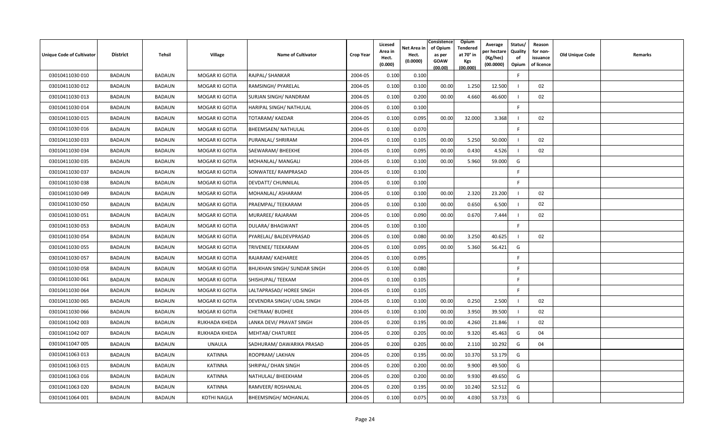| <b>Unique Code of Cultivator</b> | <b>District</b> | Tehsil        | Village              | <b>Name of Cultivator</b>   | <b>Crop Year</b> | Licesed<br>Area in<br>Hect.<br>(0.000) | Net Area in<br>Hect.<br>(0.0000) | Consistence<br>of Opium<br>as per<br><b>GOAW</b><br>(00.00) | Opium<br>Tendered<br>at 70 $^{\circ}$ in<br><b>Kgs</b><br>(00.000) | Average<br>วer hectarง<br>(Kg/hec)<br>(00.0000) | Status/<br>Quality<br>of<br>Opium | Reason<br>for non-<br>issuance<br>of licence | <b>Old Unique Code</b> | Remarks |
|----------------------------------|-----------------|---------------|----------------------|-----------------------------|------------------|----------------------------------------|----------------------------------|-------------------------------------------------------------|--------------------------------------------------------------------|-------------------------------------------------|-----------------------------------|----------------------------------------------|------------------------|---------|
| 03010411030 010                  | <b>BADAUN</b>   | <b>BADAUN</b> | MOGAR KI GOTIA       | RAJPAL/ SHANKAR             | 2004-05          | 0.100                                  | 0.100                            |                                                             |                                                                    |                                                 | E                                 |                                              |                        |         |
| 03010411030 012                  | BADAUN          | <b>BADAUN</b> | MOGAR KI GOTIA       | RAMSINGH/ PYARELAL          | 2004-05          | 0.100                                  | 0.100                            | 00.00                                                       | 1.250                                                              | 12.500                                          |                                   | 02                                           |                        |         |
| 03010411030 013                  | <b>BADAUN</b>   | <b>BADAUN</b> | MOGAR KI GOTIA       | SURJAN SINGH/ NANDRAM       | 2004-05          | 0.100                                  | 0.200                            | 00.00                                                       | 4.660                                                              | 46.600                                          |                                   | 02                                           |                        |         |
| 03010411030 014                  | BADAUN          | <b>BADAUN</b> | MOGAR KI GOTIA       | HARIPAL SINGH/ NATHULAL     | 2004-05          | 0.100                                  | 0.100                            |                                                             |                                                                    |                                                 | F.                                |                                              |                        |         |
| 03010411030 015                  | <b>BADAUN</b>   | <b>BADAUN</b> | MOGAR KI GOTIA       | <b>TOTARAM/ KAEDAR</b>      | 2004-05          | 0.100                                  | 0.095                            | 00.00                                                       | 32.000                                                             | 3.368                                           |                                   | 02                                           |                        |         |
| 03010411030 016                  | <b>BADAUN</b>   | <b>BADAUN</b> | MOGAR KI GOTIA       | <b>BHEEMSAEN/ NATHULAL</b>  | 2004-05          | 0.100                                  | 0.070                            |                                                             |                                                                    |                                                 | $\mathsf{F}$                      |                                              |                        |         |
| 03010411030 033                  | <b>BADAUN</b>   | <b>BADAUN</b> | MOGAR KI GOTIA       | PURANLAL/ SHRIRAM           | 2004-05          | 0.100                                  | 0.105                            | 00.00                                                       | 5.250                                                              | 50.000                                          |                                   | 02                                           |                        |         |
| 03010411030 034                  | <b>BADAUN</b>   | <b>BADAUN</b> | MOGAR KI GOTIA       | SAEWARAM/BHEEKHE            | 2004-05          | 0.100                                  | 0.095                            | 00.00                                                       | 0.430                                                              | 4.526                                           |                                   | 02                                           |                        |         |
| 03010411030 035                  | BADAUN          | <b>BADAUN</b> | MOGAR KI GOTIA       | MOHANLAL/ MANGALI           | 2004-05          | 0.100                                  | 0.100                            | 00.00                                                       | 5.960                                                              | 59.000                                          | G                                 |                                              |                        |         |
| 03010411030 037                  | <b>BADAUN</b>   | <b>BADAUN</b> | MOGAR KI GOTIA       | SONWATEE/ RAMPRASAD         | 2004-05          | 0.100                                  | 0.100                            |                                                             |                                                                    |                                                 | F.                                |                                              |                        |         |
| 03010411030 038                  | <b>BADAUN</b>   | <b>BADAUN</b> | MOGAR KI GOTIA       | DEVDATT/ CHUNNILAL          | 2004-05          | 0.100                                  | 0.100                            |                                                             |                                                                    |                                                 | F.                                |                                              |                        |         |
| 03010411030049                   | BADAUN          | <b>BADAUN</b> | MOGAR KI GOTIA       | MOHANLAL/ ASHARAM           | 2004-05          | 0.100                                  | 0.100                            | 00.00                                                       | 2.320                                                              | 23.200                                          |                                   | 02                                           |                        |         |
| 03010411030 050                  | BADAUN          | <b>BADAUN</b> | MOGAR KI GOTIA       | PRAEMPAL/ TEEKARAM          | 2004-05          | 0.100                                  | 0.100                            | 00.00                                                       | 0.650                                                              | 6.500                                           |                                   | 02                                           |                        |         |
| 03010411030 051                  | BADAUN          | <b>BADAUN</b> | MOGAR KI GOTIA       | MURAREE/ RAJARAM            | 2004-05          | 0.100                                  | 0.090                            | 00.00                                                       | 0.670                                                              | 7.444                                           |                                   | 02                                           |                        |         |
| 03010411030 053                  | <b>BADAUN</b>   | <b>BADAUN</b> | MOGAR KI GOTIA       | DULARA/ BHAGWANT            | 2004-05          | 0.100                                  | 0.100                            |                                                             |                                                                    |                                                 | F.                                |                                              |                        |         |
| 03010411030 054                  | <b>BADAUN</b>   | <b>BADAUN</b> | MOGAR KI GOTIA       | PYARELAL/ BALDEVPRASAD      | 2004-05          | 0.100                                  | 0.080                            | 00.00                                                       | 3.250                                                              | 40.625                                          |                                   | 02                                           |                        |         |
| 03010411030 055                  | <b>BADAUN</b>   | <b>BADAUN</b> | MOGAR KI GOTIA       | TRIVENEE/ TEEKARAM          | 2004-05          | 0.100                                  | 0.095                            | 00.00                                                       | 5.360                                                              | 56.421                                          | G                                 |                                              |                        |         |
| 03010411030 057                  | BADAUN          | <b>BADAUN</b> | MOGAR KI GOTIA       | RAJARAM/ KAEHAREE           | 2004-05          | 0.100                                  | 0.095                            |                                                             |                                                                    |                                                 | F.                                |                                              |                        |         |
| 03010411030 058                  | BADAUN          | <b>BADAUN</b> | MOGAR KI GOTIA       | BHUKHAN SINGH/ SUNDAR SINGH | 2004-05          | 0.100                                  | 0.080                            |                                                             |                                                                    |                                                 | F                                 |                                              |                        |         |
| 03010411030 061                  | BADAUN          | <b>BADAUN</b> | MOGAR KI GOTIA       | SHISHUPAL/ TEEKAM           | 2004-05          | 0.100                                  | 0.105                            |                                                             |                                                                    |                                                 | F                                 |                                              |                        |         |
| 03010411030064                   | <b>BADAUN</b>   | <b>BADAUN</b> | MOGAR KI GOTIA       | LALTAPRASAD/ HOREE SINGH    | 2004-05          | 0.100                                  | 0.105                            |                                                             |                                                                    |                                                 | F.                                |                                              |                        |         |
| 03010411030 065                  | <b>BADAUN</b>   | <b>BADAUN</b> | MOGAR KI GOTIA       | DEVENDRA SINGH/ UDAL SINGH  | 2004-05          | 0.100                                  | 0.100                            | 00.00                                                       | 0.250                                                              | 2.500                                           |                                   | 02                                           |                        |         |
| 03010411030066                   | <b>BADAUN</b>   | <b>BADAUN</b> | MOGAR KI GOTIA       | <b>CHETRAM/ BUDHEE</b>      | 2004-05          | 0.100                                  | 0.100                            | 00.00                                                       | 3.950                                                              | 39.500                                          |                                   | 02                                           |                        |         |
| 03010411042 003                  | BADAUN          | <b>BADAUN</b> | <b>RUKHADA KHEDA</b> | LANKA DEVI/ PRAVAT SINGH    | 2004-05          | 0.200                                  | 0.195                            | 00.00                                                       | 4.260                                                              | 21.846                                          |                                   | 02                                           |                        |         |
| 03010411042 007                  | <b>BADAUN</b>   | <b>BADAUN</b> | RUKHADA KHEDA        | <b>MEHTAB/ CHATUREE</b>     | 2004-05          | 0.200                                  | 0.205                            | 00.00                                                       | 9.320                                                              | 45.463                                          | G                                 | 04                                           |                        |         |
| 03010411047 005                  | BADAUN          | <b>BADAUN</b> | <b>UNAULA</b>        | SADHURAM/DAWARIKA PRASAD    | 2004-05          | 0.200                                  | 0.205                            | 00.00                                                       | 2.110                                                              | 10.292                                          | G                                 | 04                                           |                        |         |
| 03010411063 013                  | <b>BADAUN</b>   | <b>BADAUN</b> | <b>KATINNA</b>       | ROOPRAM/LAKHAN              | 2004-05          | 0.200                                  | 0.195                            | 00.00                                                       | 10.370                                                             | 53.179                                          | G                                 |                                              |                        |         |
| 03010411063 015                  | <b>BADAUN</b>   | <b>BADAUN</b> | KATINNA              | SHRIPAL/ DHAN SINGH         | 2004-05          | 0.200                                  | 0.200                            | 00.00                                                       | 9.900                                                              | 49.500                                          | G                                 |                                              |                        |         |
| 03010411063 016                  | BADAUN          | <b>BADAUN</b> | KATINNA              | NATHULAL/BHEEKHAM           | 2004-05          | 0.200                                  | 0.200                            | 00.00                                                       | 9.930                                                              | 49.650                                          | G                                 |                                              |                        |         |
| 03010411063 020                  | <b>BADAUN</b>   | <b>BADAUN</b> | <b>KATINNA</b>       | RAMVEER/ ROSHANLAL          | 2004-05          | 0.200                                  | 0.195                            | 00.00                                                       | 10.240                                                             | 52.512                                          | G                                 |                                              |                        |         |
| 03010411064 001                  | <b>BADAUN</b>   | <b>BADAUN</b> | <b>KOTHI NAGLA</b>   | <b>BHEEMSINGH/MOHANLAL</b>  | 2004-05          | 0.100                                  | 0.075                            | 00.00                                                       | 4.030                                                              | 53.733                                          | G                                 |                                              |                        |         |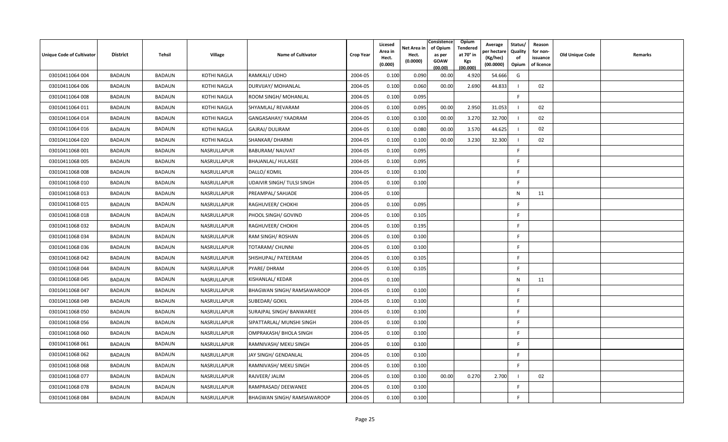| <b>Unique Code of Cultivator</b> | <b>District</b> | Tehsil        | Village            | <b>Name of Cultivator</b>         | <b>Crop Year</b> | Licesed<br>Area in<br>Hect.<br>(0.000) | Net Area in<br>Hect.<br>(0.0000) | Consistence<br>of Opium<br>as per<br>GOAW<br>(00.00) | Opium<br>Tendered<br>at 70 $^{\circ}$ in<br><b>Kgs</b><br>(00.000) | Average<br>วer hectarง<br>(Kg/hec)<br>(00.0000) | Status/<br>Quality<br>of<br>Opium | Reason<br>for non-<br>issuance<br>of licence | <b>Old Unique Code</b> | Remarks |
|----------------------------------|-----------------|---------------|--------------------|-----------------------------------|------------------|----------------------------------------|----------------------------------|------------------------------------------------------|--------------------------------------------------------------------|-------------------------------------------------|-----------------------------------|----------------------------------------------|------------------------|---------|
| 03010411064 004                  | <b>BADAUN</b>   | <b>BADAUN</b> | <b>KOTHI NAGLA</b> | RAMKALI/ UDHO                     | 2004-05          | 0.100                                  | 0.090                            | 00.00                                                | 4.920                                                              | 54.666                                          | G                                 |                                              |                        |         |
| 03010411064 006                  | BADAUN          | <b>BADAUN</b> | KOTHI NAGLA        | DURVIJAY/ MOHANLAL                | 2004-05          | 0.100                                  | 0.060                            | 00.00                                                | 2.690                                                              | 44.833                                          |                                   | 02                                           |                        |         |
| 03010411064 008                  | <b>BADAUN</b>   | <b>BADAUN</b> | KOTHI NAGLA        | ROOM SINGH/ MOHANLAL              | 2004-05          | 0.100                                  | 0.095                            |                                                      |                                                                    |                                                 | F.                                |                                              |                        |         |
| 03010411064 011                  | BADAUN          | <b>BADAUN</b> | <b>KOTHI NAGLA</b> | SHYAMLAL/REVARAM                  | 2004-05          | 0.100                                  | 0.095                            | 00.00                                                | 2.950                                                              | 31.053                                          |                                   | 02                                           |                        |         |
| 03010411064 014                  | <b>BADAUN</b>   | <b>BADAUN</b> | KOTHI NAGLA        | GANGASAHAY/ YAADRAM               | 2004-05          | 0.100                                  | 0.100                            | 00.00                                                | 3.270                                                              | 32.700                                          |                                   | 02                                           |                        |         |
| 03010411064 016                  | <b>BADAUN</b>   | <b>BADAUN</b> | <b>KOTHI NAGLA</b> | GAJRAJ/DULIRAM                    | 2004-05          | 0.100                                  | 0.080                            | 00.00                                                | 3.570                                                              | 44.625                                          |                                   | 02                                           |                        |         |
| 03010411064 020                  | <b>BADAUN</b>   | <b>BADAUN</b> | KOTHI NAGLA        | SHANKAR/DHARMI                    | 2004-05          | 0.100                                  | 0.100                            | 00.00                                                | 3.230                                                              | 32.300                                          |                                   | 02                                           |                        |         |
| 03010411068 001                  | <b>BADAUN</b>   | <b>BADAUN</b> | NASRULLAPUR        | <b>BABURAM/ NAUVAT</b>            | 2004-05          | 0.100                                  | 0.095                            |                                                      |                                                                    |                                                 | F.                                |                                              |                        |         |
| 03010411068 005                  | BADAUN          | <b>BADAUN</b> | NASRULLAPUR        | BHAJANLAL/ HULASEE                | 2004-05          | 0.100                                  | 0.095                            |                                                      |                                                                    |                                                 | F                                 |                                              |                        |         |
| 03010411068 008                  | <b>BADAUN</b>   | <b>BADAUN</b> | NASRULLAPUR        | DALLO/ KOMIL                      | 2004-05          | 0.100                                  | 0.100                            |                                                      |                                                                    |                                                 | F.                                |                                              |                        |         |
| 03010411068 010                  | <b>BADAUN</b>   | <b>BADAUN</b> | NASRULLAPUR        | UDAIVIR SINGH/ TULSI SINGH        | 2004-05          | 0.100                                  | 0.100                            |                                                      |                                                                    |                                                 | F.                                |                                              |                        |         |
| 03010411068 013                  | BADAUN          | <b>BADAUN</b> | NASRULLAPUR        | PREAMPAL/ SAHJADE                 | 2004-05          | 0.100                                  |                                  |                                                      |                                                                    |                                                 | N                                 | 11                                           |                        |         |
| 03010411068 015                  | BADAUN          | <b>BADAUN</b> | NASRULLAPUR        | RAGHUVEER/ CHOKHI                 | 2004-05          | 0.100                                  | 0.095                            |                                                      |                                                                    |                                                 | -F                                |                                              |                        |         |
| 03010411068 018                  | <b>BADAUN</b>   | <b>BADAUN</b> | NASRULLAPUR        | PHOOL SINGH/ GOVIND               | 2004-05          | 0.100                                  | 0.105                            |                                                      |                                                                    |                                                 | F                                 |                                              |                        |         |
| 03010411068 032                  | <b>BADAUN</b>   | <b>BADAUN</b> | NASRULLAPUR        | RAGHUVEER/ CHOKHI                 | 2004-05          | 0.100                                  | 0.195                            |                                                      |                                                                    |                                                 | F.                                |                                              |                        |         |
| 03010411068 034                  | BADAUN          | <b>BADAUN</b> | NASRULLAPUR        | RAM SINGH/ROSHAN                  | 2004-05          | 0.100                                  | 0.100                            |                                                      |                                                                    |                                                 | F                                 |                                              |                        |         |
| 03010411068 036                  | <b>BADAUN</b>   | <b>BADAUN</b> | NASRULLAPUR        | <b>TOTARAM/ CHUNNI</b>            | 2004-05          | 0.100                                  | 0.100                            |                                                      |                                                                    |                                                 | F                                 |                                              |                        |         |
| 03010411068 042                  | <b>BADAUN</b>   | <b>BADAUN</b> | NASRULLAPUR        | SHISHUPAL/ PATEERAM               | 2004-05          | 0.100                                  | 0.105                            |                                                      |                                                                    |                                                 | -F                                |                                              |                        |         |
| 03010411068 044                  | <b>BADAUN</b>   | <b>BADAUN</b> | NASRULLAPUR        | PYARE/DHRAM                       | 2004-05          | 0.100                                  | 0.105                            |                                                      |                                                                    |                                                 | F.                                |                                              |                        |         |
| 03010411068 045                  | <b>BADAUN</b>   | <b>BADAUN</b> | NASRULLAPUR        | KISHANLAL/ KEDAR                  | 2004-05          | 0.100                                  |                                  |                                                      |                                                                    |                                                 | N                                 | 11                                           |                        |         |
| 03010411068 047                  | <b>BADAUN</b>   | <b>BADAUN</b> | NASRULLAPUR        | <b>BHAGWAN SINGH/ RAMSAWAROOP</b> | 2004-05          | 0.100                                  | 0.100                            |                                                      |                                                                    |                                                 | F.                                |                                              |                        |         |
| 03010411068 049                  | <b>BADAUN</b>   | <b>BADAUN</b> | NASRULLAPUR        | SUBEDAR/ GOKIL                    | 2004-05          | 0.100                                  | 0.100                            |                                                      |                                                                    |                                                 | F.                                |                                              |                        |         |
| 03010411068 050                  | <b>BADAUN</b>   | <b>BADAUN</b> | NASRULLAPUR        | SURAJPAL SINGH/ BANWAREE          | 2004-05          | 0.100                                  | 0.100                            |                                                      |                                                                    |                                                 | F                                 |                                              |                        |         |
| 03010411068 056                  | BADAUN          | <b>BADAUN</b> | NASRULLAPUR        | SIPATTARLAL/ MUNSHI SINGH         | 2004-05          | 0.100                                  | 0.100                            |                                                      |                                                                    |                                                 | F                                 |                                              |                        |         |
| 03010411068 060                  | <b>BADAUN</b>   | <b>BADAUN</b> | NASRULLAPUR        | OMPRAKASH/ BHOLA SINGH            | 2004-05          | 0.100                                  | 0.100                            |                                                      |                                                                    |                                                 | F.                                |                                              |                        |         |
| 03010411068 061                  | <b>BADAUN</b>   | <b>BADAUN</b> | NASRULLAPUR        | RAMNIVASH/ MEKU SINGH             | 2004-05          | 0.100                                  | 0.100                            |                                                      |                                                                    |                                                 | F.                                |                                              |                        |         |
| 03010411068 062                  | <b>BADAUN</b>   | <b>BADAUN</b> | NASRULLAPUR        | JAY SINGH/ GENDANLAL              | 2004-05          | 0.100                                  | 0.100                            |                                                      |                                                                    |                                                 | F.                                |                                              |                        |         |
| 03010411068 068                  | <b>BADAUN</b>   | <b>BADAUN</b> | NASRULLAPUR        | RAMNIVASH/ MEKU SINGH             | 2004-05          | 0.100                                  | 0.100                            |                                                      |                                                                    |                                                 | F.                                |                                              |                        |         |
| 03010411068 077                  | BADAUN          | <b>BADAUN</b> | NASRULLAPUR        | RAJVEER/ JALIM                    | 2004-05          | 0.100                                  | 0.100                            | 00.00                                                | 0.270                                                              | 2.700                                           |                                   | 02                                           |                        |         |
| 03010411068 078                  | <b>BADAUN</b>   | <b>BADAUN</b> | NASRULLAPUR        | RAMPRASAD/ DEEWANEE               | 2004-05          | 0.100                                  | 0.100                            |                                                      |                                                                    |                                                 | F.                                |                                              |                        |         |
| 03010411068 084                  | <b>BADAUN</b>   | <b>BADAUN</b> | NASRULLAPUR        | <b>BHAGWAN SINGH/ RAMSAWAROOP</b> | 2004-05          | 0.100                                  | 0.100                            |                                                      |                                                                    |                                                 | F                                 |                                              |                        |         |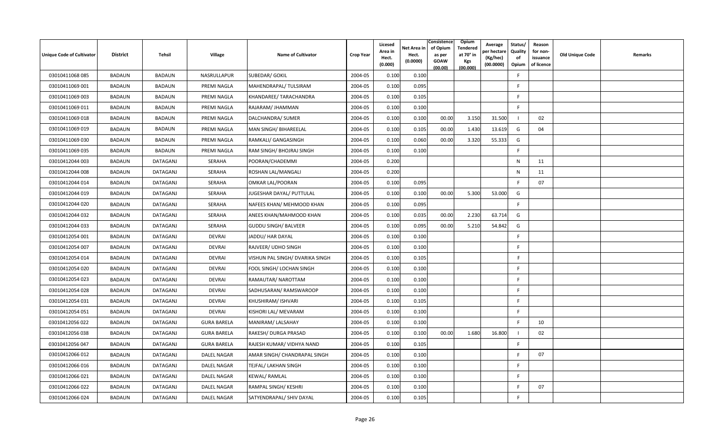| <b>Unique Code of Cultivator</b> | <b>District</b> | <b>Tehsil</b>   | <b>Village</b>     | <b>Name of Cultivator</b>       | <b>Crop Year</b> | Licesed<br>Area in<br>Hect.<br>(0.000) | Net Area in<br>Hect.<br>(0.0000) | Consistence<br>of Opium<br>as per<br><b>GOAW</b><br>(00.00) | Opium<br><b>Tendered</b><br>at 70° in<br><b>Kgs</b><br>(00.000) | Average<br>er hectare)<br>(Kg/hec)<br>(00.0000) | Status/<br>Quality<br>of<br>Opium | Reason<br>for non-<br>issuance<br>of licence | <b>Old Unique Code</b> | <b>Remarks</b> |
|----------------------------------|-----------------|-----------------|--------------------|---------------------------------|------------------|----------------------------------------|----------------------------------|-------------------------------------------------------------|-----------------------------------------------------------------|-------------------------------------------------|-----------------------------------|----------------------------------------------|------------------------|----------------|
| 03010411068 085                  | BADAUN          | <b>BADAUN</b>   | NASRULLAPUR        | <b>SUBEDAR/ GOKIL</b>           | 2004-05          | 0.100                                  | 0.100                            |                                                             |                                                                 |                                                 | F.                                |                                              |                        |                |
| 03010411069 001                  | <b>BADAUN</b>   | <b>BADAUN</b>   | PREMI NAGLA        | MAHENDRAPAL/ TULSIRAM           | 2004-05          | 0.100                                  | 0.095                            |                                                             |                                                                 |                                                 | E                                 |                                              |                        |                |
| 03010411069 003                  | <b>BADAUN</b>   | <b>BADAUN</b>   | PREMI NAGLA        | KHANDAREE/ TARACHANDRA          | 2004-05          | 0.100                                  | 0.105                            |                                                             |                                                                 |                                                 | <b>F</b>                          |                                              |                        |                |
| 03010411069 011                  | BADAUN          | <b>BADAUN</b>   | PREMI NAGLA        | RAJARAM/ JHAMMAN                | 2004-05          | 0.100                                  | 0.100                            |                                                             |                                                                 |                                                 | E                                 |                                              |                        |                |
| 03010411069 018                  | BADAUN          | <b>BADAUN</b>   | PREMI NAGLA        | DALCHANDRA/ SUMER               | 2004-05          | 0.100                                  | 0.100                            | 00.00                                                       | 3.150                                                           | 31.500                                          |                                   | 02                                           |                        |                |
| 03010411069 019                  | BADAUN          | <b>BADAUN</b>   | PREMI NAGLA        | MAN SINGH/ BIHAREELAL           | 2004-05          | 0.100                                  | 0.105                            | 00.00                                                       | 1.430                                                           | 13.619                                          | G                                 | 04                                           |                        |                |
| 03010411069 030                  | BADAUN          | <b>BADAUN</b>   | PREMI NAGLA        | RAMKALI/ GANGASINGH             | 2004-05          | 0.100                                  | 0.060                            | 00.00                                                       | 3.320                                                           | 55.333                                          | G                                 |                                              |                        |                |
| 03010411069 035                  | <b>BADAUN</b>   | <b>BADAUN</b>   | PREMI NAGLA        | RAM SINGH/ BHOJRAJ SINGH        | 2004-05          | 0.100                                  | 0.100                            |                                                             |                                                                 |                                                 | F                                 |                                              |                        |                |
| 03010412044 003                  | BADAUN          | DATAGANJ        | SERAHA             | POORAN/CHADEMMI                 | 2004-05          | 0.200                                  |                                  |                                                             |                                                                 |                                                 | N                                 | 11                                           |                        |                |
| 03010412044 008                  | BADAUN          | DATAGANJ        | <b>SERAHA</b>      | ROSHAN LAL/MANGALI              | 2004-05          | 0.200                                  |                                  |                                                             |                                                                 |                                                 | $\mathsf{N}$                      | 11                                           |                        |                |
| 03010412044 014                  | BADAUN          | DATAGANJ        | SERAHA             | OMKAR LAL/POORAN                | 2004-05          | 0.100                                  | 0.095                            |                                                             |                                                                 |                                                 | -F                                | 07                                           |                        |                |
| 03010412044 019                  | <b>BADAUN</b>   | DATAGANJ        | <b>SERAHA</b>      | JUGESHAR DAYAL/ PUTTULAL        | 2004-05          | 0.100                                  | 0.100                            | 00.00                                                       | 5.300                                                           | 53.000                                          | G                                 |                                              |                        |                |
| 03010412044 020                  | <b>BADAUN</b>   | DATAGANJ        | <b>SERAHA</b>      | NAFEES KHAN/ MEHMOOD KHAN       | 2004-05          | 0.100                                  | 0.095                            |                                                             |                                                                 |                                                 | E                                 |                                              |                        |                |
| 03010412044 032                  | BADAUN          | DATAGANJ        | SERAHA             | ANEES KHAN/MAHMOOD KHAN         | 2004-05          | 0.100                                  | 0.035                            | 00.00                                                       | 2.230                                                           | 63.714                                          | G                                 |                                              |                        |                |
| 03010412044 033                  | <b>BADAUN</b>   | DATAGANJ        | <b>SERAHA</b>      | <b>GUDDU SINGH/ BALVEER</b>     | 2004-05          | 0.100                                  | 0.095                            | 00.00                                                       | 5.210                                                           | 54.842                                          | G                                 |                                              |                        |                |
| 03010412054 001                  | BADAUN          | DATAGANJ        | <b>DEVRAI</b>      | JADDU/ HAR DAYAL                | 2004-05          | 0.100                                  | 0.100                            |                                                             |                                                                 |                                                 | F.                                |                                              |                        |                |
| 03010412054 007                  | BADAUN          | DATAGANJ        | <b>DEVRAI</b>      | RAJVEER/ UDHO SINGH             | 2004-05          | 0.100                                  | 0.100                            |                                                             |                                                                 |                                                 | E                                 |                                              |                        |                |
| 03010412054 014                  | <b>BADAUN</b>   | DATAGANJ        | <b>DEVRAI</b>      | VISHUN PAL SINGH/ DVARIKA SINGH | 2004-05          | 0.100                                  | 0.105                            |                                                             |                                                                 |                                                 | F.                                |                                              |                        |                |
| 03010412054 020                  | BADAUN          | DATAGANJ        | <b>DEVRAI</b>      | FOOL SINGH/ LOCHAN SINGH        | 2004-05          | 0.100                                  | 0.100                            |                                                             |                                                                 |                                                 | F.                                |                                              |                        |                |
| 03010412054 023                  | <b>BADAUN</b>   | <b>DATAGANJ</b> | <b>DEVRAI</b>      | RAMAUTAR/ NAROTTAM              | 2004-05          | 0.100                                  | 0.100                            |                                                             |                                                                 |                                                 | -F                                |                                              |                        |                |
| 03010412054 028                  | <b>BADAUN</b>   | DATAGANJ        | <b>DEVRAI</b>      | SADHUSARAN/RAMSWAROOP           | 2004-05          | 0.100                                  | 0.100                            |                                                             |                                                                 |                                                 | E                                 |                                              |                        |                |
| 03010412054 031                  | <b>BADAUN</b>   | <b>DATAGANJ</b> | <b>DEVRAI</b>      | KHUSHIRAM/ ISHVARI              | 2004-05          | 0.100                                  | 0.105                            |                                                             |                                                                 |                                                 | E                                 |                                              |                        |                |
| 03010412054 051                  | <b>BADAUN</b>   | DATAGANJ        | <b>DEVRAI</b>      | KISHORI LAL/ MEVARAM            | 2004-05          | 0.100                                  | 0.100                            |                                                             |                                                                 |                                                 | F.                                |                                              |                        |                |
| 03010412056 022                  | BADAUN          | DATAGANJ        | <b>GURA BARELA</b> | MANIRAM/LALSAHAY                | 2004-05          | 0.100                                  | 0.100                            |                                                             |                                                                 |                                                 | F                                 | 10                                           |                        |                |
| 03010412056 038                  | <b>BADAUN</b>   | DATAGANJ        | <b>GURA BARELA</b> | RAKESH/ DURGA PRASAD            | 2004-05          | 0.100                                  | 0.100                            | 00.00                                                       | 1.680                                                           | 16.800                                          |                                   | 02                                           |                        |                |
| 03010412056 047                  | BADAUN          | DATAGANJ        | <b>GURA BARELA</b> | RAJESH KUMAR/ VIDHYA NAND       | 2004-05          | 0.100                                  | 0.105                            |                                                             |                                                                 |                                                 | F                                 |                                              |                        |                |
| 03010412066 012                  | BADAUN          | DATAGANJ        | <b>DALEL NAGAR</b> | AMAR SINGH/ CHANDRAPAL SINGH    | 2004-05          | 0.100                                  | 0.100                            |                                                             |                                                                 |                                                 | -F                                | 07                                           |                        |                |
| 03010412066 016                  | BADAUN          | DATAGANJ        | <b>DALEL NAGAR</b> | TEJFAL/ LAKHAN SINGH            | 2004-05          | 0.100                                  | 0.100                            |                                                             |                                                                 |                                                 | -F                                |                                              |                        |                |
| 03010412066 021                  | BADAUN          | <b>DATAGANJ</b> | <b>DALEL NAGAR</b> | <b>KEWAL/ RAMLAL</b>            | 2004-05          | 0.100                                  | 0.100                            |                                                             |                                                                 |                                                 | -F                                |                                              |                        |                |
| 03010412066 022                  | <b>BADAUN</b>   | DATAGANJ        | <b>DALEL NAGAR</b> | RAMPAL SINGH/KESHRI             | 2004-05          | 0.100                                  | 0.100                            |                                                             |                                                                 |                                                 |                                   | 07                                           |                        |                |
| 03010412066024                   | <b>BADAUN</b>   | DATAGANJ        | <b>DALEL NAGAR</b> | SATYENDRAPAL/ SHIV DAYAL        | 2004-05          | 0.100                                  | 0.105                            |                                                             |                                                                 |                                                 | F                                 |                                              |                        |                |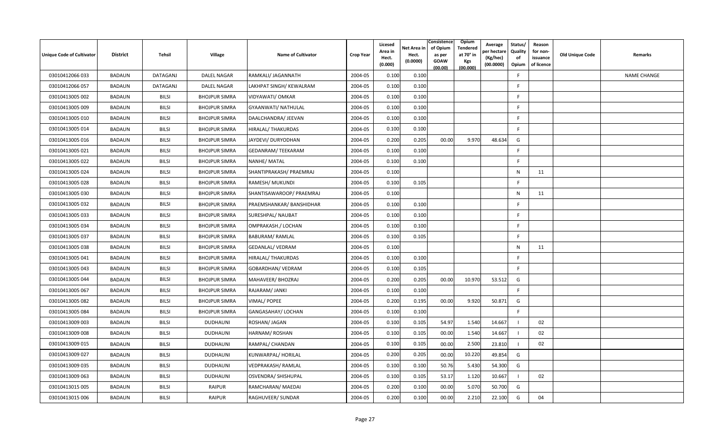| <b>Unique Code of Cultivator</b> | <b>District</b> | Tehsil          | <b>Village</b>       | <b>Name of Cultivator</b>  | <b>Crop Year</b> | Licesed<br>Area in<br>Hect.<br>(0.000) | Net Area in<br>Hect.<br>(0.0000) | Consistence<br>of Opium<br>as per<br><b>GOAW</b><br>(00.00) | Opium<br>Tendered<br>at 70° in<br><b>Kgs</b><br>(00.000) | Average<br>er hectar<br>(Kg/hec)<br>(00.0000) | Status/<br>Quality<br>of<br>Opium | Reason<br>for non-<br>issuance<br>of licence | <b>Old Unique Code</b> | Remarks            |
|----------------------------------|-----------------|-----------------|----------------------|----------------------------|------------------|----------------------------------------|----------------------------------|-------------------------------------------------------------|----------------------------------------------------------|-----------------------------------------------|-----------------------------------|----------------------------------------------|------------------------|--------------------|
| 03010412066 033                  | BADAUN          | <b>DATAGANJ</b> | <b>DALEL NAGAR</b>   | RAMKALI/ JAGANNATH         | 2004-05          | 0.100                                  | 0.100                            |                                                             |                                                          |                                               | F.                                |                                              |                        | <b>NAME CHANGE</b> |
| 03010412066 057                  | <b>BADAUN</b>   | DATAGANJ        | <b>DALEL NAGAR</b>   | LAKHPAT SINGH/KEWALRAM     | 2004-05          | 0.100                                  | 0.100                            |                                                             |                                                          |                                               | E                                 |                                              |                        |                    |
| 03010413005 002                  | <b>BADAUN</b>   | <b>BILSI</b>    | <b>BHOJPUR SIMRA</b> | VIDYAWATI/ OMKAR           | 2004-05          | 0.100                                  | 0.100                            |                                                             |                                                          |                                               | <b>F</b>                          |                                              |                        |                    |
| 03010413005 009                  | BADAUN          | <b>BILSI</b>    | <b>BHOJPUR SIMRA</b> | <b>GYAANWATI/ NATHULAL</b> | 2004-05          | 0.100                                  | 0.100                            |                                                             |                                                          |                                               | -F                                |                                              |                        |                    |
| 03010413005 010                  | BADAUN          | <b>BILSI</b>    | <b>BHOJPUR SIMRA</b> | DAALCHANDRA/ JEEVAN        | 2004-05          | 0.100                                  | 0.100                            |                                                             |                                                          |                                               | F.                                |                                              |                        |                    |
| 03010413005 014                  | BADAUN          | <b>BILSI</b>    | <b>BHOJPUR SIMRA</b> | <b>HIRALAL/ THAKURDAS</b>  | 2004-05          | 0.100                                  | 0.100                            |                                                             |                                                          |                                               | F.                                |                                              |                        |                    |
| 03010413005 016                  | BADAUN          | <b>BILSI</b>    | <b>BHOJPUR SIMRA</b> | JAYDEVI/ DURYODHAN         | 2004-05          | 0.200                                  | 0.205                            | 00.00                                                       | 9.970                                                    | 48.634                                        | G                                 |                                              |                        |                    |
| 03010413005 021                  | BADAUN          | <b>BILSI</b>    | <b>BHOJPUR SIMRA</b> | <b>GEDANRAM/TEEKARAM</b>   | 2004-05          | 0.100                                  | 0.100                            |                                                             |                                                          |                                               | F.                                |                                              |                        |                    |
| 03010413005 022                  | BADAUN          | <b>BILSI</b>    | <b>BHOJPUR SIMRA</b> | NANHE/ MATAL               | 2004-05          | 0.100                                  | 0.100                            |                                                             |                                                          |                                               | E                                 |                                              |                        |                    |
| 03010413005 024                  | BADAUN          | <b>BILSI</b>    | <b>BHOJPUR SIMRA</b> | SHANTIPRAKASH/ PRAEMRAJ    | 2004-05          | 0.100                                  |                                  |                                                             |                                                          |                                               | $\mathsf{N}$                      | 11                                           |                        |                    |
| 03010413005 028                  | BADAUN          | <b>BILSI</b>    | <b>BHOJPUR SIMRA</b> | RAMESH/ MUKUNDI            | 2004-05          | 0.100                                  | 0.105                            |                                                             |                                                          |                                               | -F                                |                                              |                        |                    |
| 03010413005 030                  | BADAUN          | <b>BILSI</b>    | <b>BHOJPUR SIMRA</b> | SHANTISAWAROOP/ PRAEMRAJ   | 2004-05          | 0.100                                  |                                  |                                                             |                                                          |                                               | $\mathsf{N}$                      | 11                                           |                        |                    |
| 03010413005 032                  | <b>BADAUN</b>   | <b>BILSI</b>    | <b>BHOJPUR SIMRA</b> | PRAEMSHANKAR/BANSHIDHAR    | 2004-05          | 0.100                                  | 0.100                            |                                                             |                                                          |                                               | -F                                |                                              |                        |                    |
| 03010413005 033                  | BADAUN          | <b>BILSI</b>    | <b>BHOJPUR SIMRA</b> | SURESHPAL/ NAUBAT          | 2004-05          | 0.100                                  | 0.100                            |                                                             |                                                          |                                               | F                                 |                                              |                        |                    |
| 03010413005 034                  | BADAUN          | <b>BILSI</b>    | <b>BHOJPUR SIMRA</b> | OMPRAKASH./ LOCHAN         | 2004-05          | 0.100                                  | 0.100                            |                                                             |                                                          |                                               | E                                 |                                              |                        |                    |
| 03010413005 037                  | BADAUN          | <b>BILSI</b>    | <b>BHOJPUR SIMRA</b> | <b>BABURAM/ RAMLAL</b>     | 2004-05          | 0.100                                  | 0.105                            |                                                             |                                                          |                                               | E                                 |                                              |                        |                    |
| 03010413005 038                  | <b>BADAUN</b>   | <b>BILSI</b>    | <b>BHOJPUR SIMRA</b> | <b>GEDANLAL/ VEDRAM</b>    | 2004-05          | 0.100                                  |                                  |                                                             |                                                          |                                               | $\mathsf{N}$                      | 11                                           |                        |                    |
| 03010413005 041                  | BADAUN          | <b>BILSI</b>    | <b>BHOJPUR SIMRA</b> | <b>HIRALAL/ THAKURDAS</b>  | 2004-05          | 0.100                                  | 0.100                            |                                                             |                                                          |                                               | -F                                |                                              |                        |                    |
| 03010413005 043                  | BADAUN          | <b>BILSI</b>    | <b>BHOJPUR SIMRA</b> | GOBARDHAN/ VEDRAM          | 2004-05          | 0.100                                  | 0.105                            |                                                             |                                                          |                                               | F                                 |                                              |                        |                    |
| 03010413005 044                  | BADAUN          | <b>BILSI</b>    | <b>BHOJPUR SIMRA</b> | MAHAVEER/BHOZRAJ           | 2004-05          | 0.200                                  | 0.205                            | 00.00                                                       | 10.970                                                   | 53.512                                        | G                                 |                                              |                        |                    |
| 03010413005 067                  | BADAUN          | <b>BILSI</b>    | <b>BHOJPUR SIMRA</b> | RAJARAM/ JANKI             | 2004-05          | 0.100                                  | 0.100                            |                                                             |                                                          |                                               | F.                                |                                              |                        |                    |
| 03010413005 082                  | <b>BADAUN</b>   | <b>BILSI</b>    | <b>BHOJPUR SIMRA</b> | VIMAL/ POPEE               | 2004-05          | 0.200                                  | 0.195                            | 00.00                                                       | 9.920                                                    | 50.871                                        | G                                 |                                              |                        |                    |
| 03010413005 084                  | BADAUN          | <b>BILSI</b>    | <b>BHOJPUR SIMRA</b> | GANGASAHAY/ LOCHAN         | 2004-05          | 0.100                                  | 0.100                            |                                                             |                                                          |                                               | E                                 |                                              |                        |                    |
| 03010413009 003                  | BADAUN          | <b>BILSI</b>    | <b>DUDHAUNI</b>      | ROSHAN/ JAGAN              | 2004-05          | 0.100                                  | 0.105                            | 54.97                                                       | 1.540                                                    | 14.667                                        | -1                                | 02                                           |                        |                    |
| 03010413009 008                  | BADAUN          | <b>BILSI</b>    | <b>DUDHAUNI</b>      | HARNAM/ROSHAN              | 2004-05          | 0.100                                  | 0.105                            | 00.00                                                       | 1.540                                                    | 14.667                                        |                                   | 02                                           |                        |                    |
| 03010413009 015                  | BADAUN          | <b>BILSI</b>    | <b>DUDHAUNI</b>      | RAMPAL/ CHANDAN            | 2004-05          | 0.100                                  | 0.105                            | 00.00                                                       | 2.500                                                    | 23.810                                        |                                   | 02                                           |                        |                    |
| 03010413009 027                  | BADAUN          | <b>BILSI</b>    | <b>DUDHAUNI</b>      | KUNWARPAL/HORILAL          | 2004-05          | 0.200                                  | 0.205                            | 00.00                                                       | 10.220                                                   | 49.854                                        | G                                 |                                              |                        |                    |
| 03010413009 035                  | BADAUN          | <b>BILSI</b>    | <b>DUDHAUNI</b>      | <b>VEDPRAKASH/ RAMLAL</b>  | 2004-05          | 0.100                                  | 0.100                            | 50.76                                                       | 5.430                                                    | 54.300                                        | G                                 |                                              |                        |                    |
| 03010413009 063                  | BADAUN          | <b>BILSI</b>    | <b>DUDHAUNI</b>      | OSVENDRA/ SHISHUPAL        | 2004-05          | 0.100                                  | 0.105                            | 53.17                                                       | 1.120                                                    | 10.667                                        |                                   | 02                                           |                        |                    |
| 03010413015 005                  | BADAUN          | <b>BILSI</b>    | <b>RAIPUR</b>        | RAMCHARAN/ MAEDAI          | 2004-05          | 0.200                                  | 0.100                            | 00.00                                                       | 5.070                                                    | 50.700                                        | G                                 |                                              |                        |                    |
| 03010413015 006                  | <b>BADAUN</b>   | <b>BILSI</b>    | <b>RAIPUR</b>        | RAGHUVEER/ SUNDAR          | 2004-05          | 0.200                                  | 0.100                            | 00.00                                                       | 2.210                                                    | 22.100                                        | G                                 | 04                                           |                        |                    |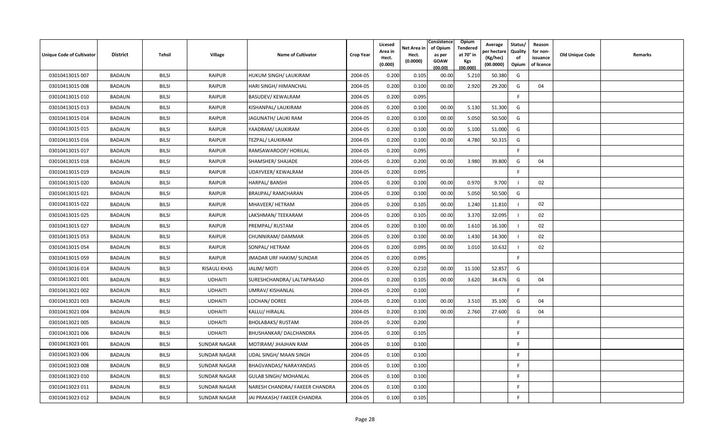| <b>Unique Code of Cultivator</b> | <b>District</b> | Tehsil       | <b>Village</b>      | <b>Name of Cultivator</b>      | <b>Crop Year</b> | Licesed<br>Area in<br>Hect.<br>(0.000) | Net Area in<br>Hect.<br>(0.0000) | Consistence<br>of Opium<br>as per<br><b>GOAW</b><br>(00.00) | <b>Opium</b><br>Tendered<br>at 70 $^{\circ}$ in<br>Kgs<br>(00.000) | Average<br>วer hectarง<br>(Kg/hec)<br>(00.0000) | Status/<br><b>Quality</b><br>of<br>Opium | Reason<br>for non-<br>issuance<br>of licence | <b>Old Unique Code</b> | Remarks |
|----------------------------------|-----------------|--------------|---------------------|--------------------------------|------------------|----------------------------------------|----------------------------------|-------------------------------------------------------------|--------------------------------------------------------------------|-------------------------------------------------|------------------------------------------|----------------------------------------------|------------------------|---------|
| 03010413015 007                  | <b>BADAUN</b>   | <b>BILSI</b> | <b>RAIPUR</b>       | HUKUM SINGH/ LAUKIRAM          | 2004-05          | 0.200                                  | 0.105                            | 00.00                                                       | 5.210                                                              | 50.380                                          | G                                        |                                              |                        |         |
| 03010413015 008                  | BADAUN          | <b>BILSI</b> | <b>RAIPUR</b>       | <b>HARI SINGH/ HIMANCHAL</b>   | 2004-05          | 0.200                                  | 0.100                            | 00.00                                                       | 2.920                                                              | 29.200                                          | G                                        | 04                                           |                        |         |
| 03010413015 010                  | <b>BADAUN</b>   | <b>BILSI</b> | <b>RAIPUR</b>       | <b>BASUDEV/ KEWALRAM</b>       | 2004-05          | 0.200                                  | 0.095                            |                                                             |                                                                    |                                                 | F.                                       |                                              |                        |         |
| 03010413015 013                  | BADAUN          | <b>BILSI</b> | <b>RAIPUR</b>       | KISHANPAL/ LAUKIRAM            | 2004-05          | 0.200                                  | 0.100                            | 00.00                                                       | 5.130                                                              | 51.300                                          | G                                        |                                              |                        |         |
| 03010413015 014                  | <b>BADAUN</b>   | <b>BILSI</b> | <b>RAIPUR</b>       | JAGUNATH/ LAUKI RAM            | 2004-05          | 0.200                                  | 0.100                            | 00.00                                                       | 5.050                                                              | 50.500                                          | G                                        |                                              |                        |         |
| 03010413015 015                  | <b>BADAUN</b>   | <b>BILSI</b> | <b>RAIPUR</b>       | YAADRAM/ LAUKIRAM              | 2004-05          | 0.200                                  | 0.100                            | 00.00                                                       | 5.100                                                              | 51.000                                          | G                                        |                                              |                        |         |
| 03010413015 016                  | <b>BADAUN</b>   | <b>BILSI</b> | <b>RAIPUR</b>       | TEZPAL/ LAUKIRAM               | 2004-05          | 0.200                                  | 0.100                            | 00.00                                                       | 4.780                                                              | 50.315                                          | G                                        |                                              |                        |         |
| 03010413015 017                  | <b>BADAUN</b>   | <b>BILSI</b> | <b>RAIPUR</b>       | RAMSAWAROOP/ HORILAL           | 2004-05          | 0.200                                  | 0.095                            |                                                             |                                                                    |                                                 | F                                        |                                              |                        |         |
| 03010413015 018                  | BADAUN          | <b>BILSI</b> | <b>RAIPUR</b>       | SHAMSHER/ SHAJADE              | 2004-05          | 0.200                                  | 0.200                            | 00.00                                                       | 3.980                                                              | 39.800                                          | G                                        | 04                                           |                        |         |
| 03010413015 019                  | <b>BADAUN</b>   | <b>BILSI</b> | <b>RAIPUR</b>       | UDAYVEER/ KEWALRAM             | 2004-05          | 0.200                                  | 0.095                            |                                                             |                                                                    |                                                 | F                                        |                                              |                        |         |
| 03010413015 020                  | <b>BADAUN</b>   | <b>BILSI</b> | <b>RAIPUR</b>       | HARPAL/ BANSHI                 | 2004-05          | 0.200                                  | 0.100                            | 00.00                                                       | 0.970                                                              | 9.700                                           |                                          | 02                                           |                        |         |
| 03010413015 021                  | BADAUN          | <b>BILSI</b> | <b>RAIPUR</b>       | <b>BRAIJPAL/ RAMCHARAN</b>     | 2004-05          | 0.200                                  | 0.100                            | 00.00                                                       | 5.050                                                              | 50.500                                          | G                                        |                                              |                        |         |
| 03010413015 022                  | <b>BADAUN</b>   | <b>BILSI</b> | <b>RAIPUR</b>       | MHAVEER/ HETRAM                | 2004-05          | 0.200                                  | 0.105                            | 00.00                                                       | 1.240                                                              | 11.810                                          |                                          | 02                                           |                        |         |
| 03010413015 025                  | BADAUN          | <b>BILSI</b> | <b>RAIPUR</b>       | LAKSHMAN/ TEEKARAM             | 2004-05          | 0.200                                  | 0.105                            | 00.00                                                       | 3.370                                                              | 32.095                                          |                                          | 02                                           |                        |         |
| 03010413015 027                  | <b>BADAUN</b>   | <b>BILSI</b> | <b>RAIPUR</b>       | PREMPAL/ RUSTAM                | 2004-05          | 0.200                                  | 0.100                            | 00.00                                                       | 1.610                                                              | 16.100                                          |                                          | 02                                           |                        |         |
| 03010413015 053                  | BADAUN          | <b>BILSI</b> | <b>RAIPUR</b>       | CHUNNIRAM/DAMMAR               | 2004-05          | 0.200                                  | 0.100                            | 00.00                                                       | 1.430                                                              | 14.300                                          |                                          | 02                                           |                        |         |
| 03010413015 054                  | <b>BADAUN</b>   | <b>BILSI</b> | <b>RAIPUR</b>       | SONPAL/ HETRAM                 | 2004-05          | 0.200                                  | 0.095                            | 00.00                                                       | 1.010                                                              | 10.632                                          |                                          | 02                                           |                        |         |
| 03010413015 059                  | <b>BADAUN</b>   | <b>BILSI</b> | <b>RAIPUR</b>       | JMADAR URF HAKIM/ SUNDAR       | 2004-05          | 0.200                                  | 0.095                            |                                                             |                                                                    |                                                 | $\mathsf{F}$                             |                                              |                        |         |
| 03010413016014                   | <b>BADAUN</b>   | <b>BILSI</b> | <b>RISAULI KHAS</b> | <b>JALIM/MOTI</b>              | 2004-05          | 0.200                                  | 0.210                            | 00.00                                                       | 11.100                                                             | 52.857                                          | G                                        |                                              |                        |         |
| 03010413021 001                  | <b>BADAUN</b>   | <b>BILSI</b> | <b>UDHAITI</b>      | SURESHCHANDRA/ LALTAPRASAD     | 2004-05          | 0.200                                  | 0.105                            | 00.00                                                       | 3.620                                                              | 34.476                                          | G                                        | 04                                           |                        |         |
| 03010413021 002                  | BADAUN          | <b>BILSI</b> | <b>UDHAITI</b>      | UMRAV/KISHANLAL                | 2004-05          | 0.200                                  | 0.100                            |                                                             |                                                                    |                                                 | F                                        |                                              |                        |         |
| 03010413021 003                  | <b>BADAUN</b>   | <b>BILSI</b> | <b>UDHAITI</b>      | LOCHAN/ DOREE                  | 2004-05          | 0.200                                  | 0.100                            | 00.00                                                       | 3.510                                                              | 35.100                                          | G                                        | 04                                           |                        |         |
| 03010413021 004                  | <b>BADAUN</b>   | <b>BILSI</b> | <b>UDHAITI</b>      | KALLU/ HIRALAL                 | 2004-05          | 0.200                                  | 0.100                            | 00.00                                                       | 2.760                                                              | 27.600                                          | G                                        | 04                                           |                        |         |
| 03010413021 005                  | BADAUN          | <b>BILSI</b> | <b>UDHAITI</b>      | <b>BHOLABAKS/ RUSTAM</b>       | 2004-05          | 0.200                                  | 0.200                            |                                                             |                                                                    |                                                 | F.                                       |                                              |                        |         |
| 03010413021 006                  | <b>BADAUN</b>   | <b>BILSI</b> | <b>UDHAITI</b>      | BHUSHANKAR/ DALCHANDRA         | 2004-05          | 0.200                                  | 0.105                            |                                                             |                                                                    |                                                 | F                                        |                                              |                        |         |
| 03010413023 001                  | BADAUN          | <b>BILSI</b> | <b>SUNDAR NAGAR</b> | MOTIRAM/ JHAJHAN RAM           | 2004-05          | 0.100                                  | 0.100                            |                                                             |                                                                    |                                                 | F                                        |                                              |                        |         |
| 03010413023 006                  | <b>BADAUN</b>   | <b>BILSI</b> | <b>SUNDAR NAGAR</b> | UDAL SINGH/ MAAN SINGH         | 2004-05          | 0.100                                  | 0.100                            |                                                             |                                                                    |                                                 | F.                                       |                                              |                        |         |
| 03010413023 008                  | <b>BADAUN</b>   | <b>BILSI</b> | <b>SUNDAR NAGAR</b> | BHAGVANDAS/ NARAYANDAS         | 2004-05          | 0.100                                  | 0.100                            |                                                             |                                                                    |                                                 | F.                                       |                                              |                        |         |
| 03010413023 010                  | BADAUN          | <b>BILSI</b> | <b>SUNDAR NAGAR</b> | <b>GULAB SINGH/ MOHANLAL</b>   | 2004-05          | 0.100                                  | 0.100                            |                                                             |                                                                    |                                                 | F.                                       |                                              |                        |         |
| 03010413023 011                  | <b>BADAUN</b>   | <b>BILSI</b> | <b>SUNDAR NAGAR</b> | NARESH CHANDRA/ FAKEER CHANDRA | 2004-05          | 0.100                                  | 0.100                            |                                                             |                                                                    |                                                 | F.                                       |                                              |                        |         |
| 03010413023 012                  | BADAUN          | <b>BILSI</b> | <b>SUNDAR NAGAR</b> | JAI PRAKASH/ FAKEER CHANDRA    | 2004-05          | 0.100                                  | 0.105                            |                                                             |                                                                    |                                                 | F                                        |                                              |                        |         |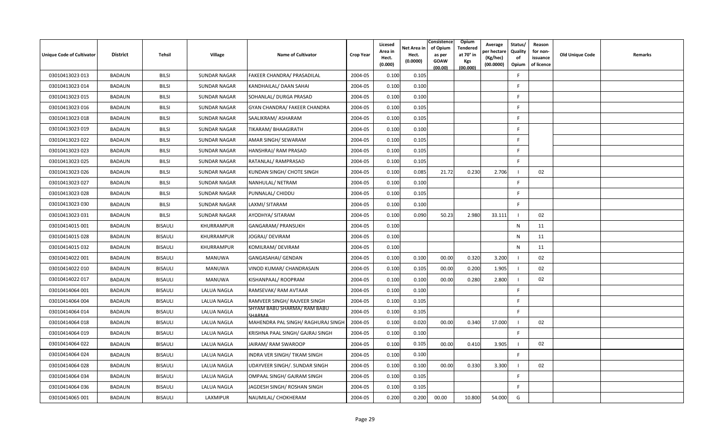| Unique Code of Cultivator | <b>District</b> | Tehsil         | Village             | <b>Name of Cultivator</b>             | <b>Crop Year</b> | Licesed<br>Area in<br>Hect.<br>(0.000) | Net Area in<br>Hect.<br>(0.0000) | Consistence<br>of Opium<br>as per<br><b>GOAW</b><br>(00.00) | Opium<br><b>Tendered</b><br>at 70° in<br>Kgs<br>(00.000) | Average<br>oer hectare<br>(Kg/hec)<br>(00.0000) | Status/<br>Quality<br>of<br>Opium | Reason<br>for non-<br>issuance<br>of licence | <b>Old Unique Code</b> | Remarks |
|---------------------------|-----------------|----------------|---------------------|---------------------------------------|------------------|----------------------------------------|----------------------------------|-------------------------------------------------------------|----------------------------------------------------------|-------------------------------------------------|-----------------------------------|----------------------------------------------|------------------------|---------|
| 03010413023 013           | <b>BADAUN</b>   | <b>BILSI</b>   | <b>SUNDAR NAGAR</b> | FAKEER CHANDRA/ PRASADILAL            | 2004-05          | 0.100                                  | 0.105                            |                                                             |                                                          |                                                 | -F                                |                                              |                        |         |
| 03010413023 014           | <b>BADAUN</b>   | <b>BILSI</b>   | <b>SUNDAR NAGAR</b> | KANDHAILAL/ DAAN SAHAI                | 2004-05          | 0.100                                  | 0.100                            |                                                             |                                                          |                                                 | F                                 |                                              |                        |         |
| 03010413023 015           | <b>BADAUN</b>   | <b>BILSI</b>   | <b>SUNDAR NAGAR</b> | SOHANLAL/ DURGA PRASAD                | 2004-05          | 0.100                                  | 0.100                            |                                                             |                                                          |                                                 | -F                                |                                              |                        |         |
| 03010413023 016           | <b>BADAUN</b>   | <b>BILSI</b>   | <b>SUNDAR NAGAR</b> | GYAN CHANDRA/ FAKEER CHANDRA          | 2004-05          | 0.100                                  | 0.105                            |                                                             |                                                          |                                                 | F                                 |                                              |                        |         |
| 03010413023 018           | <b>BADAUN</b>   | <b>BILSI</b>   | <b>SUNDAR NAGAR</b> | SAALIKRAM/ ASHARAM                    | 2004-05          | 0.100                                  | 0.105                            |                                                             |                                                          |                                                 | E                                 |                                              |                        |         |
| 03010413023 019           | BADAUN          | <b>BILSI</b>   | <b>SUNDAR NAGAR</b> | TIKARAM/ BHAAGIRATH                   | 2004-05          | 0.100                                  | 0.100                            |                                                             |                                                          |                                                 | F.                                |                                              |                        |         |
| 03010413023 022           | BADAUN          | <b>BILSI</b>   | <b>SUNDAR NAGAR</b> | AMAR SINGH/ SEWARAM                   | 2004-05          | 0.100                                  | 0.105                            |                                                             |                                                          |                                                 | F.                                |                                              |                        |         |
| 03010413023 023           | <b>BADAUN</b>   | <b>BILSI</b>   | <b>SUNDAR NAGAR</b> | HANSHRAJ/ RAM PRASAD                  | 2004-05          | 0.100                                  | 0.105                            |                                                             |                                                          |                                                 | E                                 |                                              |                        |         |
| 03010413023 025           | BADAUN          | <b>BILSI</b>   | <b>SUNDAR NAGAR</b> | RATANLAL/RAMPRASAD                    | 2004-05          | 0.100                                  | 0.105                            |                                                             |                                                          |                                                 | F                                 |                                              |                        |         |
| 03010413023 026           | <b>BADAUN</b>   | <b>BILSI</b>   | <b>SUNDAR NAGAR</b> | KUNDAN SINGH/ CHOTE SINGH             | 2004-05          | 0.100                                  | 0.085                            | 21.72                                                       | 0.230                                                    | 2.706                                           |                                   | 02                                           |                        |         |
| 03010413023 027           | <b>BADAUN</b>   | <b>BILSI</b>   | <b>SUNDAR NAGAR</b> | NANHULAL/ NETRAM                      | 2004-05          | 0.100                                  | 0.100                            |                                                             |                                                          |                                                 | F                                 |                                              |                        |         |
| 03010413023 028           | <b>BADAUN</b>   | <b>BILSI</b>   | <b>SUNDAR NAGAR</b> | PUNNALAL/ CHIDDU                      | 2004-05          | 0.100                                  | 0.105                            |                                                             |                                                          |                                                 | E                                 |                                              |                        |         |
| 03010413023 030           | <b>BADAUN</b>   | <b>BILSI</b>   | <b>SUNDAR NAGAR</b> | LAXMI/ SITARAM                        | 2004-05          | 0.100                                  | 0.100                            |                                                             |                                                          |                                                 | -F                                |                                              |                        |         |
| 03010413023 031           | <b>BADAUN</b>   | <b>BILSI</b>   | <b>SUNDAR NAGAR</b> | AYODHYA/ SITARAM                      | 2004-05          | 0.100                                  | 0.090                            | 50.23                                                       | 2.980                                                    | 33.111                                          | $\overline{1}$                    | 02                                           |                        |         |
| 03010414015 001           | <b>BADAUN</b>   | BISAULI        | KHURRAMPUR          | GANGARAM/ PRANSUKH                    | 2004-05          | 0.100                                  |                                  |                                                             |                                                          |                                                 | $\mathsf{N}$                      | 11                                           |                        |         |
| 03010414015 028           | <b>BADAUN</b>   | <b>BISAULI</b> | KHURRAMPUR          | JOGRAJ/ DEVIRAM                       | 2004-05          | 0.100                                  |                                  |                                                             |                                                          |                                                 | $\mathsf{N}$                      | 11                                           |                        |         |
| 03010414015 032           | <b>BADAUN</b>   | <b>BISAULI</b> | KHURRAMPUR          | KOMILRAM/ DEVIRAM                     | 2004-05          | 0.100                                  |                                  |                                                             |                                                          |                                                 | $\mathsf{N}$                      | 11                                           |                        |         |
| 03010414022 001           | <b>BADAUN</b>   | BISAULI        | MANUWA              | GANGASAHAI/ GENDAN                    | 2004-05          | 0.100                                  | 0.100                            | 00.00                                                       | 0.320                                                    | 3.200                                           | - 1                               | 02                                           |                        |         |
| 03010414022 010           | <b>BADAUN</b>   | <b>BISAULI</b> | <b>MANUWA</b>       | VINOD KUMAR/ CHANDRASAIN              | 2004-05          | 0.100                                  | 0.105                            | 00.00                                                       | 0.200                                                    | 1.905                                           |                                   | 02                                           |                        |         |
| 03010414022 017           | <b>BADAUN</b>   | BISAULI        | <b>MANUWA</b>       | KISHANPAAL/ ROOPRAM                   | 2004-05          | 0.100                                  | 0.100                            | 00.00                                                       | 0.280                                                    | 2.800                                           |                                   | 02                                           |                        |         |
| 03010414064 001           | <b>BADAUN</b>   | <b>BISAULI</b> | <b>LALUA NAGLA</b>  | RAMSEVAK/ RAM AVTAAR                  | 2004-05          | 0.100                                  | 0.100                            |                                                             |                                                          |                                                 | F                                 |                                              |                        |         |
| 03010414064 004           | <b>BADAUN</b>   | <b>BISAULI</b> | LALUA NAGLA         | RAMVEER SINGH/ RAJVEER SINGH          | 2004-05          | 0.100                                  | 0.105                            |                                                             |                                                          |                                                 | F.                                |                                              |                        |         |
| 03010414064 014           | <b>BADAUN</b>   | <b>BISAULI</b> | <b>LALUA NAGLA</b>  | SHYAM BABU SHARMA/ RAM BABU<br>SHARMA | 2004-05          | 0.100                                  | 0.105                            |                                                             |                                                          |                                                 | E                                 |                                              |                        |         |
| 03010414064 018           | <b>BADAUN</b>   | <b>BISAULI</b> | <b>LALUA NAGLA</b>  | MAHENDRA PAL SINGH/ RAGHURAJ SINGH    | 2004-05          | 0.100                                  | 0.020                            | 00.00                                                       | 0.340                                                    | 17.000                                          |                                   | 02                                           |                        |         |
| 03010414064 019           | BADAUN          | BISAULI        | LALUA NAGLA         | KRISHNA PAAL SINGH/ GAJRAJ SINGH      | 2004-05          | 0.100                                  | 0.100                            |                                                             |                                                          |                                                 | F.                                |                                              |                        |         |
| 03010414064 022           | <b>BADAUN</b>   | <b>BISAULI</b> | LALUA NAGLA         | JAIRAM/RAM SWAROOP                    | 2004-05          | 0.100                                  | 0.105                            | 00.00                                                       | 0.410                                                    | 3.905                                           |                                   | 02                                           |                        |         |
| 03010414064 024           | <b>BADAUN</b>   | BISAULI        | <b>LALUA NAGLA</b>  | INDRA VER SINGH/TIKAM SINGH           | 2004-05          | 0.100                                  | 0.100                            |                                                             |                                                          |                                                 | E                                 |                                              |                        |         |
| 03010414064 028           | <b>BADAUN</b>   | <b>BISAULI</b> | <b>LALUA NAGLA</b>  | UDAYVEER SINGH/. SUNDAR SINGH         | 2004-05          | 0.100                                  | 0.100                            | 00.00                                                       | 0.330                                                    | 3.300                                           | - 1                               | 02                                           |                        |         |
| 03010414064 034           | <b>BADAUN</b>   | <b>BISAULI</b> | <b>LALUA NAGLA</b>  | OMPAAL SINGH/ GAJRAM SINGH            | 2004-05          | 0.100                                  | 0.105                            |                                                             |                                                          |                                                 | E                                 |                                              |                        |         |
| 03010414064 036           | <b>BADAUN</b>   | <b>BISAULI</b> | <b>LALUA NAGLA</b>  | JAGDESH SINGH/ ROSHAN SINGH           | 2004-05          | 0.100                                  | 0.105                            |                                                             |                                                          |                                                 | F                                 |                                              |                        |         |
| 03010414065 001           | BADAUN          | <b>BISAULI</b> | LAXMIPUR            | NAUMILAL/ CHOKHERAM                   | 2004-05          | 0.200                                  | 0.200                            | 00.00                                                       | 10.800                                                   | 54.000                                          | G                                 |                                              |                        |         |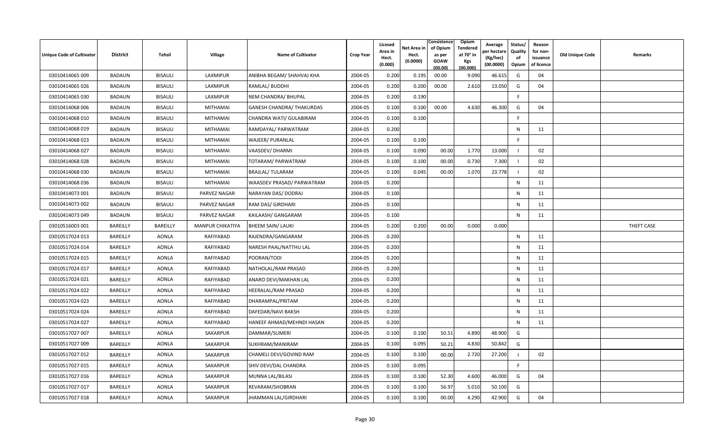| Unique Code of Cultivator | <b>District</b> | Tehsil          | Village                 | <b>Name of Cultivator</b>        | <b>Crop Year</b> | Licesed<br>Area in<br>Hect.<br>(0.000) | Net Area in<br>Hect.<br>(0.0000) | Consistence<br>of Opium<br>as per<br>GOAW<br>(00.00) | Opium<br>Tendered<br>at 70° in<br>Kgs<br>(00.000) | Average<br>per hectare<br>(Kg/hec)<br>(00.0000) | Status/<br>Quality<br>of<br>Opium | Reason<br>for non-<br>issuance<br>of licence | Old Unique Code | Remarks    |
|---------------------------|-----------------|-----------------|-------------------------|----------------------------------|------------------|----------------------------------------|----------------------------------|------------------------------------------------------|---------------------------------------------------|-------------------------------------------------|-----------------------------------|----------------------------------------------|-----------------|------------|
| 03010414065 009           | <b>BADAUN</b>   | BISAULI         | LAXMIPUR                | ANIBHA BEGAM/ SHAHVAJ KHA        | 2004-05          | 0.200                                  | 0.195                            | 00.00                                                | 9.090                                             | 46.615                                          | G                                 | 04                                           |                 |            |
| 03010414065 026           | <b>BADAUN</b>   | <b>BISAULI</b>  | LAXMIPUR                | RAMLAL/ BUDDHI                   | 2004-05          | 0.200                                  | 0.200                            | 00.00                                                | 2.610                                             | 13.050                                          | G                                 | 04                                           |                 |            |
| 03010414065 030           | <b>BADAUN</b>   | BISAULI         | LAXMIPUR                | NEM CHANDRA/ BHUPAL              | 2004-05          | 0.200                                  | 0.190                            |                                                      |                                                   |                                                 | F.                                |                                              |                 |            |
| 03010414068 006           | <b>BADAUN</b>   | BISAULI         | MITHAMAI                | <b>GANESH CHANDRA/ THAKURDAS</b> | 2004-05          | 0.100                                  | 0.100                            | 00.00                                                | 4.630                                             | 46.300                                          | G                                 | 04                                           |                 |            |
| 03010414068 010           | BADAUN          | BISAULI         | MITHAMAI                | CHANDRA WATI/ GULABIRAM          | 2004-05          | 0.100                                  | 0.100                            |                                                      |                                                   |                                                 | F.                                |                                              |                 |            |
| 03010414068 019           | BADAUN          | BISAULI         | <b>MITHAMAI</b>         | RAMDAYAL/ PARWATRAM              | 2004-05          | 0.200                                  |                                  |                                                      |                                                   |                                                 | N                                 | 11                                           |                 |            |
| 03010414068 023           | BADAUN          | BISAULI         | <b>MITHAMAI</b>         | WAJEER/ PURANLAL                 | 2004-05          | 0.100                                  | 0.100                            |                                                      |                                                   |                                                 | F.                                |                                              |                 |            |
| 03010414068 027           | <b>BADAUN</b>   | BISAULI         | MITHAMAI                | VAASDEV/DHARMI                   | 2004-05          | 0.100                                  | 0.090                            | 00.00                                                | 1.770                                             | 13.000                                          |                                   | 02                                           |                 |            |
| 03010414068 028           | <b>BADAUN</b>   | BISAULI         | MITHAMAI                | TOTARAM/ PARWATRAM               | 2004-05          | 0.100                                  | 0.100                            | 00.00                                                | 0.730                                             | 7.300                                           |                                   | 02                                           |                 |            |
| 03010414068 030           | <b>BADAUN</b>   | BISAULI         | MITHAMAI                | <b>BRAJLAL/ TULARAM</b>          | 2004-05          | 0.100                                  | 0.045                            | 00.00                                                | 1.070                                             | 23.778                                          |                                   | 02                                           |                 |            |
| 03010414068 036           | BADAUN          | BISAULI         | <b>MITHAMAI</b>         | WAASDEV PRASAD/ PARWATRAM        | 2004-05          | 0.200                                  |                                  |                                                      |                                                   |                                                 | N                                 | 11                                           |                 |            |
| 03010414073 001           | <b>BADAUN</b>   | BISAULI         | PARVEZ NAGAR            | NARAYAN DAS/ DODRAJ              | 2004-05          | 0.100                                  |                                  |                                                      |                                                   |                                                 | N                                 | 11                                           |                 |            |
| 03010414073 002           | <b>BADAUN</b>   | BISAULI         | PARVEZ NAGAR            | RAM DAS/ GIRDHARI                | 2004-05          | 0.100                                  |                                  |                                                      |                                                   |                                                 | N                                 | 11                                           |                 |            |
| 03010414073 049           | <b>BADAUN</b>   | BISAULI         | PARVEZ NAGAR            | KAILAASH/ GANGARAM               | 2004-05          | 0.100                                  |                                  |                                                      |                                                   |                                                 | ${\sf N}$                         | 11                                           |                 |            |
| 03010516003 001           | BAREILLY        | <b>BAREILLY</b> | <b>MANPUR CHIKATIYA</b> | <b>BHEEM SAIN/ LAUKI</b>         | 2004-05          | 0.200                                  | 0.200                            | 00.00                                                | 0.000                                             | 0.000                                           |                                   |                                              |                 | THEFT CASE |
| 03010517024 013           | BAREILLY        | <b>AONLA</b>    | RAFIYABAD               | RAJENDRA/GANGARAM                | 2004-05          | 0.200                                  |                                  |                                                      |                                                   |                                                 | ${\sf N}$                         | 11                                           |                 |            |
| 03010517024 014           | BAREILLY        | <b>AONLA</b>    | RAFIYABAD               | NARESH PAAL/NATTHU LAL           | 2004-05          | 0.200                                  |                                  |                                                      |                                                   |                                                 | N                                 | 11                                           |                 |            |
| 03010517024 015           | BAREILLY        | <b>AONLA</b>    | RAFIYABAD               | POORAN/TODI                      | 2004-05          | 0.200                                  |                                  |                                                      |                                                   |                                                 | N                                 | 11                                           |                 |            |
| 03010517024 017           | BAREILLY        | <b>AONLA</b>    | RAFIYABAD               | NATHOLAL/RAM PRASAD              | 2004-05          | 0.200                                  |                                  |                                                      |                                                   |                                                 | N                                 | 11                                           |                 |            |
| 03010517024 021           | BAREILLY        | <b>AONLA</b>    | RAFIYABAD               | ANARO DEVI/MAKHAN LAL            | 2004-05          | 0.200                                  |                                  |                                                      |                                                   |                                                 | ${\sf N}$                         | 11                                           |                 |            |
| 03010517024 022           | BAREILLY        | <b>AONLA</b>    | RAFIYABAD               | HEERALAL/RAM PRASAD              | 2004-05          | 0.200                                  |                                  |                                                      |                                                   |                                                 | N                                 | 11                                           |                 |            |
| 03010517024 023           | BAREILLY        | <b>AONLA</b>    | RAFIYABAD               | DHARAMPAL/PRITAM                 | 2004-05          | 0.200                                  |                                  |                                                      |                                                   |                                                 | N                                 | 11                                           |                 |            |
| 03010517024 024           | BAREILLY        | <b>AONLA</b>    | RAFIYABAD               | DAFEDAR/NAVI BAKSH               | 2004-05          | 0.200                                  |                                  |                                                      |                                                   |                                                 | N                                 | 11                                           |                 |            |
| 03010517024 027           | BAREILLY        | <b>AONLA</b>    | RAFIYABAD               | HANEEF AHMAD/MEHNDI HASAN        | 2004-05          | 0.200                                  |                                  |                                                      |                                                   |                                                 | N                                 | 11                                           |                 |            |
| 03010517027 007           | BAREILLY        | <b>AONLA</b>    | SAKARPUR                | DAMMAR/SUMERI                    | 2004-05          | 0.100                                  | 0.100                            | 50.51                                                | 4.890                                             | 48.900                                          | G                                 |                                              |                 |            |
| 03010517027 009           | BAREILLY        | <b>AONLA</b>    | SAKARPUR                | SUKHRAM/MANIRAM                  | 2004-05          | 0.100                                  | 0.095                            | 50.21                                                | 4.830                                             | 50.842                                          | G                                 |                                              |                 |            |
| 03010517027 012           | BAREILLY        | <b>AONLA</b>    | SAKARPUR                | CHAMELI DEVI/GOVIND RAM          | 2004-05          | 0.100                                  | 0.100                            | 00.00                                                | 2.720                                             | 27.200                                          |                                   | 02                                           |                 |            |
| 03010517027 015           | BAREILLY        | <b>AONLA</b>    | SAKARPUR                | SHIV DEVI/DAL CHANDRA            | 2004-05          | 0.100                                  | 0.095                            |                                                      |                                                   |                                                 | F.                                |                                              |                 |            |
| 03010517027 016           | BAREILLY        | <b>AONLA</b>    | SAKARPUR                | MUNNA LAL/BILASI                 | 2004-05          | 0.100                                  | 0.100                            | 52.30                                                | 4.600                                             | 46.000                                          | G                                 | 04                                           |                 |            |
| 03010517027 017           | BAREILLY        | <b>AONLA</b>    | SAKARPUR                | REVARAM/SHOBRAN                  | 2004-05          | 0.100                                  | 0.100                            | 56.97                                                | 5.010                                             | 50.100                                          | G                                 |                                              |                 |            |
| 03010517027 018           | BAREILLY        | <b>AONLA</b>    | SAKARPUR                | <b>JHAMMAN LAL/GIRDHARI</b>      | 2004-05          | 0.100                                  | 0.100                            | 00.00                                                | 4.290                                             | 42.900                                          | G                                 | 04                                           |                 |            |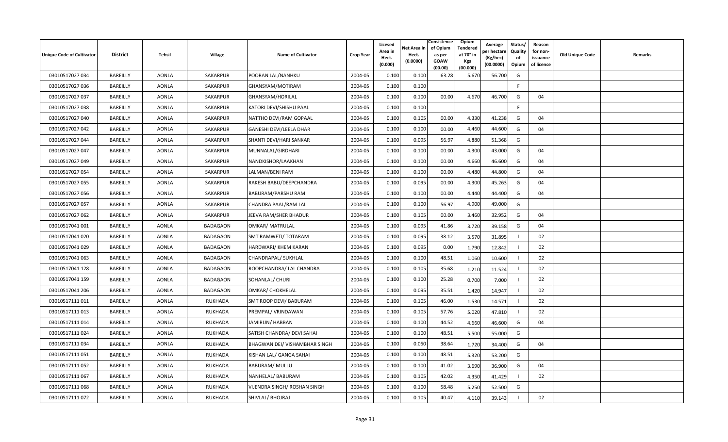| <b>Unique Code of Cultivator</b> | <b>District</b> | Tehsil       | Village         | <b>Name of Cultivator</b>     | <b>Crop Year</b> | Licesed<br>Area in<br>Hect.<br>(0.000) | Net Area in<br>Hect.<br>(0.0000) | Consistence<br>of Opium<br>as per<br><b>GOAW</b><br>(00.00) | Opium<br>Tendered<br>at 70 $^{\circ}$ in<br><b>Kgs</b><br>(00.000) | Average<br>วer hectarง<br>(Kg/hec)<br>(00.0000) | Status/<br>Quality<br>of<br>Opium | Reason<br>for non-<br>issuance<br>of licence | <b>Old Unique Code</b> | Remarks |
|----------------------------------|-----------------|--------------|-----------------|-------------------------------|------------------|----------------------------------------|----------------------------------|-------------------------------------------------------------|--------------------------------------------------------------------|-------------------------------------------------|-----------------------------------|----------------------------------------------|------------------------|---------|
| 03010517027 034                  | BAREILLY        | <b>AONLA</b> | SAKARPUR        | POORAN LAL/NANHKU             | 2004-05          | 0.100                                  | 0.100                            | 63.28                                                       | 5.670                                                              | 56.700                                          | G                                 |                                              |                        |         |
| 03010517027 036                  | BAREILLY        | <b>AONLA</b> | SAKARPUR        | GHANSYAM/MOTIRAM              | 2004-05          | 0.100                                  | 0.100                            |                                                             |                                                                    |                                                 | E                                 |                                              |                        |         |
| 03010517027 037                  | BAREILLY        | <b>AONLA</b> | SAKARPUR        | GHANSYAM/HORILAL              | 2004-05          | 0.100                                  | 0.100                            | 00.00                                                       | 4.670                                                              | 46.700                                          | G                                 | 04                                           |                        |         |
| 03010517027 038                  | BAREILLY        | <b>AONLA</b> | SAKARPUR        | KATORI DEVI/SHISHU PAAL       | 2004-05          | 0.100                                  | 0.100                            |                                                             |                                                                    |                                                 | -F                                |                                              |                        |         |
| 03010517027 040                  | BAREILLY        | <b>AONLA</b> | SAKARPUR        | NATTHO DEVI/RAM GOPAAL        | 2004-05          | 0.100                                  | 0.105                            | 00.00                                                       | 4.330                                                              | 41.238                                          | G                                 | 04                                           |                        |         |
| 03010517027 042                  | BAREILLY        | <b>AONLA</b> | SAKARPUR        | GANESHI DEVI/LEELA DHAR       | 2004-05          | 0.100                                  | 0.100                            | 00.00                                                       | 4.460                                                              | 44.600                                          | G                                 | 04                                           |                        |         |
| 03010517027 044                  | BAREILLY        | <b>AONLA</b> | SAKARPUR        | SHANTI DEVI/HARI SANKAR       | 2004-05          | 0.100                                  | 0.095                            | 56.97                                                       | 4.880                                                              | 51.368                                          | G                                 |                                              |                        |         |
| 03010517027 047                  | BAREILLY        | <b>AONLA</b> | SAKARPUR        | MUNNALAL/GIRDHARI             | 2004-05          | 0.100                                  | 0.100                            | 00.00                                                       | 4.300                                                              | 43.000                                          | G                                 | 04                                           |                        |         |
| 03010517027 049                  | BAREILLY        | <b>AONLA</b> | SAKARPUR        | NANDKISHOR/LAAKHAN            | 2004-05          | 0.100                                  | 0.100                            | 00.00                                                       | 4.660                                                              | 46.600                                          | G                                 | 04                                           |                        |         |
| 03010517027 054                  | BAREILLY        | <b>AONLA</b> | SAKARPUR        | LALMAN/BENI RAM               | 2004-05          | 0.100                                  | 0.100                            | 00.00                                                       | 4.480                                                              | 44.800                                          | G                                 | 04                                           |                        |         |
| 03010517027 055                  | BAREILLY        | <b>AONLA</b> | SAKARPUR        | RAKESH BABU/DEEPCHANDRA       | 2004-05          | 0.100                                  | 0.095                            | 00.00                                                       | 4.300                                                              | 45.263                                          | G                                 | 04                                           |                        |         |
| 03010517027 056                  | BAREILLY        | <b>AONLA</b> | SAKARPUR        | BABURAM/PARSHU RAM            | 2004-05          | 0.100                                  | 0.100                            | 00.00                                                       | 4.440                                                              | 44.400                                          | G                                 | 04                                           |                        |         |
| 03010517027 057                  | BAREILLY        | <b>AONLA</b> | SAKARPUR        | CHANDRA PAAL/RAM LAL          | 2004-05          | 0.100                                  | 0.100                            | 56.97                                                       | 4.900                                                              | 49.000                                          | G                                 |                                              |                        |         |
| 03010517027 062                  | BAREILLY        | <b>AONLA</b> | SAKARPUR        | JEEVA RAM/SHER BHADUR         | 2004-05          | 0.100                                  | 0.105                            | 00.00                                                       | 3.460                                                              | 32.952                                          | G                                 | 04                                           |                        |         |
| 03010517041 001                  | BAREILLY        | <b>AONLA</b> | <b>BADAGAON</b> | <b>OMKAR/ MATRULAL</b>        | 2004-05          | 0.100                                  | 0.095                            | 41.86                                                       | 3.720                                                              | 39.158                                          | G                                 | 04                                           |                        |         |
| 03010517041 020                  | BAREILLY        | <b>AONLA</b> | <b>BADAGAON</b> | SMT RAMWETI/ TOTARAM          | 2004-05          | 0.100                                  | 0.095                            | 38.12                                                       | 3.570                                                              | 31.895                                          |                                   | 02                                           |                        |         |
| 03010517041 029                  | BAREILLY        | <b>AONLA</b> | BADAGAON        | HARDWARI/ KHEM KARAN          | 2004-05          | 0.100                                  | 0.095                            | 0.00                                                        | 1.790                                                              | 12.842                                          |                                   | 02                                           |                        |         |
| 03010517041 063                  | BAREILLY        | <b>AONLA</b> | BADAGAON        | CHANDRAPAL/ SUKHLAL           | 2004-05          | 0.100                                  | 0.100                            | 48.51                                                       | 1.060                                                              | 10.600                                          |                                   | 02                                           |                        |         |
| 03010517041 128                  | BAREILLY        | <b>AONLA</b> | BADAGAON        | ROOPCHANDRA/ LAL CHANDRA      | 2004-05          | 0.100                                  | 0.105                            | 35.68                                                       | 1.210                                                              | 11.524                                          |                                   | 02                                           |                        |         |
| 03010517041 159                  | BAREILLY        | <b>AONLA</b> | <b>BADAGAON</b> | SOHANLAL/ CHURI               | 2004-05          | 0.100                                  | 0.100                            | 25.28                                                       | 0.700                                                              | 7.000                                           |                                   | 02                                           |                        |         |
| 03010517041 206                  | BAREILLY        | <b>AONLA</b> | <b>BADAGAON</b> | OMKAR/ CHOKHELAL              | 2004-05          | 0.100                                  | 0.095                            | 35.51                                                       | 1.420                                                              | 14.947                                          |                                   | 02                                           |                        |         |
| 03010517111011                   | BAREILLY        | <b>AONLA</b> | <b>RUKHADA</b>  | SMT ROOP DEVI/ BABURAM        | 2004-05          | 0.100                                  | 0.105                            | 46.00                                                       | 1.530                                                              | 14.571                                          |                                   | 02                                           |                        |         |
| 03010517111 013                  | BAREILLY        | <b>AONLA</b> | <b>RUKHADA</b>  | PREMPAL/VRINDAWAN             | 2004-05          | 0.100                                  | 0.105                            | 57.76                                                       | 5.020                                                              | 47.810                                          |                                   | 02                                           |                        |         |
| 03010517111014                   | BAREILLY        | <b>AONLA</b> | <b>RUKHADA</b>  | JAMIRUN/ HABBAN               | 2004-05          | 0.100                                  | 0.100                            | 44.52                                                       | 4.660                                                              | 46.600                                          | G                                 | 04                                           |                        |         |
| 03010517111024                   | BAREILLY        | <b>AONLA</b> | <b>RUKHADA</b>  | SATISH CHANDRA/ DEVI SAHAI    | 2004-05          | 0.100                                  | 0.100                            | 48.51                                                       | 5.500                                                              | 55.000                                          | G                                 |                                              |                        |         |
| 03010517111034                   | BAREILLY        | <b>AONLA</b> | <b>RUKHADA</b>  | BHAGWAN DEI/ VISHAMBHAR SINGH | 2004-05          | 0.100                                  | 0.050                            | 38.64                                                       | 1.720                                                              | 34.400                                          | G                                 | 04                                           |                        |         |
| 03010517111051                   | BAREILLY        | <b>AONLA</b> | <b>RUKHADA</b>  | KISHAN LAL/ GANGA SAHAI       | 2004-05          | 0.100                                  | 0.100                            | 48.51                                                       | 5.320                                                              | 53.200                                          | G                                 |                                              |                        |         |
| 03010517111052                   | BAREILLY        | <b>AONLA</b> | <b>RUKHADA</b>  | BABURAM/ MULLU                | 2004-05          | 0.100                                  | 0.100                            | 41.02                                                       | 3.690                                                              | 36.900                                          | G                                 | 04                                           |                        |         |
| 03010517111 067                  | BAREILLY        | <b>AONLA</b> | <b>RUKHADA</b>  | NANHELAL/ BABURAM             | 2004-05          | 0.100                                  | 0.105                            | 42.02                                                       | 4.350                                                              | 41.429                                          |                                   | 02                                           |                        |         |
| 03010517111068                   | BAREILLY        | <b>AONLA</b> | <b>RUKHADA</b>  | VIJENDRA SINGH/ ROSHAN SINGH  | 2004-05          | 0.100                                  | 0.100                            | 58.48                                                       | 5.250                                                              | 52.500                                          | G                                 |                                              |                        |         |
| 03010517111 072                  | BAREILLY        | <b>AONLA</b> | <b>RUKHADA</b>  | SHIVLAL/ BHOJRAJ              | 2004-05          | 0.100                                  | 0.105                            | 40.47                                                       | 4.110                                                              | 39.143                                          |                                   | 02                                           |                        |         |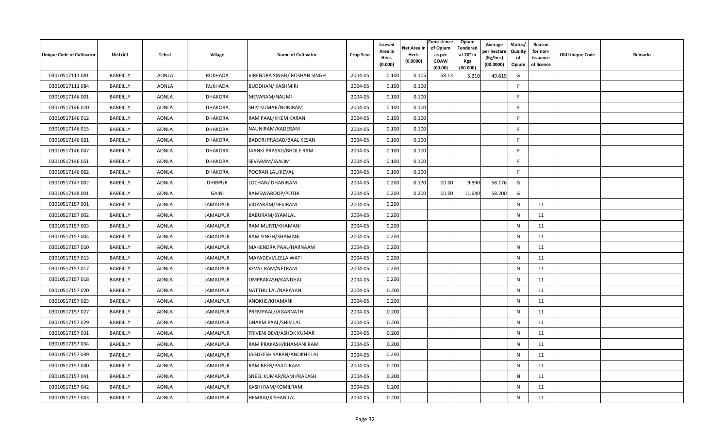| <b>Unique Code of Cultivator</b> | <b>District</b> | Tehsil       | Village         | <b>Name of Cultivator</b>    | <b>Crop Year</b> | Licesed<br>Area in<br>Hect.<br>(0.000) | Net Area in<br>Hect.<br>(0.0000) | Consistence<br>of Opium<br>as per<br>GOAW<br>(00.00) | Opium<br><b>Tendered</b><br>at 70° in<br><b>Kgs</b><br>(00.000) | Average<br>วer hectarง<br>(Kg/hec)<br>(00.0000) | Status/<br>Quality<br>of<br>Opium | Reason<br>for non-<br>issuance<br>of licence | <b>Old Unique Code</b> | Remarks |
|----------------------------------|-----------------|--------------|-----------------|------------------------------|------------------|----------------------------------------|----------------------------------|------------------------------------------------------|-----------------------------------------------------------------|-------------------------------------------------|-----------------------------------|----------------------------------------------|------------------------|---------|
| 03010517111081                   | BAREILLY        | <b>AONLA</b> | <b>RUKHADA</b>  | VIRENDRA SINGH/ ROSHAN SINGH | 2004-05          | 0.100                                  | 0.105                            | 58.13                                                | 5.210                                                           | 49.619                                          | G                                 |                                              |                        |         |
| 03010517111084                   | BAREILLY        | <b>AONLA</b> | <b>RUKHADA</b>  | <b>BUDDHAN/ KASHMIRI</b>     | 2004-05          | 0.100                                  | 0.100                            |                                                      |                                                                 |                                                 | F.                                |                                              |                        |         |
| 03010517146 001                  | BAREILLY        | <b>AONLA</b> | <b>DHAKORA</b>  | MEVARAM/NAUMI                | 2004-05          | 0.100                                  | 0.100                            |                                                      |                                                                 |                                                 | F.                                |                                              |                        |         |
| 03010517146010                   | BAREILLY        | <b>AONLA</b> | <b>DHAKORA</b>  | SHIV KUMAR/NONIRAM           | 2004-05          | 0.100                                  | 0.100                            |                                                      |                                                                 |                                                 | -F                                |                                              |                        |         |
| 03010517146 012                  | BAREILLY        | <b>AONLA</b> | <b>DHAKORA</b>  | RAM PAAL/KHEM KARAN          | 2004-05          | 0.100                                  | 0.100                            |                                                      |                                                                 |                                                 | E                                 |                                              |                        |         |
| 03010517146 015                  | BAREILLY        | <b>AONLA</b> | <b>DHAKORA</b>  | NAUNIRAM/KADERAM             | 2004-05          | 0.100                                  | 0.100                            |                                                      |                                                                 |                                                 | F.                                |                                              |                        |         |
| 03010517146021                   | BAREILLY        | <b>AONLA</b> | <b>DHAKORA</b>  | BADDRI PRASAD/BAAL KESAN     | 2004-05          | 0.100                                  | 0.100                            |                                                      |                                                                 |                                                 | F.                                |                                              |                        |         |
| 03010517146047                   | BAREILLY        | <b>AONLA</b> | <b>DHAKORA</b>  | JAANKI PRASAD/BHOLE RAM      | 2004-05          | 0.100                                  | 0.100                            |                                                      |                                                                 |                                                 | E                                 |                                              |                        |         |
| 03010517146051                   | BAREILLY        | <b>AONLA</b> | <b>DHAKORA</b>  | SEVARAM/JAALIM               | 2004-05          | 0.100                                  | 0.100                            |                                                      |                                                                 |                                                 | F                                 |                                              |                        |         |
| 03010517146 062                  | BAREILLY        | <b>AONLA</b> | <b>DHAKORA</b>  | POORAN LAL/KEVAL             | 2004-05          | 0.100                                  | 0.100                            |                                                      |                                                                 |                                                 | F.                                |                                              |                        |         |
| 03010517147 002                  | BAREILLY        | <b>AONLA</b> | <b>DHIRPUR</b>  | LOCHAN/ DHANIRAM             | 2004-05          | 0.200                                  | 0.170                            | 00.00                                                | 9.890                                                           | 58.176                                          | G                                 |                                              |                        |         |
| 03010517148 001                  | BAREILLY        | <b>AONLA</b> | <b>GAINI</b>    | RAMSWAROOP/POTHI             | 2004-05          | 0.200                                  | 0.200                            | 00.00                                                | 11.640                                                          | 58.200                                          | G                                 |                                              |                        |         |
| 03010517157001                   | BAREILLY        | <b>AONLA</b> | <b>JAMALPUR</b> | VIDYARAM/DEVIRAM             | 2004-05          | 0.200                                  |                                  |                                                      |                                                                 |                                                 | $\mathsf{N}$                      | 11                                           |                        |         |
| 03010517157002                   | BAREILLY        | <b>AONLA</b> | JAMALPUR        | BABURAM/SYAMLAL              | 2004-05          | 0.200                                  |                                  |                                                      |                                                                 |                                                 | N                                 | 11                                           |                        |         |
| 03010517157003                   | BAREILLY        | <b>AONLA</b> | JAMALPUR        | RAM MURTI/KHAMANI            | 2004-05          | 0.200                                  |                                  |                                                      |                                                                 |                                                 | $\mathsf{N}$                      | 11                                           |                        |         |
| 03010517157004                   | BAREILLY        | <b>AONLA</b> | JAMALPUR        | RAM SINGH/KHAMANI            | 2004-05          | 0.200                                  |                                  |                                                      |                                                                 |                                                 | $\mathsf{N}$                      | 11                                           |                        |         |
| 03010517157010                   | BAREILLY        | <b>AONLA</b> | JAMALPUR        | MAHENDRA PAAL/HARNAAM        | 2004-05          | 0.200                                  |                                  |                                                      |                                                                 |                                                 | $\mathsf{N}$                      | 11                                           |                        |         |
| 03010517157013                   | BAREILLY        | <b>AONLA</b> | <b>JAMALPUR</b> | MAYADEVI/LEELA WATI          | 2004-05          | 0.200                                  |                                  |                                                      |                                                                 |                                                 | $\mathsf{N}$                      | 11                                           |                        |         |
| 03010517157017                   | BAREILLY        | <b>AONLA</b> | <b>JAMALPUR</b> | <b>KEVAL RAM/NETRAM</b>      | 2004-05          | 0.200                                  |                                  |                                                      |                                                                 |                                                 | N                                 | 11                                           |                        |         |
| 03010517157018                   | BAREILLY        | <b>AONLA</b> | <b>JAMALPUR</b> | OMPRAKASH/KANDHAI            | 2004-05          | 0.200                                  |                                  |                                                      |                                                                 |                                                 | $\mathsf{N}$                      | 11                                           |                        |         |
| 03010517157020                   | BAREILLY        | <b>AONLA</b> | JAMALPUR        | NATTHU LAL/NARAYAN           | 2004-05          | 0.200                                  |                                  |                                                      |                                                                 |                                                 | $\mathsf{N}$                      | 11                                           |                        |         |
| 03010517157023                   | BAREILLY        | <b>AONLA</b> | JAMALPUR        | ANOKHE/KHAMANI               | 2004-05          | 0.200                                  |                                  |                                                      |                                                                 |                                                 | N                                 | 11                                           |                        |         |
| 03010517157027                   | BAREILLY        | <b>AONLA</b> | JAMALPUR        | PREMPAAL/JAGARNATH           | 2004-05          | 0.200                                  |                                  |                                                      |                                                                 |                                                 | $\mathsf{N}$                      | 11                                           |                        |         |
| 03010517157029                   | BAREILLY        | <b>AONLA</b> | JAMALPUR        | DHARM PAAL/SHIV LAL          | 2004-05          | 0.200                                  |                                  |                                                      |                                                                 |                                                 | N                                 | 11                                           |                        |         |
| 03010517157031                   | BAREILLY        | <b>AONLA</b> | JAMALPUR        | TRIVENI DEVI/ASHOK KUMAR     | 2004-05          | 0.200                                  |                                  |                                                      |                                                                 |                                                 | $\mathsf{N}$                      | 11                                           |                        |         |
| 03010517157034                   | BAREILLY        | <b>AONLA</b> | JAMALPUR        | RAM PRAKASH/KHAMANI RAM      | 2004-05          | 0.200                                  |                                  |                                                      |                                                                 |                                                 | N                                 | 11                                           |                        |         |
| 03010517157039                   | BAREILLY        | <b>AONLA</b> | JAMALPUR        | JAGDEESH SARAN/ANOKHE LAL    | 2004-05          | 0.200                                  |                                  |                                                      |                                                                 |                                                 | $\mathsf{N}$                      | 11                                           |                        |         |
| 03010517157040                   | BAREILLY        | <b>AONLA</b> | JAMALPUR        | RAM BEER/PAATI RAM           | 2004-05          | 0.200                                  |                                  |                                                      |                                                                 |                                                 | $\mathsf{N}$                      | 11                                           |                        |         |
| 03010517157041                   | BAREILLY        | <b>AONLA</b> | JAMALPUR        | SNEEL KUMAR/RAM PRAKASH      | 2004-05          | 0.200                                  |                                  |                                                      |                                                                 |                                                 | N                                 | 11                                           |                        |         |
| 03010517157042                   | BAREILLY        | <b>AONLA</b> | JAMALPUR        | KASHI RAM/KOMILRAM           | 2004-05          | 0.200                                  |                                  |                                                      |                                                                 |                                                 | N                                 | 11                                           |                        |         |
| 03010517157043                   | BAREILLY        | <b>AONLA</b> | JAMALPUR        | <b>HEMRAJ/KISHAN LAL</b>     | 2004-05          | 0.200                                  |                                  |                                                      |                                                                 |                                                 | N                                 | 11                                           |                        |         |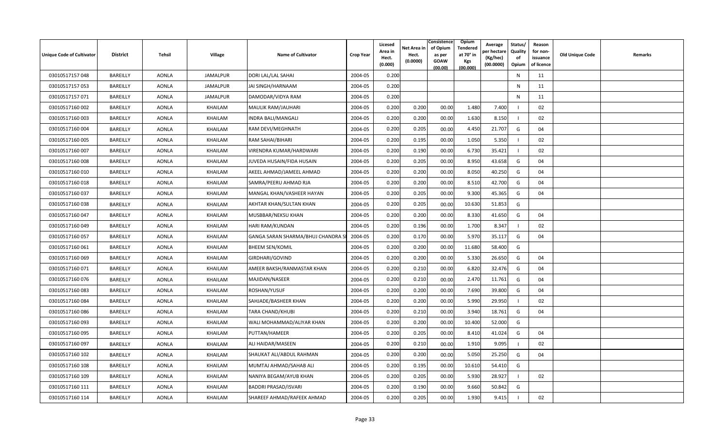| <b>Unique Code of Cultivator</b> | <b>District</b> | Tehsil       | <b>Village</b>  | <b>Name of Cultivator</b>       | <b>Crop Year</b> | Licesed<br>Area in<br>Hect.<br>(0.000) | Net Area in<br>Hect.<br>(0.0000) | Consistence<br>of Opium<br>as per<br><b>GOAW</b><br>(00.00) | <b>Opium</b><br>Tendered<br>at 70 $^{\circ}$ in<br><b>Kgs</b><br>(00.000) | Average<br>วer hectarง<br>(Kg/hec)<br>(00.0000) | Status/<br>Quality<br>of<br>Opium | Reason<br>for non-<br>issuance<br>of licence | <b>Old Unique Code</b> | Remarks |
|----------------------------------|-----------------|--------------|-----------------|---------------------------------|------------------|----------------------------------------|----------------------------------|-------------------------------------------------------------|---------------------------------------------------------------------------|-------------------------------------------------|-----------------------------------|----------------------------------------------|------------------------|---------|
| 03010517157048                   | BAREILLY        | <b>AONLA</b> | <b>JAMALPUR</b> | DORI LAL/LAL SAHAI              | 2004-05          | 0.200                                  |                                  |                                                             |                                                                           |                                                 | ${\sf N}$                         | 11                                           |                        |         |
| 03010517157053                   | BAREILLY        | <b>AONLA</b> | JAMALPUR        | JAI SINGH/HARNAAM               | 2004-05          | 0.200                                  |                                  |                                                             |                                                                           |                                                 | N                                 | 11                                           |                        |         |
| 03010517157071                   | BAREILLY        | <b>AONLA</b> | JAMALPUR        | DAMODAR/VIDYA RAM               | 2004-05          | 0.200                                  |                                  |                                                             |                                                                           |                                                 | N                                 | 11                                           |                        |         |
| 03010517160 002                  | BAREILLY        | <b>AONLA</b> | KHAILAM         | <b>MAULIK RAM/JAUHARI</b>       | 2004-05          | 0.200                                  | 0.200                            | 00.00                                                       | 1.480                                                                     | 7.400                                           |                                   | 02                                           |                        |         |
| 03010517160003                   | BAREILLY        | <b>AONLA</b> | KHAILAM         | INDRA BALI/MANGALI              | 2004-05          | 0.200                                  | 0.200                            | 00.00                                                       | 1.630                                                                     | 8.150                                           |                                   | 02                                           |                        |         |
| 03010517160004                   | BAREILLY        | <b>AONLA</b> | KHAILAM         | RAM DEVI/MEGHNATH               | 2004-05          | 0.200                                  | 0.205                            | 00.00                                                       | 4.450                                                                     | 21.707                                          | G                                 | 04                                           |                        |         |
| 03010517160 005                  | BAREILLY        | <b>AONLA</b> | KHAILAM         | RAM SAHAI/BIHARI                | 2004-05          | 0.200                                  | 0.195                            | 00.00                                                       | 1.050                                                                     | 5.350                                           |                                   | 02                                           |                        |         |
| 03010517160 007                  | BAREILLY        | <b>AONLA</b> | KHAILAM         | VIRENDRA KUMAR/HARDWARI         | 2004-05          | 0.200                                  | 0.190                            | 00.00                                                       | 6.730                                                                     | 35.421                                          |                                   | 02                                           |                        |         |
| 03010517160008                   | BAREILLY        | <b>AONLA</b> | KHAILAM         | JUVEDA HUSAIN/FIDA HUSAIN       | 2004-05          | 0.200                                  | 0.205                            | 00.00                                                       | 8.950                                                                     | 43.658                                          | G                                 | 04                                           |                        |         |
| 03010517160 010                  | BAREILLY        | <b>AONLA</b> | KHAILAM         | AKEEL AHMAD/JAMEEL AHMAD        | 2004-05          | 0.200                                  | 0.200                            | 00.00                                                       | 8.050                                                                     | 40.250                                          | G                                 | 04                                           |                        |         |
| 03010517160018                   | BAREILLY        | <b>AONLA</b> | KHAILAM         | SAMRA/PEERU AHMAD RJA           | 2004-05          | 0.200                                  | 0.200                            | 00.00                                                       | 8.510                                                                     | 42.700                                          | G                                 | 04                                           |                        |         |
| 03010517160 037                  | BAREILLY        | <b>AONLA</b> | KHAILAM         | MANGAL KHAN/VASHEER HAYAN       | 2004-05          | 0.200                                  | 0.205                            | 00.00                                                       | 9.300                                                                     | 45.365                                          | G                                 | 04                                           |                        |         |
| 03010517160038                   | BAREILLY        | <b>AONLA</b> | KHAILAM         | AKHTAR KHAN/SULTAN KHAN         | 2004-05          | 0.200                                  | 0.205                            | 00.00                                                       | 10.630                                                                    | 51.853                                          | G                                 |                                              |                        |         |
| 03010517160 047                  | BAREILLY        | AONLA        | KHAILAM         | MUSBBAR/NEKSU KHAN              | 2004-05          | 0.200                                  | 0.200                            | 00.00                                                       | 8.330                                                                     | 41.650                                          | G                                 | 04                                           |                        |         |
| 03010517160049                   | BAREILLY        | <b>AONLA</b> | KHAILAM         | HARI RAM/KUNDAN                 | 2004-05          | 0.200                                  | 0.196                            | 00.00                                                       | 1.700                                                                     | 8.347                                           |                                   | 02                                           |                        |         |
| 03010517160 057                  | BAREILLY        | AONLA        | KHAILAM         | GANGA SARAN SHARMA/BHUJ CHANDRA | 2004-05          | 0.200                                  | 0.170                            | 00.00                                                       | 5.970                                                                     | 35.117                                          | G                                 | 04                                           |                        |         |
| 03010517160061                   | BAREILLY        | <b>AONLA</b> | KHAILAM         | <b>BHEEM SEN/KOMIL</b>          | 2004-05          | 0.200                                  | 0.200                            | 00.00                                                       | 11.680                                                                    | 58.400                                          | G                                 |                                              |                        |         |
| 03010517160069                   | BAREILLY        | <b>AONLA</b> | KHAILAM         | GIRDHARI/GOVIND                 | 2004-05          | 0.200                                  | 0.200                            | 00.00                                                       | 5.330                                                                     | 26.650                                          | G                                 | 04                                           |                        |         |
| 03010517160 071                  | BAREILLY        | <b>AONLA</b> | KHAILAM         | AMEER BAKSH/RANMASTAR KHAN      | 2004-05          | 0.200                                  | 0.210                            | 00.00                                                       | 6.820                                                                     | 32.476                                          | G                                 | 04                                           |                        |         |
| 03010517160 076                  | BAREILLY        | <b>AONLA</b> | KHAILAM         | MAJIDAN/NASEER                  | 2004-05          | 0.200                                  | 0.210                            | 00.00                                                       | 2.470                                                                     | 11.761                                          | G                                 | 04                                           |                        |         |
| 03010517160083                   | BAREILLY        | AONLA        | KHAILAM         | ROSHAN/YUSUF                    | 2004-05          | 0.200                                  | 0.200                            | 00.00                                                       | 7.690                                                                     | 39.800                                          | G                                 | 04                                           |                        |         |
| 03010517160084                   | BAREILLY        | <b>AONLA</b> | KHAILAM         | SAHJADE/BASHEER KHAN            | 2004-05          | 0.200                                  | 0.200                            | 00.00                                                       | 5.990                                                                     | 29.950                                          |                                   | 02                                           |                        |         |
| 03010517160086                   | BAREILLY        | <b>AONLA</b> | KHAILAM         | <b>TARA CHAND/KHUBI</b>         | 2004-05          | 0.200                                  | 0.210                            | 00.00                                                       | 3.940                                                                     | 18.761                                          | G                                 | 04                                           |                        |         |
| 03010517160093                   | BAREILLY        | <b>AONLA</b> | KHAILAM         | WALI MOHAMMAD/ALIYAR KHAN       | 2004-05          | 0.200                                  | 0.200                            | 00.00                                                       | 10.400                                                                    | 52.000                                          | G                                 |                                              |                        |         |
| 03010517160095                   | BAREILLY        | <b>AONLA</b> | KHAILAM         | PUTTAN/HAMEER                   | 2004-05          | 0.200                                  | 0.205                            | 00.00                                                       | 8.410                                                                     | 41.024                                          | G                                 | 04                                           |                        |         |
| 03010517160097                   | BAREILLY        | AONLA        | KHAILAM         | ALI HAIDAR/MASEEN               | 2004-05          | 0.200                                  | 0.210                            | 00.00                                                       | 1.910                                                                     | 9.095                                           |                                   | 02                                           |                        |         |
| 03010517160 102                  | BAREILLY        | <b>AONLA</b> | KHAILAM         | SHAUKAT ALI/ABDUL RAHMAN        | 2004-05          | 0.200                                  | 0.200                            | 00.00                                                       | 5.050                                                                     | 25.250                                          | G                                 | 04                                           |                        |         |
| 03010517160 108                  | BAREILLY        | AONLA        | KHAILAM         | MUMTAJ AHMAD/SAHAB ALI          | 2004-05          | 0.200                                  | 0.195                            | 00.00                                                       | 10.610                                                                    | 54.410                                          | G                                 |                                              |                        |         |
| 03010517160 109                  | BAREILLY        | <b>AONLA</b> | KHAILAM         | NANIYA BEGAM/AYUB KHAN          | 2004-05          | 0.200                                  | 0.205                            | 00.00                                                       | 5.930                                                                     | 28.927                                          |                                   | 02                                           |                        |         |
| 03010517160 111                  | BAREILLY        | <b>AONLA</b> | KHAILAM         | <b>BADDRI PRASAD/ISVARI</b>     | 2004-05          | 0.200                                  | 0.190                            | 00.00                                                       | 9.660                                                                     | 50.842                                          | G                                 |                                              |                        |         |
| 03010517160 114                  | BAREILLY        | <b>AONLA</b> | KHAILAM         | SHAREEF AHMAD/RAFEEK AHMAD      | 2004-05          | 0.200                                  | 0.205                            | 00.00                                                       | 1.930                                                                     | 9.415                                           |                                   | 02                                           |                        |         |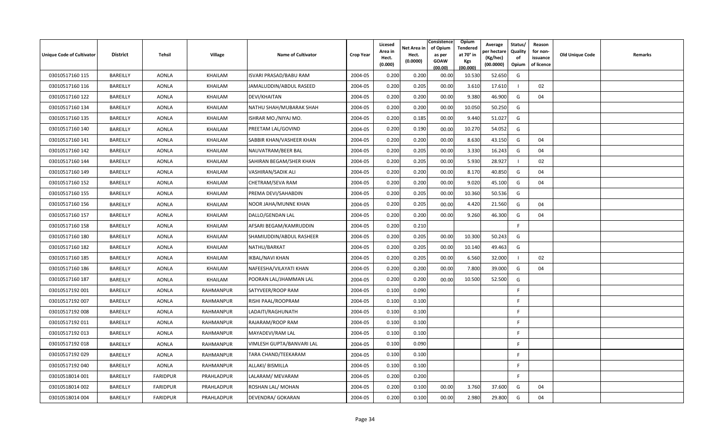| <b>Unique Code of Cultivator</b> | <b>District</b> | Tehsil          | <b>Village</b>   | <b>Name of Cultivator</b>     | <b>Crop Year</b> | Licesed<br>Area in<br>Hect.<br>(0.000) | Net Area in<br>Hect.<br>(0.0000) | Consistence<br>of Opium<br>as per<br><b>GOAW</b><br>(00.00) | <b>Opium</b><br>Tendered<br>at 70° in<br><b>Kgs</b><br>(00.000) | Average<br>er hectar<br>(Kg/hec)<br>(00.0000) | Status/<br>Quality<br>of<br>Opium | Reason<br>for non-<br>issuance<br>of licence | <b>Old Unique Code</b> | Remarks |
|----------------------------------|-----------------|-----------------|------------------|-------------------------------|------------------|----------------------------------------|----------------------------------|-------------------------------------------------------------|-----------------------------------------------------------------|-----------------------------------------------|-----------------------------------|----------------------------------------------|------------------------|---------|
| 03010517160 115                  | BAREILLY        | <b>AONLA</b>    | KHAILAM          | <b>ISVARI PRASAD/BABU RAM</b> | 2004-05          | 0.200                                  | 0.200                            | 00.00                                                       | 10.530                                                          | 52.650                                        | G                                 |                                              |                        |         |
| 03010517160 116                  | BAREILLY        | <b>AONLA</b>    | KHAILAM          | JAMALUDDIN/ABDUL RASEED       | 2004-05          | 0.200                                  | 0.205                            | 00.00                                                       | 3.610                                                           | 17.610                                        |                                   | 02                                           |                        |         |
| 03010517160 122                  | BAREILLY        | <b>AONLA</b>    | KHAILAM          | DEVI/KHAITAN                  | 2004-05          | 0.200                                  | 0.200                            | 00.00                                                       | 9.380                                                           | 46.900                                        | G                                 | 04                                           |                        |         |
| 03010517160 134                  | BAREILLY        | <b>AONLA</b>    | KHAILAM          | NATHU SHAH/MUBARAK SHAH       | 2004-05          | 0.200                                  | 0.200                            | 00.00                                                       | 10.050                                                          | 50.250                                        | G                                 |                                              |                        |         |
| 03010517160 135                  | BAREILLY        | <b>AONLA</b>    | KHAILAM          | ISHRAR MO./NIYAJ MO.          | 2004-05          | 0.200                                  | 0.185                            | 00.00                                                       | 9.440                                                           | 51.027                                        | G                                 |                                              |                        |         |
| 03010517160 140                  | BAREILLY        | <b>AONLA</b>    | KHAILAM          | PREETAM LAL/GOVIND            | 2004-05          | 0.200                                  | 0.190                            | 00.00                                                       | 10.270                                                          | 54.052                                        | G                                 |                                              |                        |         |
| 03010517160 141                  | BAREILLY        | <b>AONLA</b>    | KHAILAM          | SABBIR KHAN/VASHEER KHAN      | 2004-05          | 0.200                                  | 0.200                            | 00.00                                                       | 8.630                                                           | 43.150                                        | G                                 | 04                                           |                        |         |
| 03010517160 142                  | BAREILLY        | <b>AONLA</b>    | KHAILAM          | NAUVATRAM/BEER BAL            | 2004-05          | 0.200                                  | 0.205                            | 00.00                                                       | 3.330                                                           | 16.243                                        | G                                 | 04                                           |                        |         |
| 03010517160 144                  | BAREILLY        | <b>AONLA</b>    | KHAILAM          | SAHIRAN BEGAM/SHER KHAN       | 2004-05          | 0.200                                  | 0.205                            | 00.00                                                       | 5.930                                                           | 28.927                                        |                                   | 02                                           |                        |         |
| 03010517160 149                  | BAREILLY        | <b>AONLA</b>    | KHAILAM          | <b>VASHIRAN/SADIK ALI</b>     | 2004-05          | 0.200                                  | 0.200                            | 00.00                                                       | 8.170                                                           | 40.850                                        | G                                 | 04                                           |                        |         |
| 03010517160 152                  | BAREILLY        | <b>AONLA</b>    | KHAILAM          | CHETRAM/SEVA RAM              | 2004-05          | 0.200                                  | 0.200                            | 00.00                                                       | 9.020                                                           | 45.100                                        | G                                 | 04                                           |                        |         |
| 03010517160 155                  | BAREILLY        | <b>AONLA</b>    | KHAILAM          | PREMA DEVI/SAHABDIN           | 2004-05          | 0.200                                  | 0.205                            | 00.00                                                       | 10.360                                                          | 50.536                                        | G                                 |                                              |                        |         |
| 03010517160 156                  | BAREILLY        | <b>AONLA</b>    | KHAILAM          | NOOR JAHA/MUNNE KHAN          | 2004-05          | 0.200                                  | 0.205                            | 00.00                                                       | 4.420                                                           | 21.560                                        | G                                 | 04                                           |                        |         |
| 03010517160 157                  | BAREILLY        | AONLA           | KHAILAM          | DALLO/GENDAN LAL              | 2004-05          | 0.200                                  | 0.200                            | 00.00                                                       | 9.260                                                           | 46.300                                        | G                                 | 04                                           |                        |         |
| 03010517160 158                  | BAREILLY        | <b>AONLA</b>    | KHAILAM          | AFSARI BEGAM/KAMRUDDIN        | 2004-05          | 0.200                                  | 0.210                            |                                                             |                                                                 |                                               | F.                                |                                              |                        |         |
| 03010517160 180                  | BAREILLY        | <b>AONLA</b>    | KHAILAM          | SHAMIUDDIN/ABDUL RASHEER      | 2004-05          | 0.200                                  | 0.205                            | 00.00                                                       | 10.300                                                          | 50.243                                        | G                                 |                                              |                        |         |
| 03010517160 182                  | BAREILLY        | <b>AONLA</b>    | KHAILAM          | NATHU/BARKAT                  | 2004-05          | 0.200                                  | 0.205                            | 00.00                                                       | 10.140                                                          | 49.463                                        | G                                 |                                              |                        |         |
| 03010517160 185                  | BAREILLY        | <b>AONLA</b>    | KHAILAM          | <b>IKBAL/NAVI KHAN</b>        | 2004-05          | 0.200                                  | 0.205                            | 00.00                                                       | 6.560                                                           | 32.000                                        |                                   | 02                                           |                        |         |
| 03010517160 186                  | BAREILLY        | <b>AONLA</b>    | KHAILAM          | NAFEESHA/VILAYATI KHAN        | 2004-05          | 0.200                                  | 0.200                            | 00.00                                                       | 7.800                                                           | 39.000                                        | G                                 | 04                                           |                        |         |
| 03010517160 187                  | BAREILLY        | <b>AONLA</b>    | KHAILAM          | POORAN LAL/JHAMMAN LAL        | 2004-05          | 0.200                                  | 0.200                            | 00.00                                                       | 10.500                                                          | 52.500                                        | G                                 |                                              |                        |         |
| 03010517192 001                  | BAREILLY        | <b>AONLA</b>    | RAHMANPUR        | SATYVEER/ROOP RAM             | 2004-05          | 0.100                                  | 0.090                            |                                                             |                                                                 |                                               | F                                 |                                              |                        |         |
| 03010517192 007                  | BAREILLY        | <b>AONLA</b>    | <b>RAHMANPUR</b> | RISHI PAAL/ROOPRAM            | 2004-05          | 0.100                                  | 0.100                            |                                                             |                                                                 |                                               | F                                 |                                              |                        |         |
| 03010517192 008                  | BAREILLY        | <b>AONLA</b>    | <b>RAHMANPUR</b> | LADAITI/RAGHUNATH             | 2004-05          | 0.100                                  | 0.100                            |                                                             |                                                                 |                                               | F                                 |                                              |                        |         |
| 03010517192 011                  | BAREILLY        | <b>AONLA</b>    | <b>RAHMANPUR</b> | RAJARAM/ROOP RAM              | 2004-05          | 0.100                                  | 0.100                            |                                                             |                                                                 |                                               | -F                                |                                              |                        |         |
| 03010517192 013                  | BAREILLY        | <b>AONLA</b>    | <b>RAHMANPUR</b> | MAYADEVI/RAM LAL              | 2004-05          | 0.100                                  | 0.100                            |                                                             |                                                                 |                                               | F.                                |                                              |                        |         |
| 03010517192 018                  | BAREILLY        | <b>AONLA</b>    | RAHMANPUR        | VIMLESH GUPTA/BANVARI LAL     | 2004-05          | 0.100                                  | 0.090                            |                                                             |                                                                 |                                               | F                                 |                                              |                        |         |
| 03010517192 029                  | BAREILLY        | <b>AONLA</b>    | <b>RAHMANPUR</b> | <b>TARA CHAND/TEEKARAM</b>    | 2004-05          | 0.100                                  | 0.100                            |                                                             |                                                                 |                                               | F                                 |                                              |                        |         |
| 03010517192 040                  | BAREILLY        | <b>AONLA</b>    | <b>RAHMANPUR</b> | ALLAKI/ BISMILLA              | 2004-05          | 0.100                                  | 0.100                            |                                                             |                                                                 |                                               | E                                 |                                              |                        |         |
| 03010518014 001                  | BAREILLY        | <b>FARIDPUR</b> | PRAHLADPUR       | LALARAM/ MEVARAM              | 2004-05          | 0.200                                  | 0.200                            |                                                             |                                                                 |                                               | -F.                               |                                              |                        |         |
| 03010518014 002                  | BAREILLY        | <b>FARIDPUR</b> | PRAHLADPUR       | ROSHAN LAL/ MOHAN             | 2004-05          | 0.200                                  | 0.100                            | 00.00                                                       | 3.760                                                           | 37.600                                        | G                                 | 04                                           |                        |         |
| 03010518014 004                  | BAREILLY        | <b>FARIDPUR</b> | PRAHLADPUR       | DEVENDRA/ GOKARAN             | 2004-05          | 0.200                                  | 0.100                            | 00.00                                                       | 2.980                                                           | 29.800                                        | G                                 | 04                                           |                        |         |